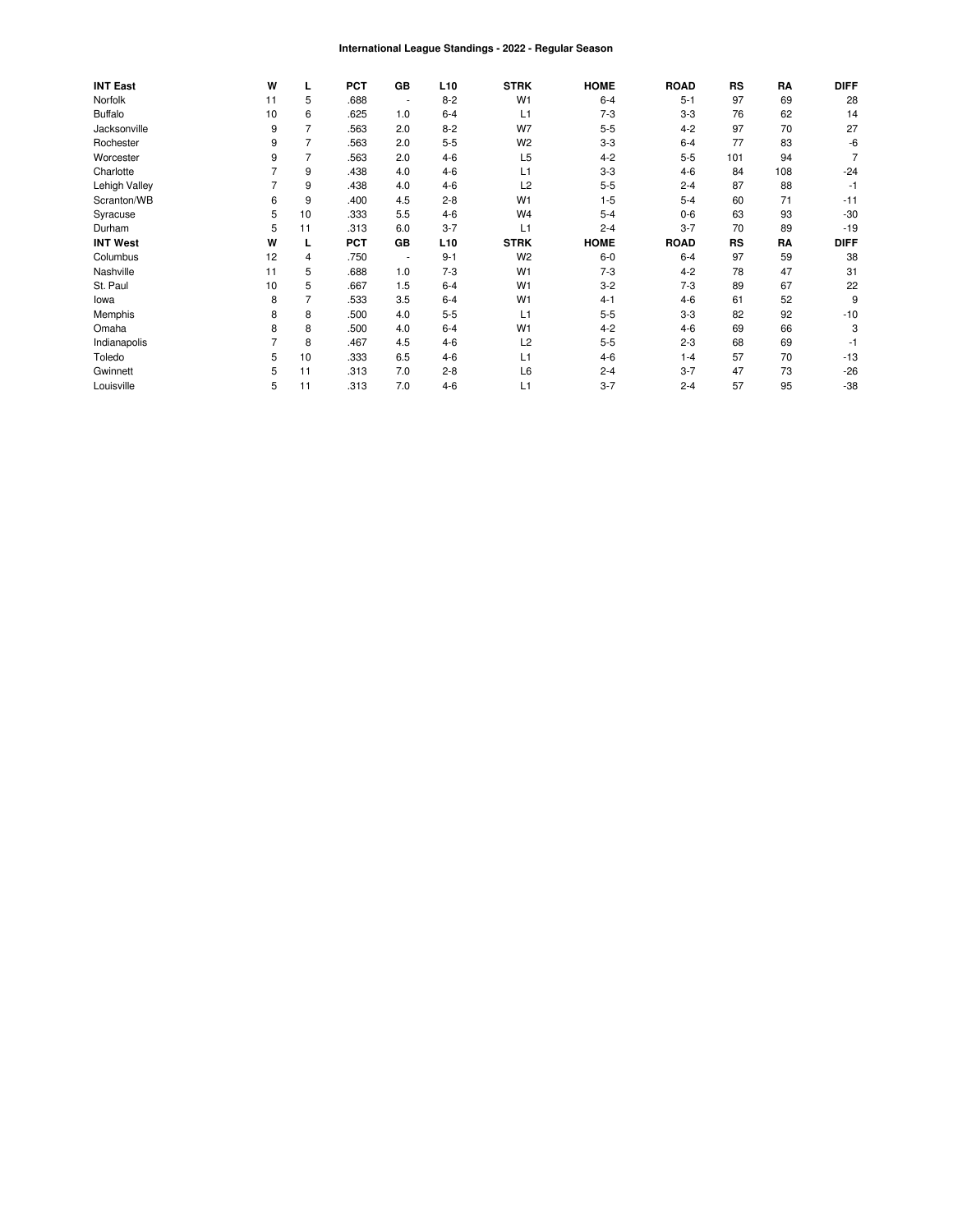#### International League Standings - 2022 - Regular Season

| <b>INT East</b> | W  |    | <b>PCT</b> | GВ                       | L <sub>10</sub> | <b>STRK</b>    | <b>HOME</b> | <b>ROAD</b> | <b>RS</b> | RA  | <b>DIFF</b> |
|-----------------|----|----|------------|--------------------------|-----------------|----------------|-------------|-------------|-----------|-----|-------------|
| Norfolk         | 11 | 5  | .688       |                          | $8 - 2$         | W <sub>1</sub> | $6 - 4$     | $5 - 1$     | 97        | 69  | 28          |
| <b>Buffalo</b>  | 10 | 6  | .625       | 1.0                      | $6 - 4$         | L1             | $7-3$       | $3-3$       | 76        | 62  | 14          |
| Jacksonville    | 9  | 7  | .563       | 2.0                      | $8 - 2$         | W7             | $5-5$       | $4 - 2$     | 97        | 70  | 27          |
| Rochester       | 9  | 7  | .563       | 2.0                      | $5-5$           | W <sub>2</sub> | $3-3$       | $6 - 4$     | 77        | 83  | -6          |
| Worcester       | 9  | 7  | .563       | 2.0                      | $4 - 6$         | L <sub>5</sub> | $4 - 2$     | $5 - 5$     | 101       | 94  |             |
| Charlotte       |    | 9  | .438       | 4.0                      | $4 - 6$         | L1             | $3 - 3$     | $4-6$       | 84        | 108 | $-24$       |
| Lehigh Valley   |    | 9  | .438       | 4.0                      | $4-6$           | L2             | $5 - 5$     | $2 - 4$     | 87        | 88  | $-1$        |
| Scranton/WB     | 6  | 9  | .400       | 4.5                      | $2 - 8$         | W <sub>1</sub> | $1 - 5$     | $5 - 4$     | 60        | 71  | $-11$       |
| Syracuse        | 5  | 10 | .333       | 5.5                      | $4 - 6$         | W <sub>4</sub> | $5 - 4$     | $0-6$       | 63        | 93  | $-30$       |
| Durham          | 5  | 11 | .313       | 6.0                      | $3 - 7$         | L1             | $2 - 4$     | $3 - 7$     | 70        | 89  | $-19$       |
| <b>INT West</b> | W  |    | <b>PCT</b> | GВ                       | L <sub>10</sub> | <b>STRK</b>    | <b>HOME</b> | <b>ROAD</b> | <b>RS</b> | RA  | <b>DIFF</b> |
| Columbus        | 12 | 4  | .750       | $\overline{\phantom{a}}$ | $9 - 1$         | W <sub>2</sub> | $6-0$       | $6 - 4$     | 97        | 59  | 38          |
| Nashville       | 11 | 5  | .688       | 1.0                      | $7-3$           | W <sub>1</sub> | $7-3$       | $4 - 2$     | 78        | 47  | 31          |
| St. Paul        | 10 | 5  | .667       | 1.5                      | $6 - 4$         | W <sub>1</sub> | $3 - 2$     | $7-3$       | 89        | 67  | 22          |
| lowa            | 8  | 7  | .533       | 3.5                      | $6 - 4$         | W <sub>1</sub> | $4 - 1$     | $4-6$       | 61        | 52  | 9           |
| Memphis         | 8  | 8  | .500       | 4.0                      | $5 - 5$         | L1             | $5 - 5$     | $3-3$       | 82        | 92  | $-10$       |
| Omaha           | 8  | 8  | .500       | 4.0                      | $6 - 4$         | W <sub>1</sub> | $4 - 2$     | $4-6$       | 69        | 66  | 3           |
| Indianapolis    |    | 8  | .467       | 4.5                      | $4 - 6$         | L2             | $5 - 5$     | $2 - 3$     | 68        | 69  | -1          |
| Toledo          | 5  | 10 | .333       | 6.5                      | $4 - 6$         | L1             | $4 - 6$     | $1 - 4$     | 57        | 70  | $-13$       |
| Gwinnett        | 5  | 11 | .313       | 7.0                      | $2 - 8$         | L6             | $2 - 4$     | $3 - 7$     | 47        | 73  | $-26$       |
| Louisville      | 5  | 11 | .313       | 7.0                      | $4 - 6$         | L1             | $3 - 7$     | $2 - 4$     | 57        | 95  | $-38$       |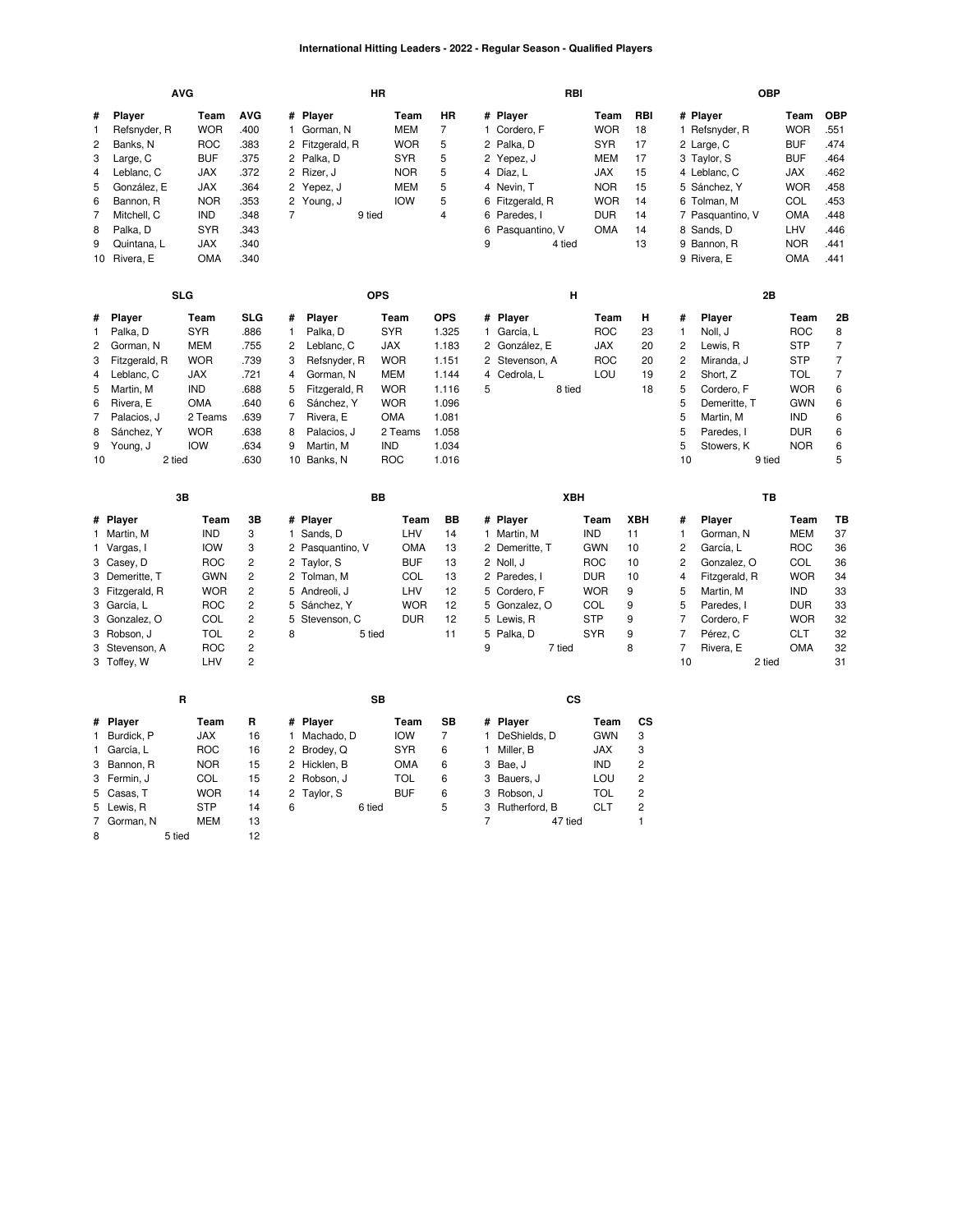### **International Hitting Leaders - 2022 - Regular Season - Qualified Players**

|                                                             |                                                                                                                                                                           | <b>AVG</b>                                                                                                                                |                                                                                                                       |                                                |                                                                                                                                                             | HR                                                                                                                              |                                                                                                      |                   |                                                                                                                                        | RBI       |                                                                                                               |                                                             |                                                                                                                     | <b>OBP</b>                                                                                                                                                             |                                                                                                                      |                                                                                           |
|-------------------------------------------------------------|---------------------------------------------------------------------------------------------------------------------------------------------------------------------------|-------------------------------------------------------------------------------------------------------------------------------------------|-----------------------------------------------------------------------------------------------------------------------|------------------------------------------------|-------------------------------------------------------------------------------------------------------------------------------------------------------------|---------------------------------------------------------------------------------------------------------------------------------|------------------------------------------------------------------------------------------------------|-------------------|----------------------------------------------------------------------------------------------------------------------------------------|-----------|---------------------------------------------------------------------------------------------------------------|-------------------------------------------------------------|---------------------------------------------------------------------------------------------------------------------|------------------------------------------------------------------------------------------------------------------------------------------------------------------------|----------------------------------------------------------------------------------------------------------------------|-------------------------------------------------------------------------------------------|
| #<br>1<br>$\overline{c}$<br>3<br>4<br>5<br>6<br>7<br>8<br>9 | Player<br>Refsnyder, R<br>Banks, N<br>Large, C<br>Leblanc, C<br>González, E<br>Bannon, R<br>Mitchell, C<br>Palka, D<br>Quintana, L<br>10 Rivera, E                        | Team<br><b>WOR</b><br><b>ROC</b><br><b>BUF</b><br><b>JAX</b><br>JAX<br><b>NOR</b><br><b>IND</b><br><b>SYR</b><br><b>JAX</b><br><b>OMA</b> | <b>AVG</b><br>.400<br>.383<br>.375<br>.372<br>.364<br>.353<br>.348<br>.343<br>.340<br>.340                            | 1.<br>2<br>2<br>$\overline{7}$                 | # Player<br>Gorman, N<br>2 Fitzgerald, R<br>2 Palka, D<br>2 Rizer, J<br>Yepez, J<br>Young, J<br>9 tied                                                      | Team<br><b>MEM</b><br><b>WOR</b><br><b>SYR</b><br><b>NOR</b><br><b>MEM</b><br><b>IOW</b>                                        | <b>HR</b><br>$\overline{7}$<br>5<br>5<br>5<br>5<br>5<br>$\overline{4}$                               | 9                 | # Player<br>1 Cordero, F<br>2 Palka, D<br>2 Yepez, J<br>4 Díaz, L<br>4 Nevin, T<br>6 Fitzgerald, R<br>6 Paredes, I<br>6 Pasquantino, V | 4 tied    | Team<br><b>WOR</b><br><b>SYR</b><br>MEM<br>JAX<br><b>NOR</b><br><b>WOR</b><br><b>DUR</b><br>OMA               | RBI<br>18<br>17<br>17<br>15<br>15<br>14<br>14<br>14<br>13   |                                                                                                                     | # Player<br>1 Refsnyder, R<br>2 Large, C<br>3 Taylor, S<br>4 Leblanc, C<br>5 Sánchez, Y<br>6 Tolman, M<br>7 Pasquantino, V<br>8 Sands, D<br>9 Bannon, R<br>9 Rivera, E | Team<br><b>WOR</b><br><b>BUF</b><br><b>BUF</b><br><b>JAX</b><br><b>WOR</b><br>COL<br>OMA<br>LHV<br><b>NOR</b><br>OMA | <b>OBP</b><br>.551<br>.474<br>.464<br>462<br>.458<br>.453<br>.448<br>.446<br>.441<br>.441 |
|                                                             |                                                                                                                                                                           | <b>SLG</b>                                                                                                                                |                                                                                                                       |                                                |                                                                                                                                                             | <b>OPS</b>                                                                                                                      |                                                                                                      |                   |                                                                                                                                        | н         |                                                                                                               |                                                             |                                                                                                                     | 2B                                                                                                                                                                     |                                                                                                                      |                                                                                           |
| #<br>1<br>2<br>3<br>4<br>5<br>6<br>7<br>8<br>9<br>10        | Player<br>Palka, D<br>Gorman, N<br>Fitzgerald, R<br>Leblanc, C<br>Martin, M<br>Rivera, E<br>Palacios, J<br>Sánchez, Y<br>Young, J<br>2 tied                               | Team<br><b>SYR</b><br><b>MEM</b><br><b>WOR</b><br>JAX<br><b>IND</b><br><b>OMA</b><br>2 Teams<br><b>WOR</b><br><b>IOW</b>                  | <b>SLG</b><br>.886<br>.755<br>.739<br>.721<br>.688<br>.640<br>.639<br>.638<br>.634<br>.630                            | #<br>1<br>2<br>3<br>4<br>5<br>6<br>7<br>8<br>9 | <b>Player</b><br>Palka, D<br>Leblanc, C<br>Refsnyder, R<br>Gorman, N<br>Fitzgerald, R<br>Sánchez, Y<br>Rivera, E<br>Palacios, J<br>Martin, M<br>10 Banks, N | Team<br><b>SYR</b><br><b>JAX</b><br><b>WOR</b><br>MEM<br><b>WOR</b><br><b>WOR</b><br><b>OMA</b><br>2 Teams<br><b>IND</b><br>ROC | <b>OPS</b><br>1.325<br>1.183<br>1.151<br>1.144<br>1.116<br>1.096<br>1.081<br>1.058<br>1.034<br>1.016 | 4<br>5            | # Player<br>1 García, L<br>2 González, E<br>2 Stevenson, A<br>Cedrola, L                                                               | 8 tied    | Team<br><b>ROC</b><br>JAX<br><b>ROC</b><br>LOU                                                                | н<br>23<br>20<br>20<br>19<br>18                             | #<br>$\mathbf{1}$<br>$\overline{c}$<br>$\overline{c}$<br>$\overline{c}$<br>5<br>5<br>5<br>5<br>5<br>10              | Player<br>Noll, J<br>Lewis, R<br>Miranda, J<br>Short, Z<br>Cordero, F<br>Demeritte, T<br>Martin, M<br>Paredes, I<br>Stowers, K<br>9 tied                               | Team<br><b>ROC</b><br><b>STP</b><br><b>STP</b><br>TOL<br><b>WOR</b><br><b>GWN</b><br>IND<br><b>DUR</b><br><b>NOR</b> | 2Β<br>8<br>7<br>$\overline{7}$<br>$\overline{7}$<br>6<br>6<br>6<br>6<br>6<br>5            |
|                                                             |                                                                                                                                                                           | 3B                                                                                                                                        |                                                                                                                       |                                                |                                                                                                                                                             | BB                                                                                                                              |                                                                                                      |                   |                                                                                                                                        | XBH       |                                                                                                               |                                                             |                                                                                                                     | TB                                                                                                                                                                     |                                                                                                                      |                                                                                           |
|                                                             | # Player<br>1 Martin, M<br>1 Vargas, I<br>3 Casey, D<br>3 Demeritte, T<br>3 Fitzgerald, R<br>3 García, L<br>3 Gonzalez, O<br>3 Robson, J<br>3 Stevenson, A<br>3 Toffey, W | Team<br><b>IND</b><br><b>IOW</b><br><b>ROC</b><br><b>GWN</b><br><b>WOR</b><br><b>ROC</b><br>COL<br><b>TOL</b><br><b>ROC</b><br>LHV        | 3B<br>3<br>3<br>2<br>$\overline{c}$<br>$\overline{c}$<br>$\overline{c}$<br>2<br>$\overline{c}$<br>2<br>$\overline{c}$ | 5<br>5<br>8                                    | # Player<br>1 Sands, D<br>2 Pasquantino, V<br>2 Taylor, S<br>2 Tolman, M<br>5 Andreoli, J<br>Sánchez, Y<br>Stevenson, C<br>5 tied                           | Team<br>LHV<br><b>OMA</b><br><b>BUF</b><br>COL<br>LHV<br><b>WOR</b><br><b>DUR</b>                                               | BB<br>14<br>13<br>13<br>13<br>12<br>12<br>12<br>11                                                   | 9                 | # Player<br>1 Martin, M<br>2 Demeritte, T<br>2 Noll, J<br>2 Paredes, I<br>5 Cordero, F<br>5 Gonzalez, O<br>5 Lewis, R<br>5 Palka, D    | 7 tied    | Team<br><b>IND</b><br><b>GWN</b><br><b>ROC</b><br><b>DUR</b><br><b>WOR</b><br>COL<br><b>STP</b><br><b>SYR</b> | <b>XBH</b><br>11<br>10<br>10<br>10<br>9<br>9<br>9<br>9<br>8 | #<br>$\mathbf{1}$<br>2<br>$\overline{c}$<br>$\overline{4}$<br>5<br>5<br>$\overline{7}$<br>$\overline{7}$<br>7<br>10 | Player<br>Gorman, N<br>García, L<br>Gonzalez, O<br>Fitzgerald, R<br>Martin, M<br>Paredes. I<br>Cordero, F<br>Pérez, C<br>Rivera, E<br>2 tied                           | Team<br><b>MEM</b><br><b>ROC</b><br>COL<br><b>WOR</b><br><b>IND</b><br><b>DUR</b><br><b>WOR</b><br><b>CLT</b><br>OMA | TВ<br>37<br>36<br>36<br>34<br>33<br>33<br>32<br>32<br>32<br>31                            |
|                                                             |                                                                                                                                                                           | R                                                                                                                                         |                                                                                                                       |                                                |                                                                                                                                                             | SB                                                                                                                              |                                                                                                      |                   |                                                                                                                                        | <b>CS</b> |                                                                                                               |                                                             |                                                                                                                     |                                                                                                                                                                        |                                                                                                                      |                                                                                           |
| 1<br>3<br>5                                                 | # Player<br>Burdick, P<br>1 García, L<br>Bannon, R<br>3 Fermin, J<br>Casas, T<br>5 Lewis, R                                                                               | Team<br><b>JAX</b><br><b>ROC</b><br><b>NOR</b><br>COL<br><b>WOR</b><br><b>STP</b>                                                         | R<br>16<br>16<br>15<br>15<br>14<br>14                                                                                 | 1<br>2<br>2<br>6                               | # Player<br>Machado, D<br>2 Brodey, Q<br>Hicklen, B<br>2 Robson, J<br>Taylor, S<br>6 tied                                                                   | Team<br><b>IOW</b><br><b>SYR</b><br><b>OMA</b><br><b>TOL</b><br><b>BUF</b>                                                      | SB<br>7<br>6<br>6<br>6<br>6<br>5                                                                     | $\mathbf{1}$<br>3 | # Player<br>DeShields, D<br>1 Miller, B<br>3 Bae, J<br>3 Bauers, J<br>3 Robson, J<br>Rutherford, B                                     |           | Team<br><b>GWN</b><br><b>JAX</b><br><b>IND</b><br>LOU<br><b>TOL</b><br><b>CLT</b>                             | СS<br>3<br>3<br>2<br>2<br>$\overline{c}$<br>$\overline{c}$  |                                                                                                                     |                                                                                                                                                                        |                                                                                                                      |                                                                                           |

47 tied 1

[Gorman,](https://research.mlb.com/players/669357/stats#orgId=117) N [MEM](https://research.mlb.com/teams/235/stats#timeframe=2022) 13

8 5 tied 12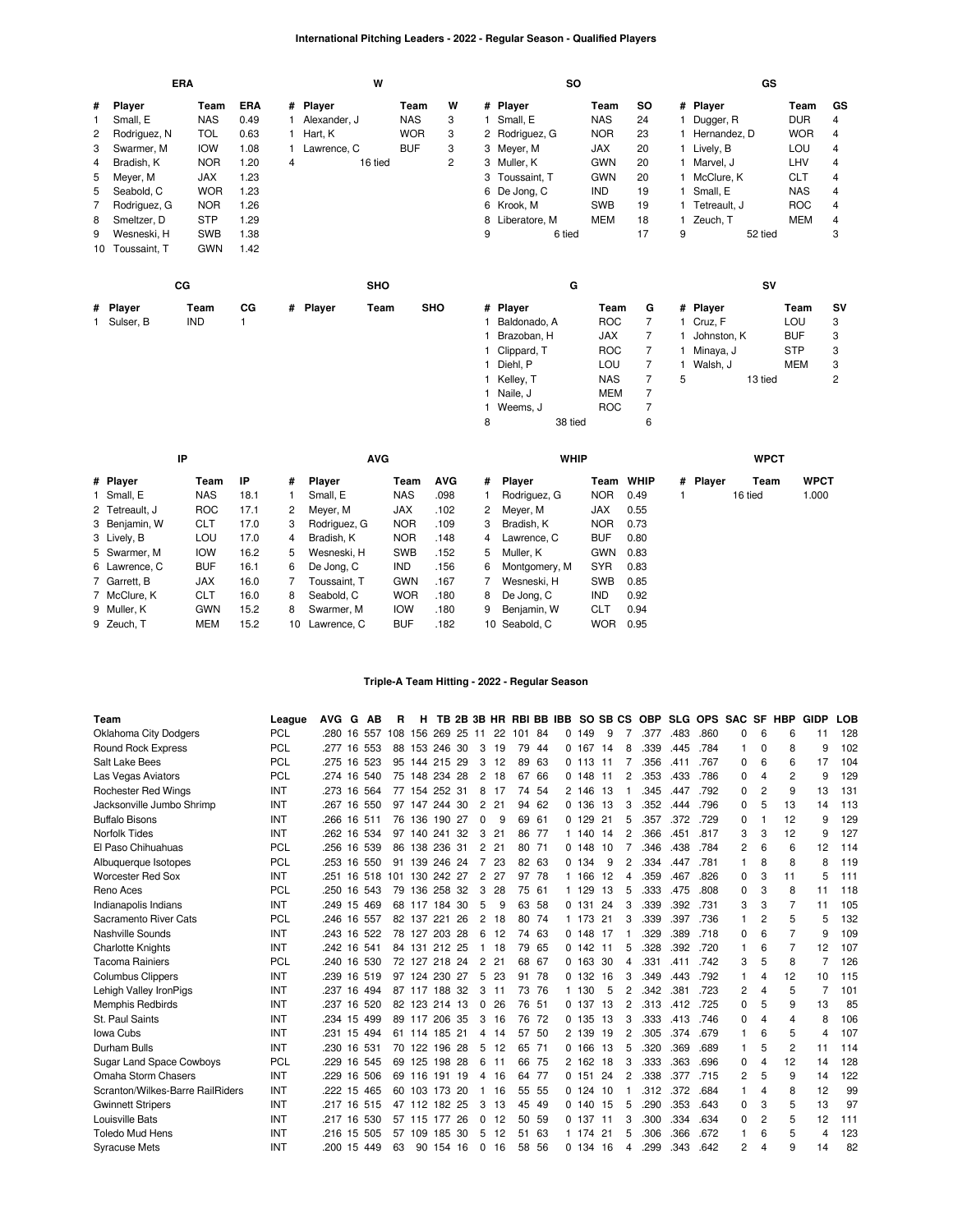# **International Pitching Leaders - 2022 - Regular Season - Qualified Players**

|   |                 | ERA         |      |   | W                |            |   |   | <b>SO</b>       |            |                |    | GS             |            |    |
|---|-----------------|-------------|------|---|------------------|------------|---|---|-----------------|------------|----------------|----|----------------|------------|----|
| # | Player          | Team        | ERA  |   | # Player         | Team       | W |   | # Player        | Team       | SO             |    | # Player       | Team       | GS |
|   | Small, E        | <b>NAS</b>  | 0.49 |   | Alexander, J     | <b>NAS</b> | 3 |   | Small, E        | <b>NAS</b> | 24             |    | Dugger, R      | <b>DUR</b> | 4  |
| 2 | Rodriguez, N    | <b>TOL</b>  | 0.63 |   | Hart, K          | <b>WOR</b> | 3 |   | 2 Rodriguez, G  | <b>NOR</b> | 23             |    | 1 Hernandez, D | <b>WOR</b> | 4  |
| 3 | Swarmer, M      | <b>IOW</b>  | 1.08 |   | Lawrence, C      | <b>BUF</b> | 3 |   | 3 Meyer, M      | JAX        | 20             |    | 1 Lively, B    | LOU        | 4  |
| 4 | Bradish, K      | <b>NOR</b>  | 1.20 | 4 | 16 tied          |            | 2 |   | 3 Muller, K     | <b>GWN</b> | 20             |    | Marvel, J      | LHV        | 4  |
| 5 | Meyer, M        | <b>JAX</b>  | 1.23 |   |                  |            |   |   | 3 Toussaint, T  | <b>GWN</b> | 20             |    | 1 McClure, K   | <b>CLT</b> | 4  |
| 5 | Seabold, C      | <b>WOR</b>  | 1.23 |   |                  |            |   |   | 6 De Jong, C    | IND        | 19             | 1. | Small, E       | <b>NAS</b> | 4  |
| 7 | Rodriguez, G    | <b>NOR</b>  | 1.26 |   |                  |            |   |   | 6 Krook, M      | <b>SWB</b> | 19             |    | 1 Tetreault, J | <b>ROC</b> | 4  |
| 8 | Smeltzer, D     | <b>STP</b>  | 1.29 |   |                  |            |   |   | 8 Liberatore, M | <b>MEM</b> | 18             |    | 1 Zeuch, T     | MEM        | 4  |
| 9 | Wesneski, H     | <b>SWB</b>  | 1.38 |   |                  |            |   | 9 | 6 tied          |            | 17             | 9  | 52 tied        |            | 3  |
|   | 10 Toussaint, T | <b>GWN</b>  | 1.42 |   |                  |            |   |   |                 |            |                |    |                |            |    |
|   |                 | $_{\rm CG}$ |      |   | <b>SHO</b>       |            |   |   | G               |            |                |    | SV             |            |    |
|   | # Player        | Team        | СG   |   | # Player<br>Team | <b>SHO</b> |   |   | # Player        | Team       | G              |    | # Player       | Team       | SV |
|   | 1 Sulser, B     | IND         |      |   |                  |            |   |   | Baldonado, A    | <b>ROC</b> | $\overline{7}$ |    | 1 Cruz, F      | LOU        | 3  |
|   |                 |             |      |   |                  |            |   |   | Brazoban, H     | <b>JAX</b> | 7              |    | Johnston, K    | <b>BUF</b> | 3  |
|   |                 |             |      |   |                  |            |   |   | Clippard, T     | <b>ROC</b> | 7              |    | Minaya, J      | <b>STP</b> | 3  |
|   |                 |             |      |   |                  |            |   |   | Diehl, P        | <b>LOU</b> | 7              |    | 1 Walsh, J     | <b>MEM</b> | 3  |
|   |                 |             |      |   |                  |            |   |   | 1 Kelley, T     | <b>NAS</b> | 7              | 5  | 13 tied        |            | 2  |
|   |                 |             |      |   |                  |            |   |   | Naile, J        | <b>MEM</b> | 7              |    |                |            |    |
|   |                 |             |      |   |                  |            |   |   | 1 Weems, J      | <b>ROC</b> | 7              |    |                |            |    |

| IP             |            |      |        | <b>AVG</b>   |            |            |   | <b>WHIP</b>   |            |             |          | <b>WPCT</b> |             |
|----------------|------------|------|--------|--------------|------------|------------|---|---------------|------------|-------------|----------|-------------|-------------|
| # Player       | Team       | ΙP   | #      | Player       | Team       | <b>AVG</b> | # | Player        | Team       | <b>WHIP</b> | # Player | Team        | <b>WPCT</b> |
| 1 Small, E     | <b>NAS</b> | 18.1 |        | Small, E     | <b>NAS</b> | .098       |   | Rodriguez, G  | <b>NOR</b> | 0.49        |          | 16 tied     | 1.000       |
| 2 Tetreault, J | <b>ROC</b> | 17.1 | $^{2}$ | Meyer, M     | JAX        | .102       | 2 | Meyer, M      | JAX        | 0.55        |          |             |             |
| 3 Benjamin, W  | <b>CLT</b> | 17.0 | 3      | Rodriguez, G | <b>NOR</b> | .109       | 3 | Bradish, K    | <b>NOR</b> | 0.73        |          |             |             |
| 3 Lively, B    | LOU        | 17.0 | 4      | Bradish, K   | <b>NOR</b> | .148       | 4 | Lawrence, C   | <b>BUF</b> | 0.80        |          |             |             |
| 5 Swarmer, M   | <b>IOW</b> | 16.2 | 5.     | Wesneski, H  | <b>SWB</b> | .152       | 5 | Muller, K     | <b>GWN</b> | 0.83        |          |             |             |
| 6 Lawrence, C  | <b>BUF</b> | 16.1 | 6      | De Jong, C   | <b>IND</b> | .156       | 6 | Montgomery, M | <b>SYR</b> | 0.83        |          |             |             |
| 7 Garrett, B   | <b>JAX</b> | 16.0 |        | Toussaint. T | <b>GWN</b> | .167       |   | Wesneski, H   | <b>SWB</b> | 0.85        |          |             |             |
| 7 McClure, K   | <b>CLT</b> | 16.0 | 8      | Seabold, C   | <b>WOR</b> | .180       | 8 | De Jona. C    | <b>IND</b> | 0.92        |          |             |             |
| 9 Muller, K    | <b>GWN</b> | 15.2 | 8      | Swarmer, M   | <b>IOW</b> | .180       | 9 | Benjamin, W   | CLT        | 0.94        |          |             |             |
| 9 Zeuch, T     | <b>MEM</b> | 15.2 | 10     | Lawrence, C  | <b>BUF</b> | .182       |   | 10 Seabold, C | <b>WOR</b> | 0.95        |          |             |             |

8 38 tied 6

### **Triple-A Team Hitting - 2022 - Regular Season**

| Team                             | League     | <b>AVG</b> | G  | AB          | R   | н             |            |    |                |     |     |       | TB 2B 3B HR RBI BB IBB SO SB CS |            |     |                | <b>OBP</b> |      | SLG OPS SAC |          | <b>SF</b> | <b>HBP</b>     | <b>GIDP</b> | LOB |
|----------------------------------|------------|------------|----|-------------|-----|---------------|------------|----|----------------|-----|-----|-------|---------------------------------|------------|-----|----------------|------------|------|-------------|----------|-----------|----------------|-------------|-----|
| Oklahoma City Dodgers            | <b>PCL</b> | .280       | 16 | 557         | 108 | 156           | 269 25     |    | 11             | 22  | 101 | 84    | 0                               | 149        | 9   |                | .377       | .483 | .860        | 0        | 6         | 6              | 11          | 128 |
| Round Rock Express               | <b>PCL</b> | .277       | 16 | 553         | 88  |               | 153 246 30 |    | 3              | 19  | 79  | 44    |                                 | 0.167      | 14  | 8              | .339       | .445 | .784        | 1        | 0         | 8              | g           | 102 |
| Salt Lake Bees                   | <b>PCL</b> | .275       |    | 16 523      |     | 95 144 215 29 |            |    | 3              | 12  | 89  | 63    |                                 | 0, 113, 11 |     |                | .356       | .411 | .767        | 0        | 6         | 6              | 17          | 104 |
| Las Vegas Aviators               | PCL        | .274       | 16 | 540         |     | 75 148        | 234 28     |    | 2              | 18  | 67  | 66    |                                 | 0.148      | 11  | 2              | .353       | .433 | .786        | 0        |           | $\overline{2}$ | g           | 129 |
| <b>Rochester Red Wings</b>       | <b>INT</b> |            |    | .273 16 564 |     | 77 154 252 31 |            |    | 8              | -17 |     | 74 54 |                                 | 2 146 13   |     |                | .345       | .447 | .792        | $\Omega$ | 2         | 9              | 13          | 131 |
| Jacksonville Jumbo Shrimp        | INT        | .267       | 16 | 550         |     | 97 147        | 244 30     |    | 2              | 21  | 94  | 62    |                                 | 0.136      | 13  | 3              | .352       | .444 | .796        | 0        |           | 13             | 14          | 113 |
| <b>Buffalo Bisons</b>            | INT        | .266       | 16 | 511         |     | 76 136        | 190 27     |    | 0              | 9   | 69  | 61    |                                 | 0.129      | 21  | 5              | .357       | .372 | .729        | 0        |           | 12             | 9           | 129 |
| <b>Norfolk Tides</b>             | INT        | .262       |    | 16 534      |     | 97 140 241 32 |            |    | 3              | 21  |     | 86 77 |                                 | 1 140 14   |     | 2              | .366       | .451 | .817        | 3        | З         | 12             | 9           | 127 |
| El Paso Chihuahuas               | PCL        | .256       |    | 16 539      |     | 86 138 236 31 |            |    | 2              | 21  |     | 80 71 |                                 | 0.148      | 10  |                | .346       | .438 | .784        | 2        | 6         | 6              | 12          | 114 |
| Albuquerque Isotopes             | <b>PCL</b> | .253       |    | 16 550      | 91  |               | 139 246 24 |    | $\overline{7}$ | 23  |     | 82 63 |                                 | 0.134      | 9   | 2              | .334       | .447 | .781        | 1        | 8         | 8              | 8           | 119 |
| <b>Worcester Red Sox</b>         | INT        | .251       | 16 | 518         | 101 | 130           | 242        | 27 | $\overline{2}$ | 27  | 97  | 78    |                                 | 1 166      | 12  | 4              | .359       | .467 | .826        | 0        | 3         | 11             | 5           | 111 |
| Reno Aces                        | PCL        | .250       |    | 16 543      | 79  |               | 136 258 32 |    | 3              | 28  |     | 75 61 |                                 | 1 129      | 13  | 5              | .333       | .475 | .808        | 0        | 3         | 8              | 11          | 118 |
| Indianapolis Indians             | INT        | .249       | 15 | 469         |     | 68 117        | 184 30     |    | 5              | 9   | 63  | -58   |                                 | 0.131      | -24 | 3              | .339       | .392 | .731        | 3        | 3         | $\overline{7}$ | 11          | 105 |
| Sacramento River Cats            | <b>PCL</b> | .246       | 16 | 557         |     | 82 137 221    |            | 26 | 2              | 18  | 80  | 74    |                                 | 1 173      | 21  | 3              | .339       | .397 | .736        |          | 2         | 5              | 5           | 132 |
| Nashville Sounds                 | INT        |            |    | 243 16 522  |     | 78 127 203 28 |            |    | 6              | 12  |     | 74 63 |                                 | $0$ 148 17 |     |                | .329       | .389 | .718        | 0        | 6         | $\overline{7}$ | 9           | 109 |
| <b>Charlotte Knights</b>         | INT        | .242       | 16 | 541         | 84  | 131           | 212 25     |    | 1              | 18  | 79  | 65    |                                 | 0.142      | 11  | 5              | .328       | .392 | .720        |          | 6         | 7              | 12          | 107 |
| <b>Tacoma Rainiers</b>           | <b>PCL</b> | .240       | 16 | 530         |     | 72 127 218 24 |            |    | 2              | 21  |     | 68 67 |                                 | 0 163 30   |     | 4              | .331       | .411 | .742        | 3        | 5         | 8              |             | 126 |
| <b>Columbus Clippers</b>         | INT        | .239       | 16 | 519         |     | 97 124        | 230 27     |    | 5              | 23  | 91  | 78    |                                 | 0 132      | 16  | 3              | .349       | .443 | .792        |          | 4         | 12             | 10          | 115 |
| Lehigh Valley IronPigs           | INT        | .237       | 16 | 494         |     | 87 117        | 188 32     |    | 3              | 11  |     | 73 76 |                                 | 1 130      | 5   | 2              | .342       | .381 | .723        | 2        | 4         | 5              | 7           | 101 |
| <b>Memphis Redbirds</b>          | INT        | .237       | 16 | 520         |     | 82 123 214 13 |            |    | 0              | 26  | 76  | - 51  |                                 | 0.137      | 13  | $\overline{2}$ | .313       | .412 | .725        | 0        | 5         | 9              | 13          | 85  |
| St. Paul Saints                  | INT        | .234       | 15 | 499         |     | 89 117        | 206 35     |    | 3              | 16  | 76  | 72    |                                 | 0.135      | 13  | 3              | .333       | .413 | .746        | 0        | 4         | 4              | 8           | 106 |
| <b>Iowa Cubs</b>                 | <b>INT</b> | .231       | 15 | 494         |     | 61 114 185 21 |            |    | 4              | -14 |     | 57 50 |                                 | 2 139      | -19 | 2              | .305       | .374 | .679        |          | 6         | 5              | 4           | 107 |
| Durham Bulls                     | INT        | .230       | 16 | 531         | 70  | 122           | 196 28     |    | 5              | 12  | 65  | 71    |                                 | 0 166      | 13  | 5              | .320       | .369 | .689        |          |           | $\overline{2}$ | 11          | 114 |
| <b>Sugar Land Space Cowboys</b>  | PCL        | .229       |    | 16 545      |     | 69 125 198 28 |            |    | 6              | 11  | 66  | 75    |                                 | 2 162 18   |     | 3              | .333       | .363 | .696        | 0        | 4         | 12             | 14          | 128 |
| Omaha Storm Chasers              | INT        | .229       | 16 | 506         |     | 69 116        | 191 19     |    | 4              | 16  | 64  | 77    |                                 | 0.151      | 24  | 2              | .338       | .377 | .715        | 2        | 5         | 9              | 14          | 122 |
| Scranton/Wilkes-Barre RailRiders | <b>INT</b> | .222       | 15 | 465         |     | 60 103        | 173 20     |    | 1              | 16  | 55  | 55    |                                 | 0.124      | 10  |                | .312       | .372 | .684        | 1        | 4         | 8              | 12          | 99  |
| <b>Gwinnett Stripers</b>         | INT        | .217       |    | 16 515      |     | 47 112 182 25 |            |    | 3              | 13  | 45  | 49    |                                 | 0, 140, 15 |     | 5              | .290       | .353 | .643        | $\Omega$ | 3         | 5              | 13          | 97  |
| Louisville Bats                  | INT        | .217       | 16 | 530         | 57  | 115           | 177        | 26 | 0              | 12  | 50  | 59    |                                 | 0.137      | 11  | 3              | .300       | .334 | .634        | 0        | 2         | 5              | 12          | 111 |
| <b>Toledo Mud Hens</b>           | INT        | .216       | 15 | 505         | 57  | 109           | 185 30     |    | 5              | 12  | 51  | 63    |                                 | 1 174      | 21  | 5              | .306       | .366 | .672        |          | 6         | 5              | 4           | 123 |
| <b>Syracuse Mets</b>             | INT        | 200        |    | 15 449      | 63  | 90            | 154 16     |    | $\Omega$       | 16  | 58  | 56    |                                 | 0, 134, 16 |     | 4              | .299       | 343  | .642        | 2        |           | 9              | 14          | 82  |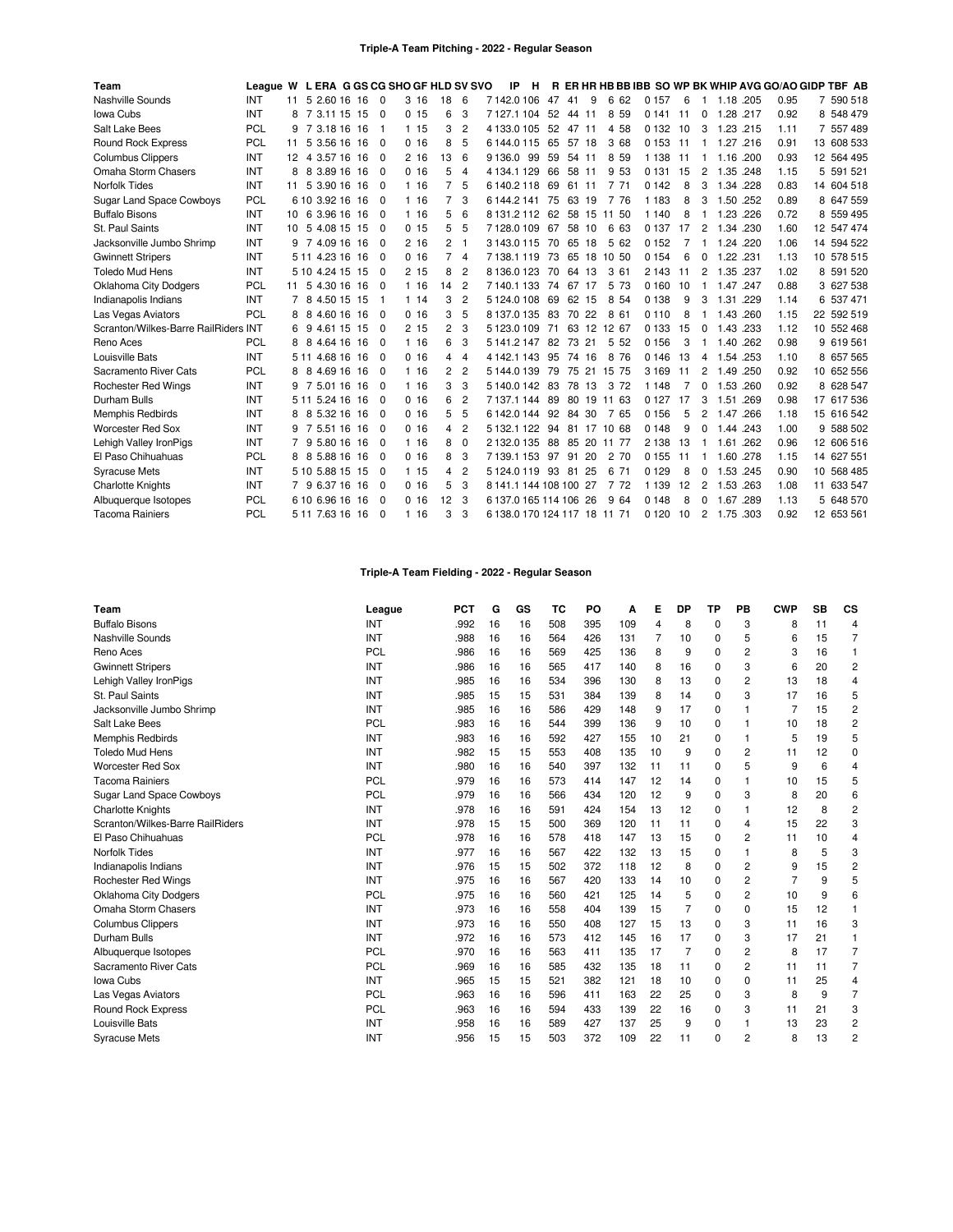| Team                                 | League W L ERA G GS CG SHO GF HLD SV SVO |                   |                 |  |          |       |                |                | ΙP<br>н                      |    |          |     |                      |         |     |                |           |      | R ER HR HB BB IBB SO WP BK WHIP AVG GO/AO GIDP TBF AB |            |
|--------------------------------------|------------------------------------------|-------------------|-----------------|--|----------|-------|----------------|----------------|------------------------------|----|----------|-----|----------------------|---------|-----|----------------|-----------|------|-------------------------------------------------------|------------|
| Nashville Sounds                     | INT                                      | 11                | 5 2.60 16 16    |  | - 0      | 3 16  | 18             | 6              | 7142.0106                    | 47 | -41      | 9   | 6 62                 | 0 1 5 7 | 6   | -1             | 1.18 .205 |      | 0.95                                                  | 7 590 518  |
| Iowa Cubs                            | INT                                      | 8                 | 7 3.11 15 15    |  | - 0      | 0.15  | 6              | 3              | 7127.1104                    | 52 | 44 11    |     | 8<br>59              | 0 1 4 1 | -11 | $\Omega$       | 1.28      | .217 | 0.92                                                  | 8 548 479  |
| Salt Lake Bees                       | PCL                                      | 9                 | 7 3.18 16 16    |  | -1       | 115   | 3              | $\overline{2}$ | 4133.0105                    | 52 | 47 11    |     | 4 58                 | 0 1 3 2 | 10  | 3              | 1.23 .215 |      | 1.11                                                  | 7 557 489  |
| <b>Round Rock Express</b>            | PCL                                      | 11                | 5 3.56 16 16    |  | - 0      | 0, 16 | 8              | 5              | 6144.0115                    | 65 | 57 18    |     | 3 68                 | 0 1 5 3 | 11  | $\mathbf{1}$   | 1.27 .216 |      | 0.91                                                  | 13 608 533 |
| <b>Columbus Clippers</b>             | INT                                      | $12 \overline{ }$ | 4 3.57 16 16    |  | 0        | 2 16  | 13             | 6              | 99<br>9136.0                 | 59 | 54 11    |     | 8<br>59              | 1 1 3 8 | 11  | -1             | 1.16      | .200 | 0.93                                                  | 12 564 495 |
| Omaha Storm Chasers                  | <b>INT</b>                               | 8                 | 8 3.89 16 16    |  | $\Omega$ | 0, 16 | 5              | $\overline{4}$ | 4 134.1 129                  | 66 | 58 11    |     | 9 53                 | 0 1 3 1 | 15  | $\overline{2}$ | 1.35 .248 |      | 1.15                                                  | 5 591 521  |
| <b>Norfolk Tides</b>                 | INT                                      | 11                | 5 3.90 16 16    |  | - 0      | 116   | 7              | 5              | 6140.2118                    | 69 | 61 11    |     | 7 71                 | 0 1 4 2 | 8   | 3              | 1.34      | .228 | 0.83                                                  | 14 604 518 |
| <b>Sugar Land Space Cowboys</b>      | PCL                                      |                   | 6 10 3.92 16 16 |  | - 0      | 1 16  | 7              | 3              | 6144.2141                    | 75 | 63 19    |     | 7 76                 | 1 1 8 3 | 8   | 3              | 1.50 .252 |      | 0.89                                                  | 8 647 559  |
| <b>Buffalo Bisons</b>                | INT                                      |                   | 10 6 3.96 16 16 |  | $\Omega$ | 116   | 5              | 6              | 8 131.2 112 62               |    |          |     | 58 15 11 50          | 1 1 4 0 | 8   | -1             | 1.23 .226 |      | 0.72                                                  | 8 559 495  |
| St. Paul Saints                      | <b>INT</b>                               | 10                | 5 4.08 15 15    |  | $\Omega$ | 0.15  | 5              | 5              | 7128.0109                    | 67 | 58 10    |     | 6<br>63              | 0 1 3 7 | 17  | 2              | 1.34 .230 |      | 1.60                                                  | 12 547 474 |
| Jacksonville Jumbo Shrimp            | <b>INT</b>                               | 9                 | 7 4.09 16 16    |  | $\Omega$ | 2.16  | 2              | -1             | 3 143.0 115                  | 70 | 65       | 18  | 5<br>62              | 0 1 5 2 |     | 1              | 1.24      | .220 | 1.06                                                  | 14 594 522 |
| <b>Gwinnett Stripers</b>             | INT                                      |                   | 5 11 4.23 16 16 |  | 0        | 0.16  | 7              | $\overline{4}$ | 7138.1119                    | 73 |          |     | 65 18 10 50          | 0 1 5 4 | 6   | 0              | 1.22 .231 |      | 1.13                                                  | 10 578 515 |
| <b>Toledo Mud Hens</b>               | <b>INT</b>                               |                   | 5 10 4 24 15 15 |  | $\Omega$ | 215   | 8              | $\overline{2}$ | 8136.0123                    | 70 | 64 13    |     | 3 61                 | 2 1 4 3 | 11  | $\overline{2}$ | 1.35      | .237 | 1.02                                                  | 8 591 520  |
| <b>Oklahoma City Dodgers</b>         | PCL                                      | 11                | 5 4.30 16 16    |  | $\Omega$ | 1 16  | 14             | $\overline{2}$ | 7140.1133                    | 74 | 67 17    |     | 5 73                 | 0 160   | 10  | -1             | 1.47      | .247 | 0.88                                                  | 3 627 538  |
| Indianapolis Indians                 | INT                                      | 7                 | 8 4.50 15 15    |  | -1       | 114   | 3              | $\overline{2}$ | 5124.0108                    | 69 | 62 15    |     | 8 54                 | 0 1 3 8 | 9   | 3              | 1.31      | .229 | 1.14                                                  | 6 537 471  |
| Las Vegas Aviators                   | PCL                                      | 8                 | 8<br>4.60 16 16 |  | $\Omega$ | 0, 16 | 3              | 5              | 8137.0135                    | 83 | 70 22    |     | 8<br>61              | 0 1 1 0 | 8   |                | 1.43      | .260 | 1.15                                                  | 22 592 519 |
| Scranton/Wilkes-Barre RailRiders INT |                                          | 6                 | 4.61 15 15<br>9 |  | $\Omega$ | 215   | $\overline{c}$ | 3              | 5123.0109                    | 71 |          |     | 63 12 12 67          | 0 1 3 3 | 15  | $\Omega$       | 1.43 .233 |      | 1.12                                                  | 10 552 468 |
| Reno Aces                            | PCL                                      | 8                 | 8 4.64 16 16    |  | - 0      | 1 16  | 6              | 3              | 5 141.2 147                  | 82 | 73 21    |     | 5 5 2                | 0 1 5 6 | 3   | -1             | 1.40 .262 |      | 0.98                                                  | 9 619 561  |
| Louisville Bats                      | INT                                      |                   | 5 11 4 68 16 16 |  | $\Omega$ | 0, 16 | 4              | $\overline{4}$ | 4 142.1 143                  | 95 | 74 16    |     | 8<br>76              | 0 1 4 6 | 13  | 4              | 1.54 253  |      | 1.10                                                  | 8 657 565  |
| Sacramento River Cats                | PCL                                      | 8                 | 4.69 16 16<br>8 |  | - 0      | 1 16  | 2              | $\overline{2}$ | 5144.0139                    | 79 |          |     | 75 21 15 75          | 3 1 6 9 | 11  | 2              | 1.49 .250 |      | 0.92                                                  | 10 652 556 |
| Rochester Red Wings                  | INT                                      | 9                 | 7 5.01 16 16    |  | $\Omega$ | 1 16  | 3              | 3              | 5140.0142                    | 83 | 78       | 13  | 3<br>72              | 1 1 4 8 | 7   | $\Omega$       | 1.53      | .260 | 0.92                                                  | 8 628 547  |
| Durham Bulls                         | INT                                      |                   | 5 11 5.24 16 16 |  | $\Omega$ | 0, 16 | 6              | $\overline{2}$ | 71371144                     | 89 |          |     | 80 19 11 63          | 0 1 2 7 | 17  | 3              | 1.51      | .269 | 0.98                                                  | 17 617 536 |
| <b>Memphis Redbirds</b>              | INT                                      | 8                 | 5.32 16 16<br>8 |  | - 0      | 0, 16 | 5              | 5              | 6 142.0 144                  |    | 92 84 30 |     | 765                  | 0 1 5 6 | 5   | $\overline{c}$ | 1.47      | .266 | 1.18                                                  | 15 616 542 |
| <b>Worcester Red Sox</b>             | <b>INT</b>                               | 9                 | 7 5.51 16 16    |  | $\Omega$ | 0, 16 | 4              | $\overline{2}$ | 5 132.1 122                  | 94 |          |     | 81 17 10 68          | 0 1 4 8 | 9   | $\Omega$       | 1.44 .243 |      | 1.00                                                  | 9 588 502  |
| Lehigh Valley IronPigs               | INT                                      |                   | 9 5.80 16 16    |  | $\Omega$ | 116   | 8              | $\Omega$       | 2132.0135                    |    |          |     | 88 85 20 11 77       | 2 1 3 8 | 13  | -1             | 1.61 .262 |      | 0.96                                                  | 12 606 516 |
| El Paso Chihuahuas                   | <b>PCL</b>                               | 8                 | 8 5.88 16 16    |  | $\Omega$ | 0, 16 | 8              | 3              | 7139.1153                    | 97 | 91       | 20  | $\overline{2}$<br>70 | 0 1 5 5 | -11 | -1             | 1.60 .278 |      | 1.15                                                  | 14 627 551 |
| <b>Syracuse Mets</b>                 | INT                                      |                   | 5 10 5.88 15 15 |  | $\Omega$ | 1 15  | 4              | $\overline{2}$ | 5124.0119                    | 93 | 81       | 25  | 6<br>71              | 0 1 2 9 | 8   | $\Omega$       | 1.53 .245 |      | 0.90                                                  | 10 568 485 |
| <b>Charlotte Knights</b>             | INT                                      |                   | 9 6.37 16 16    |  | 0        | 0, 16 | 5              | 3              | 8 141.1 144 108 100 27       |    |          |     | 7 72                 | 1 1 3 9 | 12  | $\overline{c}$ | 1.53 .263 |      | 1.08                                                  | 11 633 547 |
| Albuquerque Isotopes                 | PCL                                      |                   | 6 10 6 96 16 16 |  | $\Omega$ | 0, 16 | 12             | 3              | 6 137 0 165 114 106          |    |          | -26 | 9<br>64              | 0 1 4 8 | 8   | $\Omega$       | 1.67      | .289 | 1.13                                                  | 5 648 570  |
| <b>Tacoma Rainiers</b>               | <b>PCL</b>                               |                   | 5 11 7.63 16 16 |  | $\Omega$ | 1 16  | 3              | 3              | 6 138.0 170 124 117 18 11 71 |    |          |     |                      | 0 1 2 0 | 10  | $\overline{2}$ | 1.75 .303 |      | 0.92                                                  | 12 653 561 |

# **Triple-A Team Fielding - 2022 - Regular Season**

| Team                             | League | <b>PCT</b> | G  | GS | ТC  | PO  | А   | Е              | <b>DP</b>      | <b>TP</b> | PB | <b>CWP</b>     | <b>SB</b> | CS             |
|----------------------------------|--------|------------|----|----|-----|-----|-----|----------------|----------------|-----------|----|----------------|-----------|----------------|
| <b>Buffalo Bisons</b>            | INT    | .992       | 16 | 16 | 508 | 395 | 109 | $\overline{4}$ | 8              | $\Omega$  | 3  | 8              | 11        | 4              |
| Nashville Sounds                 | INT    | .988       | 16 | 16 | 564 | 426 | 131 | 7              | 10             | 0         | 5  | 6              | 15        | 7              |
| Reno Aces                        | PCL    | .986       | 16 | 16 | 569 | 425 | 136 | 8              | 9              | $\Omega$  | 2  | 3              | 16        | 1              |
| <b>Gwinnett Stripers</b>         | INT    | .986       | 16 | 16 | 565 | 417 | 140 | 8              | 16             | 0         | 3  | 6              | 20        | $\overline{c}$ |
| Lehigh Valley IronPigs           | INT    | .985       | 16 | 16 | 534 | 396 | 130 | 8              | 13             | $\Omega$  | 2  | 13             | 18        | 4              |
| St. Paul Saints                  | INT    | .985       | 15 | 15 | 531 | 384 | 139 | 8              | 14             | 0         | 3  | 17             | 16        | 5              |
| Jacksonville Jumbo Shrimp        | INT    | .985       | 16 | 16 | 586 | 429 | 148 | 9              | 17             | 0         | 1  | 7              | 15        | 2              |
| Salt Lake Bees                   | PCL    | .983       | 16 | 16 | 544 | 399 | 136 | 9              | 10             | $\Omega$  | 1  | 10             | 18        | $\overline{2}$ |
| Memphis Redbirds                 | INT    | .983       | 16 | 16 | 592 | 427 | 155 | 10             | 21             | $\Omega$  | 1  | 5              | 19        | 5              |
| <b>Toledo Mud Hens</b>           | INT    | .982       | 15 | 15 | 553 | 408 | 135 | 10             | 9              | $\Omega$  | 2  | 11             | 12        | $\Omega$       |
| <b>Worcester Red Sox</b>         | INT    | .980       | 16 | 16 | 540 | 397 | 132 | 11             | 11             | 0         | 5  | 9              | 6         | 4              |
| <b>Tacoma Rainiers</b>           | PCL    | .979       | 16 | 16 | 573 | 414 | 147 | 12             | 14             | $\Omega$  | 1  | 10             | 15        | 5              |
| <b>Sugar Land Space Cowboys</b>  | PCL    | .979       | 16 | 16 | 566 | 434 | 120 | 12             | 9              | 0         | 3  | 8              | 20        | 6              |
| <b>Charlotte Knights</b>         | INT    | .978       | 16 | 16 | 591 | 424 | 154 | 13             | 12             | $\Omega$  | 1  | 12             | 8         | 2              |
| Scranton/Wilkes-Barre RailRiders | INT    | .978       | 15 | 15 | 500 | 369 | 120 | 11             | 11             | 0         | 4  | 15             | 22        | 3              |
| El Paso Chihuahuas               | PCL    | .978       | 16 | 16 | 578 | 418 | 147 | 13             | 15             | 0         | 2  | 11             | 10        | 4              |
| <b>Norfolk Tides</b>             | INT    | .977       | 16 | 16 | 567 | 422 | 132 | 13             | 15             | 0         | 1  | 8              | 5         | 3              |
| Indianapolis Indians             | INT    | .976       | 15 | 15 | 502 | 372 | 118 | 12             | 8              | 0         | 2  | 9              | 15        | 2              |
| <b>Rochester Red Wings</b>       | INT    | .975       | 16 | 16 | 567 | 420 | 133 | 14             | 10             | 0         | 2  | $\overline{7}$ | 9         | 5              |
| <b>Oklahoma City Dodgers</b>     | PCL    | .975       | 16 | 16 | 560 | 421 | 125 | 14             | 5              | 0         | 2  | 10             | 9         | 6              |
| Omaha Storm Chasers              | INT    | .973       | 16 | 16 | 558 | 404 | 139 | 15             | $\overline{7}$ | $\Omega$  | 0  | 15             | 12        |                |
| <b>Columbus Clippers</b>         | INT    | .973       | 16 | 16 | 550 | 408 | 127 | 15             | 13             | 0         | 3  | 11             | 16        | 3              |
| Durham Bulls                     | INT    | .972       | 16 | 16 | 573 | 412 | 145 | 16             | 17             | $\Omega$  | 3  | 17             | 21        | 1              |
| Albuquerque Isotopes             | PCL    | .970       | 16 | 16 | 563 | 411 | 135 | 17             | $\overline{7}$ | $\Omega$  | 2  | 8              | 17        | $\overline{7}$ |
| Sacramento River Cats            | PCL    | .969       | 16 | 16 | 585 | 432 | 135 | 18             | 11             | $\Omega$  | 2  | 11             | 11        | 7              |
| Iowa Cubs                        | INT    | .965       | 15 | 15 | 521 | 382 | 121 | 18             | 10             | 0         | 0  | 11             | 25        | 4              |
| Las Vegas Aviators               | PCL    | .963       | 16 | 16 | 596 | 411 | 163 | 22             | 25             | 0         | 3  | 8              | 9         | 7              |
| Round Rock Express               | PCL    | .963       | 16 | 16 | 594 | 433 | 139 | 22             | 16             | $\Omega$  | 3  | 11             | 21        | 3              |
| Louisville Bats                  | INT    | .958       | 16 | 16 | 589 | 427 | 137 | 25             | 9              | 0         | 1  | 13             | 23        | 2              |
| <b>Syracuse Mets</b>             | INT    | .956       | 15 | 15 | 503 | 372 | 109 | 22             | 11             | 0         | 2  | 8              | 13        | 2              |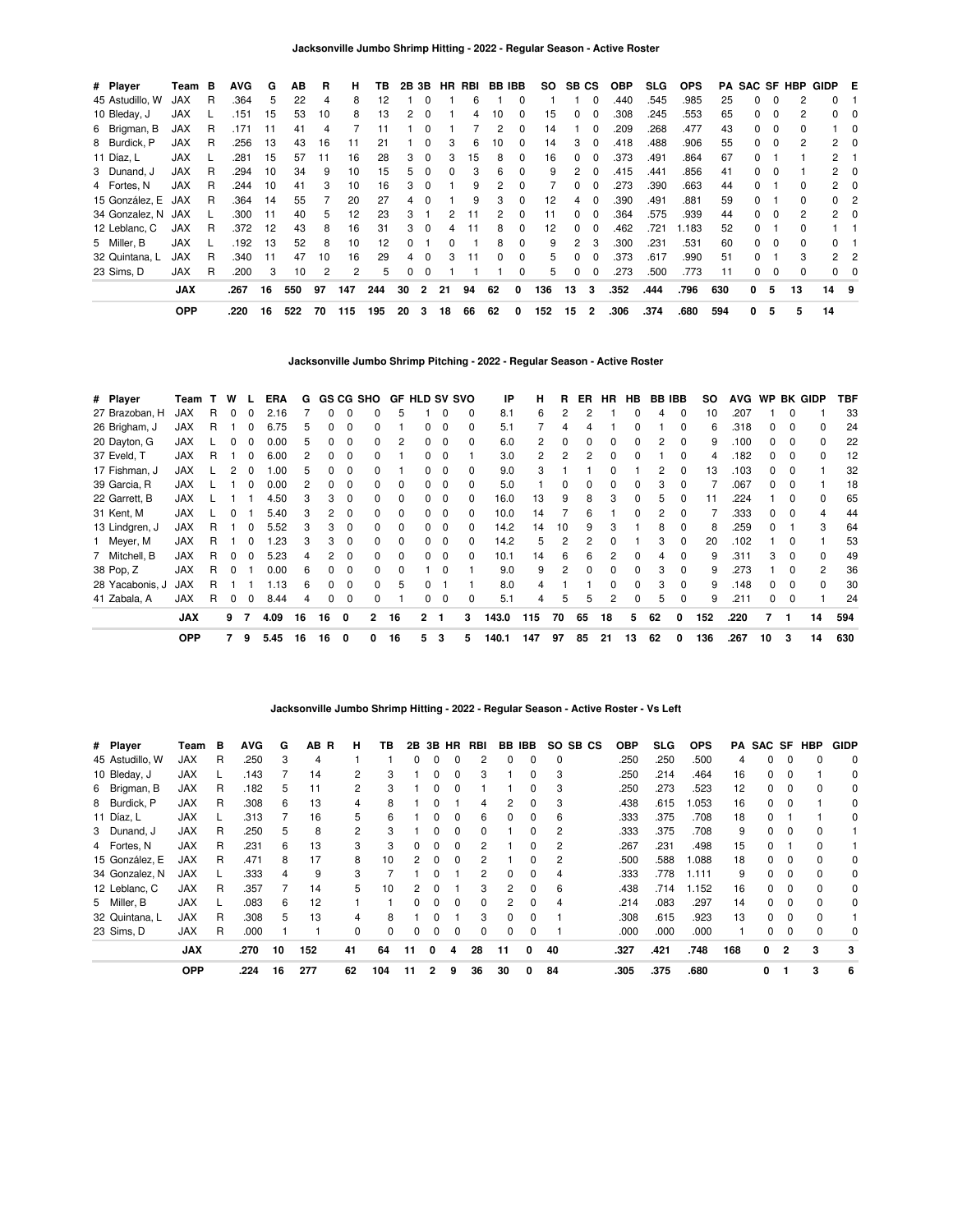| # Player        | Team       | в | <b>AVG</b> | G  | ΑВ  | R  | н   | ΤВ  | 2B 3B |          | HR. | RBI | <b>BB IBB</b> |              | SO  | SB CS          |                | <b>OBP</b> | <b>SLG</b> | <b>OPS</b> | PA  |              |          | <b>SAC SF HBP</b> | GIDP E         |              |
|-----------------|------------|---|------------|----|-----|----|-----|-----|-------|----------|-----|-----|---------------|--------------|-----|----------------|----------------|------------|------------|------------|-----|--------------|----------|-------------------|----------------|--------------|
| 45 Astudillo, W | <b>JAX</b> | R | .364       | 5  | 22  | 4  | 8   | 12  |       | $\Omega$ |     | 6   |               |              |     |                | 0              | .440       | .545       | .985       | 25  | <sup>0</sup> | $\Omega$ | 2                 | 0              |              |
| 10 Bleday, J    | <b>JAX</b> |   | .151       | 15 | 53  | 10 | 8   | 13  | 2     | $\Omega$ |     | 4   | 10            | <sup>0</sup> | 15  | $\Omega$       | 0              | .308       | .245       | .553       | 65  | 0            | $\Omega$ | 2                 | $\Omega$       |              |
| 6 Brigman, B    | <b>JAX</b> | R | .171       | 11 | 41  | 4  |     | 11  |       | $\Omega$ |     |     |               | $\Omega$     | 14  |                | 0              | .209       | .268       | .477       | 43  | 0            | 0        | 0                 |                | $\mathbf{0}$ |
| 8 Burdick, P    | <b>JAX</b> | R | .256       | 13 | 43  | 16 | 11  | 21  |       | $\Omega$ | 3   | 6   | 10            | $\Omega$     | 14  | 3              | 0              | .418       | .488       | .906       | 55  | 0            | $\Omega$ | 2                 | 2              | $\Omega$     |
| 11 Díaz, L      | <b>JAX</b> |   | .281       | 15 | 57  | 11 | 16  | 28  | 3     | $\Omega$ | 3   | 15  | 8             | $\Omega$     | 16  | $\Omega$       | 0              | .373       | .491       | .864       | 67  | 0            |          |                   | $\overline{2}$ |              |
| 3 Dunand, J     | <b>JAX</b> | R | .294       | 10 | 34  | 9  | 10  | 15  | 5.    | $\Omega$ | 0   | з   | 6             | $\Omega$     | 9   | 2              | 0              | .415       | .441       | .856       | 41  | <sup>0</sup> | $\Omega$ |                   | $\mathbf{2}$   | - 0          |
| 4 Fortes, N     | JAX        | R | .244       | 10 | 41  | 3  | 10  | 16  | 3     | $\Omega$ |     | 9   |               |              |     | 0              | 0              | .273       | .390       | .663       | 44  | <sup>0</sup> |          | <sup>0</sup>      | 2              | 0            |
| 15 González. E  | JAX        | R | .364       | 14 | 55  |    | 20  | 27  | 4     | $\Omega$ |     | 9   | 3             | 0            | 12  | 4              | 0              | .390       | .491       | .881       | 59  | <sup>0</sup> |          | <sup>0</sup>      | 0              | -2           |
| 34 Gonzalez, N  | JAX        |   | .300       | 11 | 40  | 5  | 12  | 23  | 3     |          | 2   | 11  | 2             | $\Omega$     | 11  | $\Omega$       | 0              | .364       | .575       | .939       | 44  | 0            | $\Omega$ | 2                 |                | $2 \quad 0$  |
| 12 Leblanc, C   | <b>JAX</b> | R | .372       | 12 | 43  | 8  | 16  | 31  | 3     | $\Omega$ | 4   | 11  | 8             | $\Omega$     | 12  | $\Omega$       | 0              | .462       | .721       | 1.183      | 52  | $\Omega$     |          | <sup>0</sup>      |                |              |
| 5 Miller, B     | <b>JAX</b> |   | 192        | 13 | 52  | 8  | 10  | 12  | 0     |          | 0   |     | 8             | $\Omega$     | 9   | $\overline{2}$ | 3              | .300       | .231       | .531       | 60  | <sup>0</sup> | $\Omega$ | $\Omega$          | 0              |              |
| 32 Quintana, L  | <b>JAX</b> | R | .340       | 11 | 47  | 10 | 16  | 29  | 4     | $\Omega$ | 3   | 11  | 0             | $\Omega$     | 5   | 0              | 0              | .373       | .617       | .990       | 51  | <sup>0</sup> |          | 3                 | 2              | -2           |
| 23 Sims. D      | <b>JAX</b> | R | .200       | 3  | 10  | 2  | 2   | 5   | 0     | $\Omega$ |     |     |               | $\Omega$     | 5   | 0              | 0              | .273       | .500       | .773       | 11  | 0            | 0        | 0                 | $^{\circ}$     | - 0          |
|                 | <b>JAX</b> |   | .267       | 16 | 550 | 97 | 147 | 244 | 30    | 2        | 21  | 94  | 62            | 0            | 136 | 13             | 3              | .352       | .444       | .796       | 630 | 0            | 5        | 13                | 14 9           |              |
|                 | <b>OPP</b> |   | .220       | 16 | 522 | 70 | 115 | 195 | 20    | 3        | 18  | 66  | 62            | 0            | 152 | 15             | $\overline{2}$ | .306       | .374       | .680       | 594 | 0            | 5        | 5                 | 14             |              |

**Jacksonville Jumbo Shrimp Pitching - 2022 - Regular Season - Active Roster**

| # Player        | Team       |    | W        |              | ERA  | G  |          |          | GS CG SHO    | <b>GF HLD SV SVO</b> |              |              |   | IP    | н              | R            | ER           | HR.          | HB           | <b>BB IBB</b> |              | so  | <b>AVG</b> |    |          | WP BK GIDP     | TBF |
|-----------------|------------|----|----------|--------------|------|----|----------|----------|--------------|----------------------|--------------|--------------|---|-------|----------------|--------------|--------------|--------------|--------------|---------------|--------------|-----|------------|----|----------|----------------|-----|
| 27 Brazoban, H  | <b>JAX</b> | R. | $\Omega$ | 0            | 2.16 |    | $\Omega$ | $\Omega$ | 0            | 5                    |              |              | 0 | 8.1   | 6              | 2            | 2            |              | 0            | 4             | $\Omega$     | 10  | .207       |    | $\Omega$ |                | 33  |
| 26 Brigham, J   | JAX        | R  |          | 0            | 6.75 | 5  | 0        | 0        | 0            |                      | 0            | 0            | 0 | 5.1   |                | 4            |              |              |              |               | $\Omega$     | 6   | .318       | 0  | $\Omega$ | 0              | 24  |
| 20 Dayton, G    | <b>JAX</b> |    |          |              | 0.00 | 5  | 0        | $\Omega$ | 0            | 2                    |              | <sup>0</sup> | 0 | 6.0   | $\overline{2}$ | 0            | <sup>0</sup> | $\Omega$     | 0            | 2             | $\Omega$     | 9   | .100       | O. | $\Omega$ | 0              | 22  |
| 37 Eveld, T     | <b>JAX</b> | R  |          |              | 6.00 | 2  | 0        | 0        |              |                      |              |              |   | 3.0   | 2              | 2            |              |              |              |               | $\Omega$     | 4   | .182       |    | 0        | 0              | 12  |
| 17 Fishman, J   | <b>JAX</b> |    |          |              | .00  | 5. | 0        | O        |              |                      |              |              | 0 | 9.0   | 3              |              |              |              |              | 2             | <sup>0</sup> | 13  | .103       | O. | $\Omega$ |                | 32  |
| 39 Garcia, R    | <b>JAX</b> |    |          | <sup>0</sup> | 0.00 | 2  | 0        | C        | 0            |                      |              |              |   | 5.0   |                | <sup>0</sup> |              |              |              | 3             |              |     | .067       | O. | $\Omega$ |                | 18  |
| 22 Garrett, B   | JAX        |    |          |              | 4.50 |    | 3        | $\Omega$ | O.           |                      |              | 0            | 0 | 16.0  | 13             | 9            | 8            | 3            |              | 5             |              | 11  | .224       |    | 0        | 0              | 65  |
| 31 Kent, M      | <b>JAX</b> |    |          |              | 5.40 | 3  | 2        | 0        | 0            |                      |              | $\Omega$     | 0 | 10.0  | 14             |              | 6            |              |              | 2             | $\Omega$     |     | .333       | 0  | $\Omega$ |                | 44  |
| 13 Lindgren, J  | <b>JAX</b> | R  |          | 0            | 5.52 | 3  | 3        | 0        | 0            | 0                    | 0            | $\Omega$     | 0 | 14.2  | 14             | 10           | 9            | 3            |              | 8             | $\Omega$     | 8   | .259       | O. |          | 3              | 64  |
| 1 Meyer, M      | <b>JAX</b> | R. |          | 0            | .23  | 3  | 3        | $\Omega$ | 0            | $\Omega$             | 0            | $\Omega$     | 0 | 14.2  | 5              | 2            | 2            | <sup>0</sup> |              | 3             | $\Omega$     | 20  | .102       |    | $\Omega$ |                | 53  |
| 7 Mitchell, B   | JAX        | R. | $\Omega$ | <sup>0</sup> | 5.23 | 4  | 2        | $\Omega$ | <sup>0</sup> | $\Omega$             | $\Omega$     | $\Omega$     | 0 | 10.1  | 14             | 6            | 6            |              | <sup>0</sup> | 4             | $\Omega$     | 9   | .311       | 3  | $\Omega$ | $\Omega$       | 49  |
| 38 Pop, Z       | <b>JAX</b> | R. | $\Omega$ |              | 0.00 | 6  | 0        | $\Omega$ | <sup>0</sup> | $\Omega$             |              | <sup>0</sup> |   | 9.0   | 9              | 2            | <sup>n</sup> | $\Omega$     | <sup>0</sup> | 3             | $\Omega$     | 9   | .273       |    | $\Omega$ | $\overline{2}$ | 36  |
| 28 Yacabonis, J | <b>JAX</b> | R  |          |              | 1.13 | 6  | 0        | $\Omega$ | <sup>0</sup> | 5                    | <sup>0</sup> |              |   | 8.0   | 4              |              |              | $\Omega$     | <sup>0</sup> | 3             | $\Omega$     | 9   | .148       | O. | 0        | $\Omega$       | 30  |
| 41 Zabala, A    | <b>JAX</b> | R  | 0        | 0            | 8.44 | 4  | 0        | 0        | 0            |                      | 0            | $\Omega$     | 0 | 5.1   | 4              | 5            | 5            | 2            |              | 5             | $\Omega$     | 9   | .211       | 0  | 0        |                | 24  |
|                 | <b>JAX</b> |    | 9        | -7           | 4.09 | 16 | 16       | 0        | $\mathbf{2}$ | 16                   | $\mathbf{2}$ | -1           | 3 | 143.0 | 115            | 70           | 65           | 18           | 5            | 62            | 0            | 152 | .220       |    | 1        | 14             | 594 |
|                 | <b>OPP</b> |    | 7        | 9            | 5.45 | 16 | 16       | 0        | 0            | 16                   | 5            | 3            | 5 | 140.1 | 147            | 97           | 85           | 21           | 13           | 62            | 0            | 136 | .267       | 10 | 3        | 14             | 630 |

**Jacksonville Jumbo Shrimp Hitting - 2022 - Regular Season - Active Roster - Vs Left**

|                 | <b>OPP</b> |   | .224       | 16 | 277      | 62             | 104 | 11            | 2            | 9            | 36  | 30           | 0        | 84           | .305       | .375 | .680       |     | 0      |              | 3          | 6           |
|-----------------|------------|---|------------|----|----------|----------------|-----|---------------|--------------|--------------|-----|--------------|----------|--------------|------------|------|------------|-----|--------|--------------|------------|-------------|
|                 | <b>JAX</b> |   | .270       | 10 | 152      | 41             | 64  | 11            | 0            | 4            | 28  | 11           | O        | 40           | .327       | .421 | .748       | 168 | 0      | 2            | 3          | 3           |
| 23 Sims, D      | <b>JAX</b> | R | .000       |    |          | 0              |     |               |              |              | 0   | $\Omega$     | 0        |              | .000       | .000 | .000       |     | 0      |              |            | 0           |
| 32 Quintana, L  | <b>JAX</b> | R | .308       | 5  | 13       | 4              | 8   |               | O            |              | 3   | $\Omega$     | $\Omega$ |              | .308       | .615 | .923       | 13  | 0      | <sup>0</sup> |            |             |
| 5 Miller, B     | <b>JAX</b> |   | .083       | 6  | 12       |                |     | <sup>0</sup>  | O            | <sup>n</sup> | 0   | 2            | 0        | 4            | .214       | .083 | .297       | 14  | 0      | $\Omega$     |            | 0           |
| 12 Leblanc, C   | <b>JAX</b> | R | .357       |    | 14       | 5              | 10  | 2             | <sup>0</sup> |              | 3   | 2            | 0        | 6            | .438       | .714 | 1.152      | 16  | 0      |              |            | 0           |
| 34 Gonzalez, N  | <b>JAX</b> |   | .333       |    | 9        | 3              |     |               |              |              | 2   | <sup>0</sup> | 0        | 4            | .333       | .778 | 1.111      | 9   | 0      |              |            | 0           |
| 15 González, E  | <b>JAX</b> | R | .471       | 8  | 17       | 8              | 10  | $\mathcal{P}$ | O            |              | 2   |              | 0        | 2            | .500       | .588 | 1.088      | 18  | 0      |              |            | 0           |
| 4 Fortes, N     | <b>JAX</b> | R | .231       | 6  | 13       | 3              | 3   | $\Omega$      | <sup>0</sup> | <sup>0</sup> | 2   |              | 0        | 2            | .267       | .231 | .498       | 15  | 0      |              |            |             |
| 3 Dunand, J     | <b>JAX</b> | R | .250       | 5  | 8        | $\overline{2}$ | з   |               | <sup>0</sup> | <sup>0</sup> | 0   |              | $\Omega$ | 2            | .333       | .375 | .708       | 9   | 0      | 0            |            |             |
| 11 Díaz, L      | JAX        |   | .313       |    | 16       | 5              | 6   |               |              |              | 6   | 0            | 0        | 6            | .333       | .375 | .708       | 18  | 0      |              |            | 0           |
| 8 Burdick, P    | <b>JAX</b> | R | .308       | 6  | 13       | 4              | 8   |               |              |              | 4   | 2            | 0        | 3            | .438       | .615 | 1.053      | 16  | 0      |              |            | 0           |
| 6 Brigman, B    | JAX        | R | .182       | 5  | 11       | 2              | з   |               | O            | n            |     |              | 0        | 3            | .250       | .273 | .523       | 12  | 0      |              | n          | 0           |
| 10 Bleday, J    | <b>JAX</b> | L | .143       |    | 14       | 2              | 3   |               | 0            | <sup>0</sup> | 3   |              | 0        | 3            | .250       | .214 | .464       | 16  | 0      |              |            | 0           |
| 45 Astudillo, W | JAX        | R | .250       | 3  | 4        |                |     | 0             | 0            |              | 2   | 0            | 0        | 0            | .250       | .250 | .500       |     | 0      |              |            | $\Omega$    |
| # Player        | Team       | в | <b>AVG</b> | G  | AB.<br>B | н              | ΤВ  | 2В            | 3В           | HR           | RBI | BВ           | IBB.     | SO.<br>SB CS | <b>OBP</b> | SLG. | <b>OPS</b> | PA  | SAC SF |              | <b>HBP</b> | <b>GIDP</b> |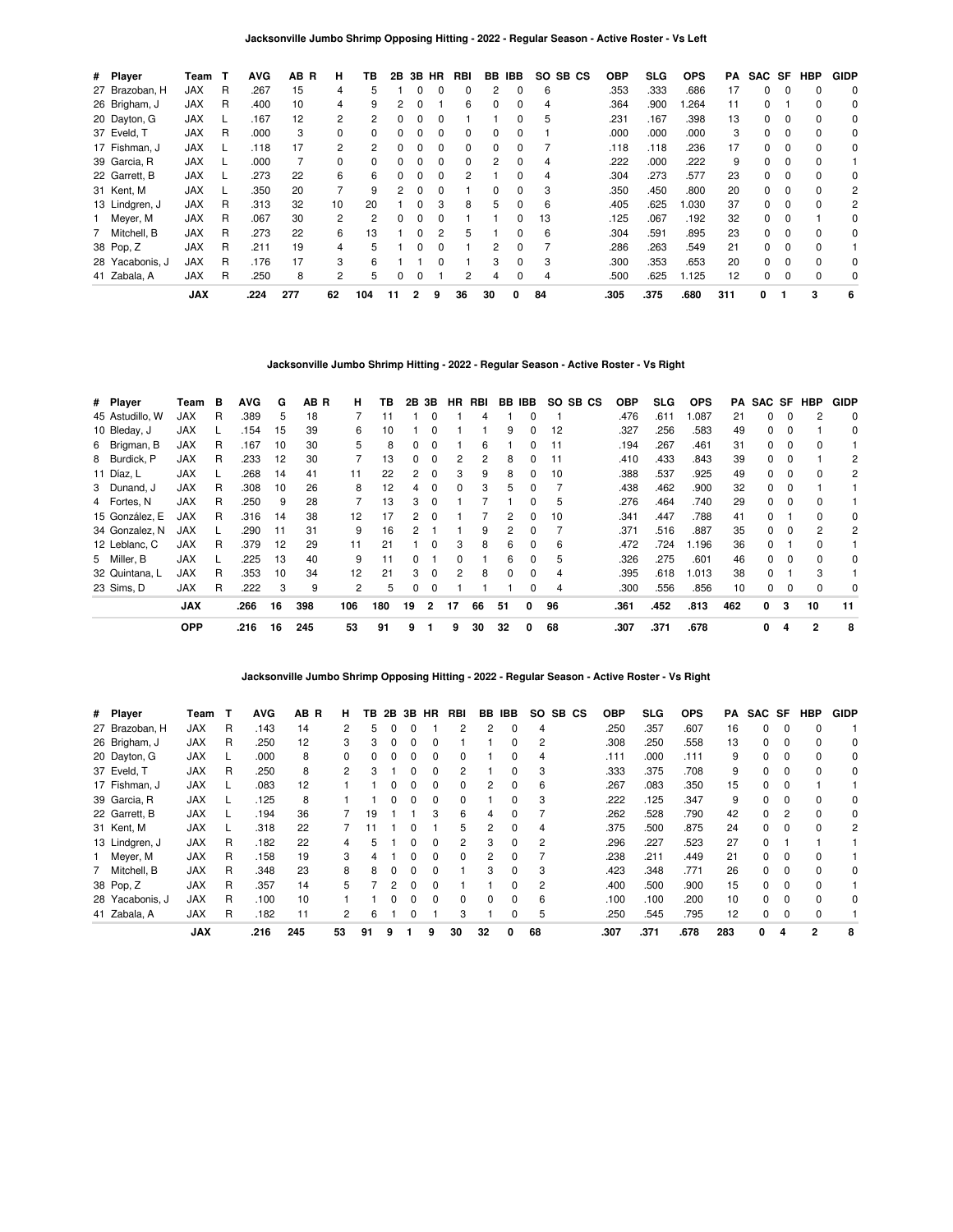| # Player        | Team       |   | <b>AVG</b> | AB R | н              | ΤВ           | 2B | 3В | HR       | RBI      | BB. | IBB          | SO.<br>SB CS | <b>OBP</b> | <b>SLG</b> | <b>OPS</b> | РA  | SAC SF   |             | <b>HBP</b> | <b>GIDP</b> |
|-----------------|------------|---|------------|------|----------------|--------------|----|----|----------|----------|-----|--------------|--------------|------------|------------|------------|-----|----------|-------------|------------|-------------|
| 27 Brazoban, H  | <b>JAX</b> | R | 267        | 15   | 4              | 5            |    |    | 0        | 0        | 2   | 0            | 6            | .353       | .333       | .686       | 17  | 0        | $\Omega$    | 0          | 0           |
| 26 Brigham, J   | <b>JAX</b> | R | .400       | 10   | 4              | 9            | 2  |    |          | 6        | 0   | 0            | 4            | .364       | .900       | .264       | 11  | 0        |             | $\Omega$   | 0           |
| 20 Dayton, G    | <b>JAX</b> |   | .167       | 12   | 2              | 2            | 0  |    | 0        |          |     | 0            | 5            | .231       | .167       | .398       | 13  | 0        | $\Omega$    | $\Omega$   | 0           |
| 37 Eveld, T     | <b>JAX</b> | R | .000       | 3    | 0              | <sup>0</sup> | 0  |    | 0        | 0        | 0   | $\Omega$     |              | .000       | .000       | .000       | 3   | $\Omega$ | $\Omega$    | $\Omega$   | 0           |
| 17 Fishman, J   | <b>JAX</b> |   | .118       | 17   | $\overline{2}$ | 2            |    |    |          | 0        | 0   |              |              | .118       | .118       | .236       | 17  | 0        |             | $\Omega$   | 0           |
| 39 Garcia, R    | <b>JAX</b> |   | .000       |      | 0              | 0            | 0  | 0  | 0        | $\Omega$ | 2   | $\Omega$     | 4            | .222       | .000       | .222       | 9   | 0        | 0           | 0          |             |
| 22 Garrett, B   | <b>JAX</b> |   | .273       | 22   | 6              | 6            | 0  | 0  | $\Omega$ | 2        |     | $\Omega$     | 4            | .304       | .273       | .577       | 23  | $\Omega$ | $\Omega$    | $\Omega$   | 0           |
| 31 Kent, M      | <b>JAX</b> |   | .350       | 20   |                | 9            | 2  |    |          |          | 0   |              | 3            | .350       | .450       | .800       | 20  | 0        | $\Omega$    | $\Omega$   | 2           |
| 13 Lindgren, J  | <b>JAX</b> | R | .313       | 32   | 10             | 20           |    |    | 3        | 8        | 5   | 0            | 6            | .405       | .625       | .030       | 37  | 0        | $\Omega$    | $\Omega$   | 2           |
| Meyer, M        | <b>JAX</b> | R | .067       | 30   | $\overline{2}$ | 2            | 0  | 0  | $\Omega$ |          |     | 0            | 13           | .125       | .067       | .192       | 32  | $\Omega$ | $\Omega$    |            | $\Omega$    |
| 7 Mitchell, B   | <b>JAX</b> | R | .273       | 22   | 6              | 13           |    |    | 2        | 5        |     | <sup>0</sup> | 6            | .304       | .591       | .895       | 23  | 0        | $\Omega$    | $\Omega$   | 0           |
| 38 Pop, Z       | <b>JAX</b> | R | .211       | 19   | 4              | 5            |    |    |          |          | 2   |              |              | .286       | .263       | .549       | 21  | $\Omega$ | $\Omega$    | $\Omega$   |             |
| 28 Yacabonis, J | <b>JAX</b> | R | .176       | 17   | 3              | 6            |    |    | 0        |          | 3   | $\Omega$     | 3            | .300       | .353       | .653       | 20  | $\Omega$ | $\Omega$    | $\Omega$   | 0           |
| 41 Zabala, A    | <b>JAX</b> | R | .250       | 8    | $\overline{2}$ | 5            | 0  |    |          | 2        | 4   | $\Omega$     | 4            | .500       | .625       | 1.125      | 12  | 0        | $\mathbf 0$ | 0          | 0           |
|                 | <b>JAX</b> |   | .224       | 277  | 62             | 104          | 11 | 2  | 9        | 36       | 30  | 0            | 84           | .305       | .375       | .680       | 311 | 0        |             | 3          | 6           |

**Jacksonville Jumbo Shrimp Hitting - 2022 - Regular Season - Active Roster - Vs Right**

| # Player        | Team       | в | <b>AVG</b> | G  | AB R | н   | TB  |    | 2B 3B        | HR.          | RBI |              | BB IBB       |    | SO SB CS | <b>OBP</b> | <b>SLG</b> | <b>OPS</b> | PA  |    |              | SAC SF HBP   | <b>GIDP</b> |
|-----------------|------------|---|------------|----|------|-----|-----|----|--------------|--------------|-----|--------------|--------------|----|----------|------------|------------|------------|-----|----|--------------|--------------|-------------|
| 45 Astudillo, W | JAX        | R | .389       | 5  | 18   |     | 11  |    | 0            |              | 4   |              |              |    |          | .476       | .611       | 1.087      | 21  | 0  | $\Omega$     | 2            | 0           |
| 10 Bleday, J    | <b>JAX</b> |   | .154       | 15 | 39   | 6   | 10  |    | $\Omega$     |              |     | 9            | 0            | 12 |          | .327       | .256       | .583       | 49  | 0  | $\Omega$     |              | 0           |
| 6 Brigman, B    | <b>JAX</b> | R | .167       | 10 | 30   | 5   | 8   | 0  |              |              | 6   |              |              | 11 |          | .194       | .267       | .461       | 31  | 0  |              | $\Omega$     |             |
| 8 Burdick, P    | JAX        | R | .233       | 12 | 30   |     | 13  | 0  |              |              | 2   | 8            |              | 11 |          | .410       | .433       | .843       | 39  | 0  |              |              | 2           |
| 11 Díaz, L      | JAX        |   | .268       | 14 | 41   | 11  | 22  | 2  | 0            | з            | 9   | 8            | 0            | 10 |          | .388       | .537       | .925       | 49  | 0  | 0            | 0            | 2           |
| 3 Dunand, J     | <b>JAX</b> | R | .308       | 10 | 26   | 8   | 12  | 4  | $\Omega$     | $\Omega$     | 3   | 5            | 0            |    |          | .438       | .462       | .900       | 32  | 0  | <sup>0</sup> |              |             |
| 4 Fortes, N     | <b>JAX</b> | R | .250       | 9  | 28   |     | 13  | 3  |              |              |     |              | 0            | 5  |          | .276       | .464       | .740       | 29  | 0  |              |              |             |
| 15 González, E  | <b>JAX</b> | R | .316       | 14 | 38   | 12  | 17  | 2  |              |              |     | 2            |              | 10 |          | .341       | .447       | .788       | 41  | O. |              | <sup>0</sup> | 0           |
| 34 Gonzalez, N  | JAX        |   | .290       | 11 | 31   | 9   | 16  | 2  |              |              | 9   | 2            | 0            |    |          | .371       | .516       | .887       | 35  | 0  | - 0          | 2            | 2           |
| 12 Leblanc, C   | <b>JAX</b> | R | .379       | 12 | 29   | 11  | 21  |    | $\Omega$     | 3            | 8   | 6            | 0            | 6  |          | .472       | .724       | 1.196      | 36  | 0  |              | $\Omega$     |             |
| 5 Miller, B     | <b>JAX</b> |   | .225       | 13 | 40   | 9   | 11  | O. |              | <sup>n</sup> |     | 6            | <sup>0</sup> | 5  |          | .326       | .275       | .601       | 46  | 0  | $\Omega$     | <sup>0</sup> | 0           |
| 32 Quintana, L  | <b>JAX</b> | R | .353       | 10 | 34   | 12  | 21  | 3  | <sup>0</sup> |              | 8   | <sup>0</sup> | <sup>0</sup> | 4  |          | .395       | .618       | 1.013      | 38  | 0  |              | 3            |             |
| 23 Sims. D      | <b>JAX</b> | R | .222       | 3  | 9    | 2   | 5   | 0  | $\Omega$     |              |     |              |              | 4  |          | .300       | .556       | .856       | 10  | 0  | 0            | $\Omega$     | 0           |
|                 | <b>JAX</b> |   | .266       | 16 | 398  | 106 | 180 | 19 | 2            | 17           | 66  | 51           | 0            | 96 |          | .361       | .452       | .813       | 462 | 0  | 3            | 10           | 11          |
|                 | <b>OPP</b> |   | .216       | 16 | 245  | 53  | 91  | 9  |              | 9            | 30  | 32           | 0            | 68 |          | .307       | .371       | .678       |     | 0  | 4            | 2            | 8           |

**Jacksonville Jumbo Shrimp Opposing Hitting - 2022 - Regular Season - Active Roster - Vs Right**

| # Player        | Team       |   | AVG  | AB R | н.           | тв. | 2B | 3В           | HR           | RBI            | BB.      | IBB      | SO. | SB.<br>CS | OBP  | <b>SLG</b> | <b>OPS</b> | PA  | SAC SF   |               | <b>HBP</b> | <b>GIDP</b> |
|-----------------|------------|---|------|------|--------------|-----|----|--------------|--------------|----------------|----------|----------|-----|-----------|------|------------|------------|-----|----------|---------------|------------|-------------|
| 27 Brazoban, H  | <b>JAX</b> | R | .143 | 14   |              | 5   |    |              |              | 2              |          | 0        | 4   |           | .250 | .357       | .607       | 16  | 0        | 0             | $\Omega$   |             |
| 26 Brigham, J   | <b>JAX</b> | R | .250 | 12   | 3            | 3   |    | 0            | 0            |                |          | 0        | 2   |           | .308 | .250       | .558       | 13  | 0        | 0             | $\Omega$   | 0           |
| 20 Dayton, G    | <b>JAX</b> |   | .000 | 8    | <sup>0</sup> | 0   |    |              | <sup>0</sup> | 0              |          | 0        | 4   |           | .111 | .000       | .111       | 9   | 0        | $\Omega$      | $\Omega$   | 0           |
| 37 Eveld, T     | <b>JAX</b> | R | .250 | 8    | 2            | 3   |    |              |              | 2              |          | 0        | 3   |           | .333 | .375       | .708       | 9   | 0        | $\Omega$      | $\Omega$   | 0           |
| 17 Fishman, J   | <b>JAX</b> |   | .083 | 12   |              |     |    |              | 0            | 0              | 2        | 0        | 6   |           | .267 | .083       | .350       | 15  | 0        | 0             |            |             |
| 39 Garcia, R    | <b>JAX</b> |   | .125 | 8    |              |     |    |              | 0            | 0              |          | 0        | 3   |           | .222 | .125       | .347       | 9   | $\Omega$ | $\Omega$      | $\Omega$   | 0           |
| 22 Garrett, B   | <b>JAX</b> |   | .194 | 36   |              | 19  |    |              | 3            | 6              | 4        | O        |     |           | .262 | .528       | .790       | 42  | 0        | $\mathcal{P}$ | $\Omega$   | 0           |
| 31 Kent, M      | <b>JAX</b> |   | .318 | 22   |              |     |    |              |              | 5              | 2        | 0        | 4   |           | .375 | .500       | .875       | 24  | 0        | $\Omega$      | $\Omega$   | 2           |
| 13 Lindgren, J  | <b>JAX</b> | R | .182 | 22   | 4            | 5   |    | <sup>0</sup> | 0            | $\overline{2}$ | 3        | 0        | 2   |           | .296 | .227       | .523       | 27  | 0        |               |            |             |
| 1 Meyer, M      | <b>JAX</b> | R | .158 | 19   | 3            | 4   |    |              | <sup>0</sup> | 0              |          | 0        |     |           | .238 | .211       | .449       | 21  | $\Omega$ | $\Omega$      | $\Omega$   |             |
| 7 Mitchell, B   | <b>JAX</b> | R | .348 | 23   | 8            | 8   |    |              |              |                | 3        | $\Omega$ | з   |           | .423 | .348       | .771       | 26  | 0        | $\Omega$      | $\Omega$   | 0           |
| 38 Pop, Z       | <b>JAX</b> | R | .357 | 14   | 5.           |     |    |              |              |                |          | 0        | 2   |           | .400 | .500       | .900       | 15  | 0        | $\Omega$      | $\Omega$   |             |
| 28 Yacabonis, J | <b>JAX</b> | R | .100 | 10   |              |     |    |              | 0            | 0              | $\Omega$ | $\Omega$ | 6   |           | .100 | .100       | .200       | 10  | 0        | $\Omega$      | $\Omega$   | 0           |
| 41 Zabala, A    | <b>JAX</b> | R | .182 | 11   | 2            | 6   |    |              |              | 3              |          | $\Omega$ | 5   |           | .250 | .545       | .795       | 12  | 0        | 0             | $\Omega$   |             |
|                 | <b>JAX</b> |   | .216 | 245  | 53           | 91  | 9  |              | 9            | 30             | 32       | 0        | 68  |           | .307 | .371       | .678       | 283 | 0        | Δ             | 2          | 8           |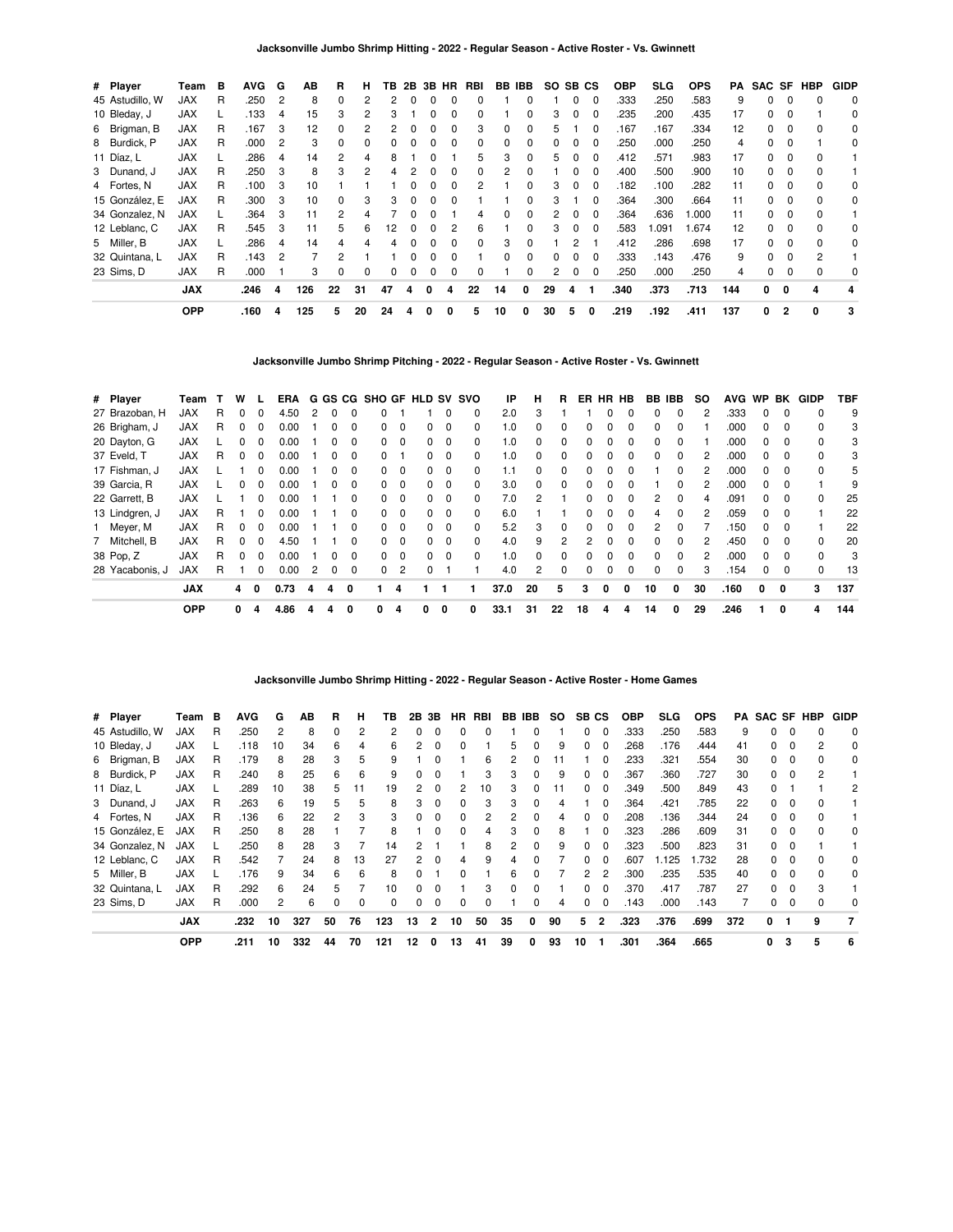| # Player        | Team       | в | <b>AVG</b> | G | ΑВ  | R  | н            | ΤВ              | 2B | 3В.          | HR.          | <b>RBI</b>   | BB.          | IBB.         | SO. | SB CS    |          | <b>OBP</b> | SLG  | <b>OPS</b> | PA  |              |                | SAC SF HBP | <b>GIDP</b> |
|-----------------|------------|---|------------|---|-----|----|--------------|-----------------|----|--------------|--------------|--------------|--------------|--------------|-----|----------|----------|------------|------|------------|-----|--------------|----------------|------------|-------------|
| 45 Astudillo, W | <b>JAX</b> | R | .250       | 2 | 8   | 0  |              |                 |    |              |              |              |              |              |     | 0        | $\Omega$ | .333       | .250 | .583       | 9   | 0            |                |            | 0           |
| 10 Bleday, J    | <b>JAX</b> |   | .133       | 4 | 15  | 3  |              | 3               |    |              |              | 0            |              | 0            | 3   | 0        | 0        | .235       | .200 | .435       | 17  | 0            |                |            | 0           |
| 6 Brigman, B    | <b>JAX</b> | R | .167       | 3 | 12  | 0  |              |                 |    |              |              | 3            | 0            | 0            | 5   |          | $\Omega$ | .167       | .167 | .334       | 12  | 0            |                | 0          | 0           |
| 8 Burdick, P    | <b>JAX</b> | R | .000       | 2 | 3   | 0  | <sup>0</sup> | ŋ               |    | O            | <sup>0</sup> | <sup>0</sup> | <sup>0</sup> | O            | 0   | 0        | $\Omega$ | .250       | .000 | .250       | 4   | 0            |                |            | 0           |
| 11 Díaz, L      | <b>JAX</b> |   | .286       | 4 | 14  | 2  |              | 8               |    |              |              | 5            | 3            | 0            | 5   | $\Omega$ | $\Omega$ | .412       | .571 | .983       | 17  | 0            | $\Omega$       | $\Omega$   |             |
| 3 Dunand, J     | <b>JAX</b> | R | .250       | 3 | 8   | 3  |              |                 |    |              | O            | 0            |              |              |     | 0        |          | .400       | .500 | .900       | 10  | O.           | <sup>0</sup>   | $\Omega$   |             |
| 4 Fortes, N     | <b>JAX</b> | R | .100       | 3 | 10  |    |              |                 |    |              |              |              |              | O            | 3   | 0        | 0        | .182       | .100 | .282       | 11  | 0.           |                |            | 0           |
| 15 González, E  | <b>JAX</b> | R | .300       | 3 | 10  | 0  |              | 3               |    |              |              |              |              | 0            | 3   |          | 0        | .364       | .300 | .664       | 11  | 0            |                |            | 0           |
| 34 Gonzalez, N  | <b>JAX</b> |   | .364       | 3 | 11  | 2  |              |                 |    |              |              | 4            | 0            | 0            | 2   | $\Omega$ | $\Omega$ | .364       | .636 | .000       | 11  | 0            | 0              | 0          |             |
| 12 Leblanc, C   | <b>JAX</b> | R | .545       | 3 | 11  | 5  | 6            | 12 <sup>2</sup> | n  | <sup>0</sup> | 2            | 6            |              | <sup>0</sup> | 3   | $\Omega$ | $\Omega$ | .583       | .091 | 1.674      | 12  | 0            | $\Omega$       | $\Omega$   | $\Omega$    |
| 5 Miller, B     | <b>JAX</b> |   | .286       | 4 | 14  | 4  |              |                 |    |              | O            | <sup>0</sup> | з            | O            |     | っ        |          | .412       | .286 | .698       | 17  | <sup>o</sup> | $\Omega$       | $\Omega$   | 0           |
| 32 Quintana, L  | <b>JAX</b> | R | .143       | 2 |     | 2  |              |                 |    |              |              |              |              |              |     | 0        |          | .333       | .143 | .476       | 9   | O.           |                | 2          |             |
| 23 Sims, D      | <b>JAX</b> | R | .000       |   | 3   | 0  | $\Omega$     | $\Omega$        | 0  | 0            | 0            | 0            |              | 0            | 2   | 0        | 0        | .250       | .000 | .250       | 4   | 0            |                |            | 0           |
|                 | <b>JAX</b> |   | .246       | 4 | 126 | 22 | 31           | 47              |    | 0            | 4            | 22           | 14           | 0            | 29  | 4        |          | .340       | .373 | .713       | 144 | 0            | 0              | 4          |             |
|                 | <b>OPP</b> |   | .160       | 4 | 125 | 5  | 20           | 24              |    |              |              | 5            | 10           | 0            | 30  | 5        | 0        | .219       | .192 | .411       | 137 | 0            | $\overline{2}$ | 0          | 3           |

**Jacksonville Jumbo Shrimp Pitching - 2022 - Regular Season - Active Roster - Vs. Gwinnett**

| # Player    |                 | Team       |   | w            |              | ERA  |   |              |              |              |             | G GS CG SHO GF HLD SV SVO |                         |          | IP   | н        | R  | ER           | HR | HB           |              | BB IBB       | <b>SO</b> | <b>AVG</b> | <b>WP</b>    | BK       | GIDP         | TBF |
|-------------|-----------------|------------|---|--------------|--------------|------|---|--------------|--------------|--------------|-------------|---------------------------|-------------------------|----------|------|----------|----|--------------|----|--------------|--------------|--------------|-----------|------------|--------------|----------|--------------|-----|
|             | 27 Brazoban, H  | <b>JAX</b> | R |              |              | 4.50 | 2 |              |              |              |             |                           |                         | 0        | 2.0  | 3        |    |              |    |              | 0            |              |           | .333       |              |          |              | 9   |
|             | 26 Brigham, J   | <b>JAX</b> | R |              | 0            | 0.00 |   |              | 0            | 0            | $\Omega$    | 0                         | $\Omega$                | $\Omega$ | 1.0  | 0        | 0  |              |    | 0            | 0            | $\Omega$     |           | .000       | 0            | 0        |              | 3   |
|             | 20 Dayton, G    | <b>JAX</b> |   |              |              | 0.00 |   |              | 0            | 0            | $\mathbf 0$ | 0                         | 0                       | 0        | 1.0  | 0        | 0  |              |    | <sup>0</sup> | 0            | <sup>0</sup> |           | .000       | <sup>o</sup> | $\Omega$ |              | 3   |
| 37 Eveld, T |                 | <b>JAX</b> | R |              | 0            | 0.00 |   |              | 0            |              |             | 0                         | $\mathbf 0$             | 0        | 1.0  | 0        | 0  |              |    | 0            | 0            | 0            |           | .000       | 0            | $\Omega$ |              | 3   |
|             | 17 Fishman, J   | <b>JAX</b> |   |              | 0            | 0.00 |   | <sup>0</sup> | 0            | 0            | $\Omega$    | 0                         | $\Omega$                | $\Omega$ | 1.1  | $\Omega$ | 0  | <sup>0</sup> | n  | 0            |              | <sup>0</sup> | 2         | .000       | $\Omega$     | $\Omega$ | 0            | 5   |
|             | 39 Garcia, R    | <b>JAX</b> |   |              |              | 0.00 |   |              | <sup>0</sup> | 0            | $\Omega$    | O.                        | $\Omega$                | $\Omega$ | 3.0  | $\Omega$ | 0  |              |    |              |              | <sup>0</sup> |           | .000       | <sup>0</sup> |          |              | 9   |
|             | 22 Garrett, B   | <b>JAX</b> |   |              | 0            | 0.00 |   |              | 0            | 0            | 0           | 0                         | - 0                     | $\Omega$ | 7.0  | 2        |    | 0            | n  | 0            | 2            | $\Omega$     | 4         | .091       | 0            | $\Omega$ | 0            | 25  |
|             | 13 Lindgren, J  | <b>JAX</b> | R |              | <sup>0</sup> | 0.00 |   |              | <sup>0</sup> | 0            | $\Omega$    | O.                        | $\Omega$                | $\Omega$ | 6.0  |          |    | 0            | n  | $\Omega$     | 4            | $\Omega$     |           | .059       | 0            | $\Omega$ |              | 22  |
|             | 1 Meyer, M      | <b>JAX</b> | R |              | 0            | 0.00 |   |              | 0            | 0            | 0           | 0                         | - 0                     | 0        | 5.2  | 3        | 0  |              |    |              | 2            | 0            |           | .150       | 0            |          |              | 22  |
|             | 7 Mitchell, B   | JAX        | R | <sup>n</sup> | <sup>0</sup> | 4.50 |   |              | <sup>0</sup> | <sup>0</sup> | $\Omega$    | 0                         | $\Omega$                | $\Omega$ | 4.0  | 9        | 2  | 2            | n  | $\Omega$     | <sup>0</sup> | <sup>0</sup> | 2         | .450       | <sup>0</sup> | $\Omega$ | <sup>0</sup> | 20  |
| 38 Pop, Z   |                 | <b>JAX</b> | R |              | $\Omega$     | 0.00 |   |              | <sup>0</sup> | 0            | $\Omega$    | O.                        | $\overline{\mathbf{0}}$ | 0        | 1.0  | O        | 0  |              |    | <sup>0</sup> | O.           | <sup>0</sup> |           | .000       |              | $\Omega$ | $\Omega$     | 3   |
|             | 28 Yacabonis, J | <b>JAX</b> | R |              | 0            | 0.00 | 2 | 0            | 0            | 0            | 2           |                           |                         |          | 4.0  | 2        | 0  |              | 0  | $\Omega$     | 0            | $\Omega$     | 3         | .154       | 0            | $\Omega$ | $\Omega$     | 13  |
|             |                 | <b>JAX</b> |   | 4            | 0            | 0.73 | 4 | 4            | 0            |              |             |                           |                         |          | 37.0 | 20       | 5  | 3            | 0  | 0            | 10           | 0            | 30        | .160       | 0            | 0        | 3            | 137 |
|             |                 | <b>OPP</b> |   | 0            | 4            | 4.86 |   | 4            |              | 0            |             | 0                         | 0                       | 0        | 33.1 | 31       | 22 | 18           | 4  | 4            | 14           |              | 29        | .246       |              | 0        | 4            | 144 |

# **Jacksonville Jumbo Shrimp Hitting - 2022 - Regular Season - Active Roster - Home Games**

| # Player        | Team       | в | <b>AVG</b> | G  | AВ  | R            | н        | ΤВ           | 2В | 3В             | HR.      | RBI |    | BB IBB   | SO. | SB CS    |              | <b>OBP</b> | <b>SLG</b> | <b>OPS</b> |     | <b>PA SAC SF HBP</b> |          |   | <b>GIDP</b> |
|-----------------|------------|---|------------|----|-----|--------------|----------|--------------|----|----------------|----------|-----|----|----------|-----|----------|--------------|------------|------------|------------|-----|----------------------|----------|---|-------------|
| 45 Astudillo, W | <b>JAX</b> | R | .250       | 2  | 8   | 0            | 2        |              |    |                |          |     |    |          |     | 0        | 0            | .333       | .250       | .583       | 9   |                      |          |   | $\Omega$    |
| 10 Bleday, J    | <b>JAX</b> |   | .118       | 10 | 34  | 6            | 4        | 6            |    |                |          |     | 5  |          | 9   | 0        | 0            | .268       | .176       | .444       | 41  |                      | 0        |   | 0           |
| 6 Brigman, B    | <b>JAX</b> | R | .179       | 8  | 28  | 3            | 5        | 9            |    |                |          | 6   | 2  | 0        | 11  |          | 0            | .233       | .321       | .554       | 30  | 0                    | 0        |   | 0           |
| 8 Burdick, P    | <b>JAX</b> | R | .240       | 8  | 25  | 6            | 6        | 9            |    | $\Omega$       |          | 3   | 3  | $\Omega$ | 9   | 0        | $\Omega$     | .367       | .360       | .727       | 30  | <sup>0</sup>         | $\Omega$ | 2 |             |
| 11 Díaz, L      | <b>JAX</b> |   | .289       | 10 | 38  | 5.           | 11       | 19           | 2  | n              | 2        | 10  | 3  | 0        | 11  | 0        | <sup>0</sup> | .349       | .500       | .849       | 43  | <sup>0</sup>         |          |   | 2           |
| 3 Dunand, J     | <b>JAX</b> | R | .263       | 6  | 19  | 'n.          | 5        | 8            |    |                |          | 3   | 3  | $\Omega$ |     |          | <sup>0</sup> | .364       | .421       | .785       | 22  |                      | O        |   |             |
| 4 Fortes, N     | <b>JAX</b> | R | .136       | 6  | 22  |              | 3        | з            |    |                | 0        |     | 2  | 0        |     | 0        | 0            | .208       | .136       | .344       | 24  |                      | 0        |   |             |
| 15 González, E  | <b>JAX</b> | R | .250       | 8  | 28  |              |          | 8            |    | $\Omega$       | $\Omega$ | 4   | 3  | $\Omega$ | 8   |          | $\Omega$     | .323       | .286       | .609       | 31  | <sup>0</sup>         | $\Omega$ |   | 0           |
| 34 Gonzalez, N  | <b>JAX</b> |   | .250       | 8  | 28  | 3            |          | 14           |    |                |          | 8   | 2  | $\Omega$ | 9   | $\Omega$ | $\Omega$     | .323       | .500       | .823       | 31  | $\Omega$             | $\Omega$ |   |             |
| 12 Leblanc, C   | <b>JAX</b> | R | .542       |    | 24  | 8            | 13       | 27           |    |                | 4        | 9   |    |          |     | 0        | <sup>0</sup> | .607       | 1.125      | .732       | 28  |                      |          |   | 0           |
| 5 Miller, B     | <b>JAX</b> |   | .176       | 9  | 34  | 6            | 6        | 8            |    |                |          |     | 6  |          |     | 2        | 2            | .300       | .235       | .535       | 40  |                      |          |   | 0           |
| 32 Quintana, L  | <b>JAX</b> | R | .292       | 6  | 24  | h.           |          | 10           |    | $\Omega$       |          | 3   | 0  | 0        |     | 0        | $\Omega$     | .370       | .417       | .787       | 27  | 0                    | $\Omega$ | 3 |             |
| 23 Sims, D      | <b>JAX</b> | R | .000       | 2  | 6   | <sup>0</sup> | $\Omega$ | <sup>0</sup> |    | 0              | 0        | 0   |    | 0        | 4   | $\Omega$ | $\Omega$     | .143       | .000       | .143       |     | 0                    | $\Omega$ |   | $\Omega$    |
|                 | <b>JAX</b> |   | .232       | 10 | 327 | 50           | 76       | 123          | 13 | $\overline{2}$ | 10       | 50  | 35 | 0        | 90  | 5        | $\mathbf{2}$ | .323       | .376       | .699       | 372 | 0                    | - 1      | 9 | 7           |
|                 | <b>OPP</b> |   | .211       | 10 | 332 | 44           | 70       | 121          | 12 | 0              | 13       | 41  | 39 | 0        | 93  | 10       |              | .301       | .364       | .665       |     | 0                    | 3        | 5 | 6           |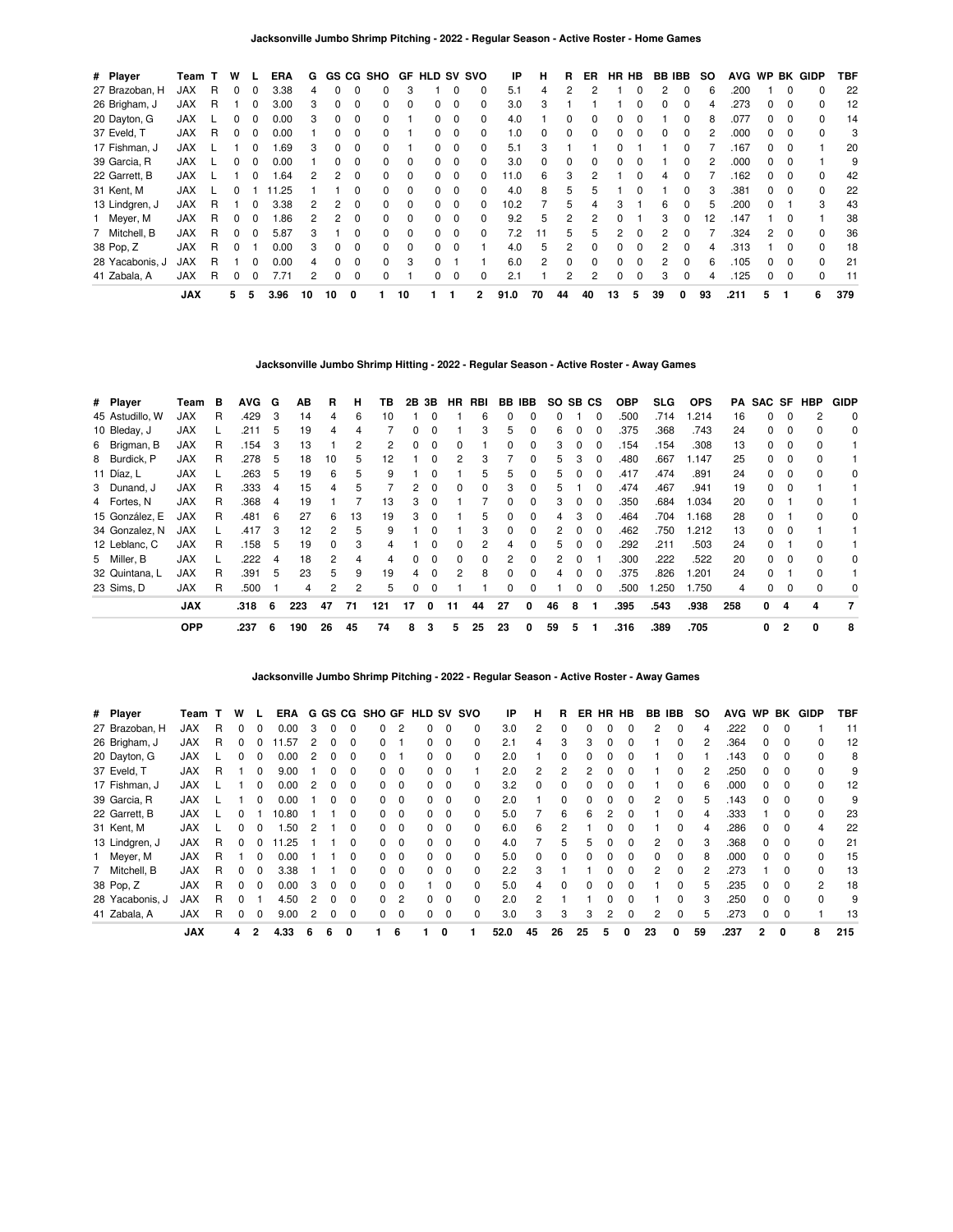| # Player        | Team       |   | w |              | ERA  | G  |    |          | GS CG SHO    | GF.          | <b>HLD SV SVO</b> |   |              | ΙP   | н  | R  | ER             | HR HB         |          |              | BB IBB       | so | <b>AVG</b> |    |          | WP BK GIDP   | TBF |
|-----------------|------------|---|---|--------------|------|----|----|----------|--------------|--------------|-------------------|---|--------------|------|----|----|----------------|---------------|----------|--------------|--------------|----|------------|----|----------|--------------|-----|
| 27 Brazoban, H  | JAX        | R | 0 |              | 3.38 | 4  | 0  | $\Omega$ | <sup>0</sup> | 3            |                   | 0 | 0            | 5.1  | 4  | 2  | 2              |               |          | 2            | 0            | 6  | .200       |    | $\Omega$ | 0            | 22  |
| 26 Brigham, J   | <b>JAX</b> | R |   |              | 3.00 | 3  |    |          |              |              |                   |   | 0            | 3.0  | 3  |    |                |               |          |              |              | 4  | .273       | 0  |          |              | 12  |
| 20 Dayton, G    | JAX        |   | 0 |              | 0.00 | 3  | 0  | $\Omega$ | 0            |              | 0                 | 0 | 0            | 4.0  |    | 0  | 0              |               |          |              |              | 8  | .077       | 0  | 0        | 0            | 14  |
| 37 Eveld, T     | JAX        | R | 0 | <sup>0</sup> | 0.00 |    | 0  | $\Omega$ | <sup>0</sup> |              | 0                 | 0 | 0            | 1.0  | 0  | 0  | 0              | 0             |          | <sup>0</sup> | $\Omega$     | 2  | .000       | 0  | $\Omega$ | ŋ            | 3   |
| 17 Fishman, J   | JAX        |   |   |              | 1.69 | 3  | n. |          | <sup>0</sup> |              |                   |   | 0            | 5.1  | 3  |    |                |               |          |              |              |    | 167        | 0  |          |              | 20  |
| 39 Garcia, R    | <b>JAX</b> |   | 0 | 0            | 0.00 |    | 0  | $\Omega$ | 0            | 0            | 0                 | 0 | 0            | 3.0  | 0  | 0  | 0              |               |          |              | 0            | 2  | .000       | 0  | 0        |              | 9   |
| 22 Garrett, B   | JAX        |   |   | <sup>0</sup> | 1.64 | 2  | 2  | $\Omega$ | <sup>0</sup> | 0            | 0                 | 0 | <sup>0</sup> | 11.0 | 6  | 3  | 2              |               |          | 4            | <sup>0</sup> |    | 162        | 0  | 0        | <sup>0</sup> | 42  |
| 31 Kent, M      | <b>JAX</b> |   |   |              | 1.25 |    |    |          | 0            | <sup>0</sup> |                   | 0 | 0            | 4.0  | 8  | 5  | 5              |               |          |              |              | 3  | .381       | O. |          |              | 22  |
| 13 Lindgren, J  | <b>JAX</b> | R |   |              | 3.38 |    | 2  | 0        | 0            | 0            | 0                 | 0 | 0            | 10.2 |    | 5  |                | 3             |          | 6            |              | 5  | .200       | 0  |          |              | 43  |
| 1 Meyer, M      | <b>JAX</b> | R | 0 | <sup>0</sup> | 1.86 | 2  | 2  | $\Omega$ | 0            | 0            | 0                 | 0 | 0            | 9.2  | 5  | 2  |                |               |          | 3            | $\Omega$     | 12 | .147       |    | 0        |              | 38  |
| 7 Mitchell, B   | <b>JAX</b> | R | 0 |              | 5.87 | 3  |    | $\Omega$ | 0            | <sup>0</sup> | <sup>0</sup>      | 0 | 0            | 7.2  | 11 | 5  | 5              | $\mathcal{P}$ |          | 2            |              |    | .324       | 2  | $\Omega$ |              | 36  |
| 38 Pop, Z       | JAX        | R |   |              | 0.00 | 3  | O. |          | <sup>0</sup> | 0            | 0                 |   |              | 4.0  | 5. | 2  | O.             |               |          |              |              | 4  | .313       |    |          |              | 18  |
| 28 Yacabonis, J | <b>JAX</b> | R |   |              | 0.00 | 4  | 0  | $\Omega$ | <sup>0</sup> | 3            | 0                 |   |              | 6.0  | 2  | 0  | 0              | 0             | $\Omega$ |              | 0            | 6  | 105        | 0  | $\Omega$ | 0            | 21  |
| 41 Zabala, A    | <b>JAX</b> | R | 0 |              | 7.71 | 2  | 0  | $\Omega$ | <sup>0</sup> |              | 0                 | 0 | 0            | 2.1  |    | 2  | $\overline{2}$ | 0             |          | 3            | 0            | 4  | 125        | 0  | $\Omega$ | 0            | 11  |
|                 | <b>JAX</b> |   | 5 | 5            | 3.96 | 10 | 10 | 0        |              | 10           |                   |   | 2            | 91.0 | 70 | 44 | 40             | 13            | 5        | 39           | 0            | 93 | .211       | 5  |          | 6            | 379 |

### **Jacksonville Jumbo Shrimp Hitting - 2022 - Regular Season - Active Roster - Away Games**

| # Player        | Team       | в | <b>AVG</b> | G   | AВ  | B        | н  | ΤВ  |    | 2B 3B    | HR           | RBI      |               | BB IBB       | SO SB CS |              |          | <b>OBP</b> | SLG. | <b>OPS</b> | PA  |    |              | SAC SF HBP | <b>GIDP</b> |
|-----------------|------------|---|------------|-----|-----|----------|----|-----|----|----------|--------------|----------|---------------|--------------|----------|--------------|----------|------------|------|------------|-----|----|--------------|------------|-------------|
| 45 Astudillo, W | JAX        | R | .429       | -3  | 14  | 4        | 6  | 10  |    |          |              | 6        | 0             | 0            | 0        |              | $\Omega$ | .500       | .714 | 1.214      | 16  | 0  |              | 2          | 0           |
| 10 Bleday, J    | <b>JAX</b> |   | .211       | 5   | 19  | 4        | 4  |     | 0  | $\Omega$ |              | 3        | 5             | 0            | 6        |              | $\Omega$ | .375       | .368 | .743       | 24  | 0  | $\Omega$     | $\Omega$   | 0           |
| 6 Brigman, B    | <b>JAX</b> | R | .154       | -3  | 13  |          |    |     | n. |          |              |          |               |              | 3        |              | n        | .154       | .154 | .308       | 13  | O. |              |            |             |
| 8 Burdick, P    | JAX        | R | .278       | - 5 | 18  | 10       | 5  | 12  |    |          | 2            | 3        |               | 0            | 5        | з            | $\Omega$ | .480       | .667 | 1.147      | 25  | 0  |              |            |             |
| 11 Díaz, L      | <b>JAX</b> |   | .263       | 5   | 19  | 6        | 5  | 9   |    | 0        |              | 5        | 5             | 0            | 5        |              | 0        | .417       | .474 | .891       | 24  | 0  | 0            | $\Omega$   | 0           |
| 3 Dunand, J     | <b>JAX</b> | R | .333       | 4   | 15  | 4        | 5  |     | 2  | $\Omega$ | $\Omega$     | $\Omega$ | 3             | 0            | 5        |              | $\Omega$ | .474       | .467 | .941       | 19  | 0  | <sup>0</sup> |            |             |
| 4 Fortes, N     | <b>JAX</b> | R | .368       | 4   | 19  |          |    | 13  | 3  |          |              |          |               |              | 3        |              |          | .350       | .684 | 1.034      | 20  | O. |              |            |             |
| 15 González, E  | <b>JAX</b> | R | .481       | 6   | 27  | 6        | 13 | 19  | 3  |          |              | 5        |               | 0            | 4        | з            | n        | .464       | .704 | 1.168      | 28  | O. |              |            | 0           |
| 34 Gonzalez, N  | JAX        |   | .417       | -3  | 12  | 2        | 5  | 9   |    | $\Omega$ |              | 3        | 0             | 0            | 2        | 0            | $\Omega$ | .462       | .750 | 1.212      | 13  | 0  | 0            |            |             |
| 12 Leblanc, C   | <b>JAX</b> | R | .158       | 5   | 19  | $\Omega$ | 3  | 4   |    | $\Omega$ | $\Omega$     | 2        | 4             | <sup>0</sup> | 5        | <sup>0</sup> | $\Omega$ | .292       | .211 | .503       | 24  | 0  |              | $\Omega$   |             |
| 5 Miller, B     | <b>JAX</b> |   | .222       | 4   | 18  | 2        | 4  | 4   | n. |          | <sup>n</sup> | $\Omega$ | $\mathcal{P}$ | 0            | 2        |              |          | .300       | .222 | .522       | 20  | 0  |              |            | 0           |
| 32 Quintana, L  | JAX        | R | .391       | -5  | 23  | 5        | 9  | 19  | 4  | $\Omega$ | 2            | 8        | 0             | 0            | 4        |              | $\Omega$ | .375       | .826 | 1.201      | 24  | O. |              |            |             |
| 23 Sims, D      | JAX        | R | .500       |     | 4   | 2        | 2  | 5   | 0  |          |              |          | 0             | 0            |          | 0            | $\Omega$ | .500       | .250 | 1.750      | 4   | 0  |              | $\Omega$   | 0           |
|                 | <b>JAX</b> |   | .318       | 6   | 223 | 47       | 71 | 121 | 17 | $\Omega$ | 11           | 44       | 27            | 0            | 46       | 8            |          | .395       | .543 | .938       | 258 | 0  | 4            | 4          | 7           |
|                 | <b>OPP</b> |   | .237       | 6   | 190 | 26       | 45 | 74  | 8  | 3        | 5            | 25       | 23            | 0            | 59       | 5            |          | .316       | .389 | .705       |     | 0  | $\mathbf{2}$ | 0          | 8           |

**Jacksonville Jumbo Shrimp Pitching - 2022 - Regular Season - Active Roster - Away Games**

| # Player        | Team       |   | w  |              | ERA   |   | G GS         | CG.          |          |          | SHO GF HLD |                         | SV SVO   | ΙP   | н  |    | ER           | HR | HB           | BB. | IBB          | <b>SO</b> | <b>AVG</b> | <b>WP</b>    | BK       | <b>GIDP</b>  | TBF |
|-----------------|------------|---|----|--------------|-------|---|--------------|--------------|----------|----------|------------|-------------------------|----------|------|----|----|--------------|----|--------------|-----|--------------|-----------|------------|--------------|----------|--------------|-----|
| 27 Brazoban, H  | <b>JAX</b> | R |    |              | 0.00  | З |              |              | 0        |          |            | 0                       | 0        | 3.0  | 2  |    |              |    |              | 2   | 0            |           | .222       |              |          |              | 11  |
| 26 Brigham, J   | <b>JAX</b> | R | 0  |              | .57   | 2 | 0            | 0            | $\Omega$ |          | 0          | 0                       | 0        | 2.1  | 4  | 3  | 3            | 0  | 0            |     | <sup>0</sup> | 2         | .364       | $\Omega$     | $\Omega$ |              | 12  |
| 20 Dayton, G    | <b>JAX</b> |   |    |              | 0.00  | 2 | U            |              | 0        |          | 0          | $\Omega$                | 0        | 2.0  |    | n  |              |    |              |     | ŋ            |           | .143       |              | $\Omega$ | <sup>0</sup> | 8   |
| 37 Eveld, T     | <b>JAX</b> | R |    |              | 9.00  |   |              |              | 0        | 0        | O.         | 0                       |          | 2.0  | 2  |    |              |    |              |     |              |           | .250       |              |          |              | 9   |
| 17 Fishman, J   | <b>JAX</b> |   |    | <sup>0</sup> | 0.00  | 2 | 0            | 0            | $\Omega$ | $\Omega$ | 0          | $\overline{\mathbf{0}}$ | $\Omega$ | 3.2  | 0  | 0  |              |    | 0            |     | 0            | 6         | .000       | 0            | $\Omega$ | 0            | 12  |
| 39 Garcia, R    | <b>JAX</b> |   |    | 0            | 0.00  |   | <sup>0</sup> | $\Omega$     | O.       | $\Omega$ | 0          | $\overline{\mathbf{0}}$ | $\Omega$ | 2.0  |    | 0  | <sup>0</sup> | n  | 0            | 2   | $\Omega$     | 5         | .143       | <sup>0</sup> | $\Omega$ | <sup>0</sup> | 9   |
| 22 Garrett, B   | <b>JAX</b> |   | U  |              | 10.80 |   |              |              | O.       | $\Omega$ | 0          | $\Omega$                | 0        | 5.0  |    | 6  | հ            |    |              |     | <sup>0</sup> |           | .333       |              |          |              | 23  |
| 31 Kent, M      | <b>JAX</b> |   | 0  |              | .50   | 2 |              |              | 0        | $\Omega$ | 0          | - 0                     | 0        | 6.0  | 6  | 2  |              |    |              |     | 0            | 4         | .286       | 0            | $\Omega$ | 4            | 22  |
| 13 Lindgren, J  | JAX        | R | 0  |              | .25   |   |              | <sup>0</sup> | $\Omega$ | $\Omega$ | 0          | $\Omega$                | $\Omega$ | 4.0  |    | 5  | 5            | n  | <sup>0</sup> | 2   | <sup>0</sup> | з         | .368       | <sup>0</sup> | $\Omega$ | <sup>0</sup> | 21  |
| Meyer, M        | <b>JAX</b> | R |    |              | 0.00  |   |              |              | 0        | $\Omega$ | n          | $\Omega$                | 0        | 5.0  | O  | 0  |              |    | <sup>0</sup> | O.  | <sup>0</sup> |           | .000       |              | $\Omega$ |              | 15  |
| 7 Mitchell, B   | <b>JAX</b> | R | o  |              | 3.38  |   |              |              | 0        | $\Omega$ | 0          | 0                       | 0        | 2.2  | 3  |    |              |    |              | 2   | 0            |           | .273       |              |          |              | 13  |
| 38 Pop, Z       | <b>JAX</b> | R | O. | <sup>0</sup> | 0.00  | 3 | 0            | <sup>0</sup> | $\Omega$ | $\Omega$ |            | $\Omega$                | $\Omega$ | 5.0  | 4  | 0  |              |    | <sup>0</sup> |     | <sup>0</sup> | h.        | .235       | <sup>0</sup> | $\Omega$ | 2            | 18  |
| 28 Yacabonis, J | <b>JAX</b> | R | U  |              | 4.50  | 2 | 0            | <sup>0</sup> | 0        | 2        | 0          | 0                       | 0        | 2.0  | 2  |    |              |    | O            |     | $\Omega$     |           | .250       | 0            | $\Omega$ | $\Omega$     | 9   |
| 41 Zabala, A    | <b>JAX</b> | R | 0  | 0            | 9.00  | 2 | 0            |              | 0        | 0        |            | 0                       | 0        | 3.0  | 3  | 3  | 3            | 2  | 0            | 2   | $\Omega$     | 5         | .273       | 0            |          |              | 13  |
|                 | <b>JAX</b> |   | 4  | 2            | 4.33  | 6 | 6            | O            |          | 6        |            | 0                       |          | 52.0 | 45 | 26 | 25           | 5  | 0            | 23  |              | 59        | .237       | 2            | 0        | 8            | 215 |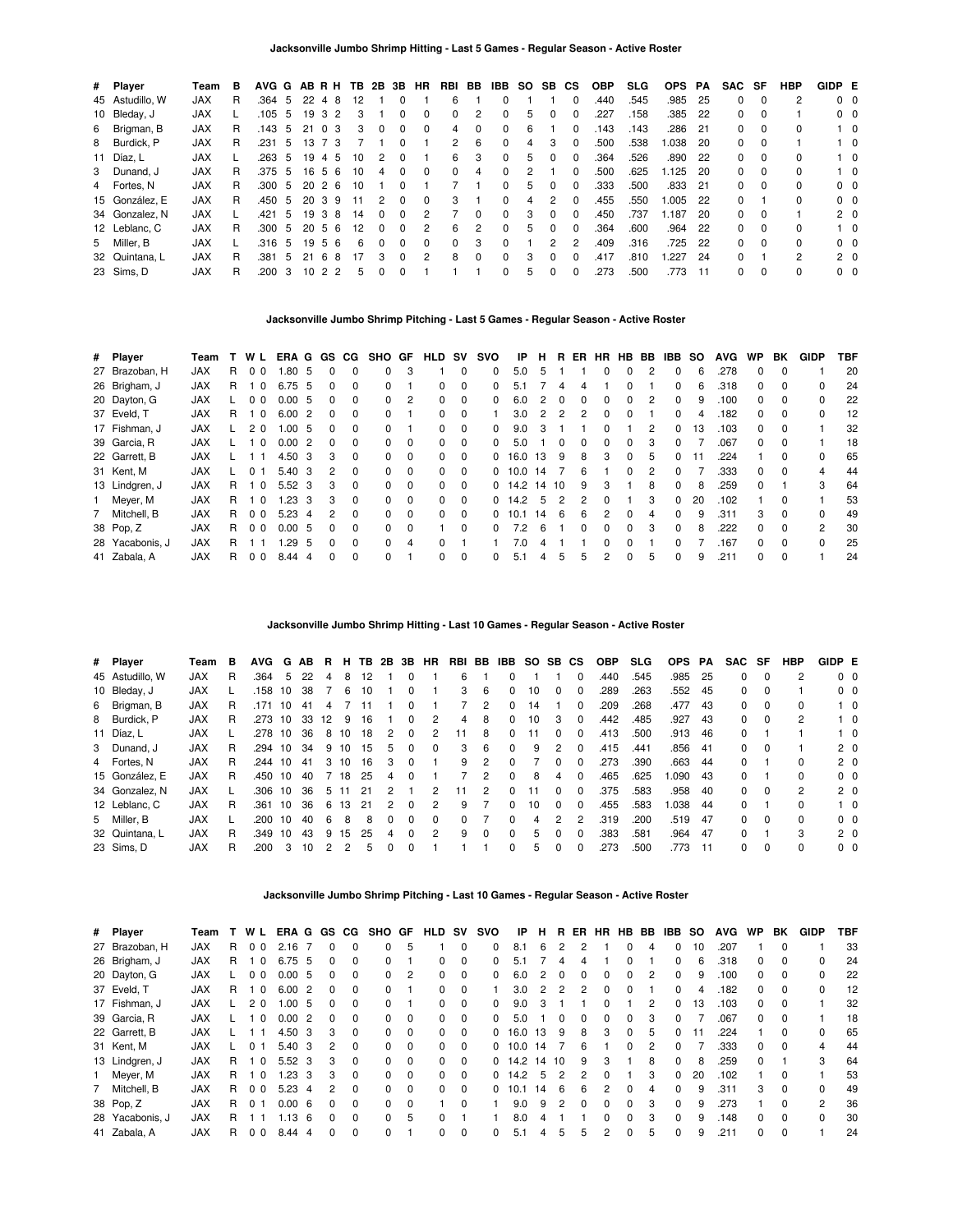| # Player        | Team       | в  |        |     |    |                | AVG G AB R H TB 2B 3B HR |          |              |                | RBI BB        |          | IBB          | <b>SO</b> | SB.           | <b>CS</b>    | <b>OBP</b> | SLG. | <b>OPS</b> | PA   | SAC SF   |          | <b>HBP</b> | GIDP E         |            |
|-----------------|------------|----|--------|-----|----|----------------|--------------------------|----------|--------------|----------------|---------------|----------|--------------|-----------|---------------|--------------|------------|------|------------|------|----------|----------|------------|----------------|------------|
| 45 Astudillo, W | <b>JAX</b> | R  | .364   | 5   | 22 | 48             | 12                       |          | 0            |                | 6             |          | <sup>0</sup> |           |               | 0            | .440       | .545 | .985       | -25  | 0        | 0        |            | $0\quad 0$     |            |
| 10 Bleday, J    | <b>JAX</b> |    | .105   | -5  | 19 | -3             | 2<br>3                   |          | 0            |                | 0             | 2        | $\Omega$     |           |               |              | .227       | .158 | .385       | 22   | 0        | $\Omega$ |            | $0\quad 0$     |            |
| 6 Brigman, B    | <b>JAX</b> | R. | .143   | 5   | 21 | 0 3            | 3                        | 0        | $\Omega$     | $\Omega$       | 4             | $\Omega$ | $\Omega$     | 6         |               | 0            | .143       | .143 | .286       | 21   | 0        | $\Omega$ | $\Omega$   |                | $1\quad 0$ |
| 8 Burdick, P    | <b>JAX</b> | R  | .231   | -5  | 13 | 73             |                          |          | $\Omega$     |                | $\mathcal{P}$ | -6       | $\Omega$     | 4         | 3             | $\Omega$     | .500       | .538 | 1.038      | -20  | 0        | $\Omega$ |            |                | $1\quad$ 0 |
| 11 Díaz, L      | <b>JAX</b> |    | .263   | 5   | 19 | 4              | 5<br>10                  | 2        | 0            |                | 6             | 3        | $\Omega$     | 5         |               | 0            | .364       | .526 | .890       | - 22 | 0        | $\Omega$ |            |                | $1\quad 0$ |
| 3 Dunand, J     | <b>JAX</b> | R. | .375   | -5  | 16 | 56             | 10                       | 4        | 0            | $\Omega$       | 0             | 4        | $\Omega$     | 2         |               |              | .500       | .625 | 1.125      | -20  | 0        | $\Omega$ | $\Omega$   |                | $1\quad 0$ |
| 4 Fortes, N     | <b>JAX</b> | R  | .300   | -5  | 20 | 26             | 10                       |          | $\Omega$     |                |               |          | $\Omega$     | 5         | $\Omega$      | 0            | .333       | .500 | .833       | - 21 | 0        | $\Omega$ |            | 0 <sub>0</sub> |            |
| 15 González, E  | <b>JAX</b> | R. | .450   | -5  | 20 | 39             | 11                       | 2        | $\Omega$     | $\Omega$       | 3             |          | $\Omega$     | 4         | 2             | $\Omega$     | .455       | .550 | 1.005      | 22   | 0        |          | $\Omega$   | $0\quad 0$     |            |
| 34 Gonzalez, N  | <b>JAX</b> |    | .421   | 5   | 19 | -3             | 8<br>14                  | $\Omega$ | 0            | 2              |               | $\Omega$ | $\Omega$     | 3         | 0             | 0            | .450       | 737  | 1.187      | -20  | $\Omega$ | $\Omega$ |            | 2 <sub>0</sub> |            |
| 12 Leblanc, C   | <b>JAX</b> | R  | .300 5 |     | 20 | 56             | 12                       | $\Omega$ | $\Omega$     | 2              | 6             | 2        | $\Omega$     | 5         | 0             | <sup>0</sup> | .364       | .600 | .964       | 22   | 0        | $\Omega$ | $\Omega$   |                | $1\quad 0$ |
| 5 Miller, B     | <b>JAX</b> |    | .316   | - 5 | 19 | 56             | 6                        | $\Omega$ | $\Omega$     | $\Omega$       | $\Omega$      | 3        | $\Omega$     |           | $\mathcal{P}$ | 2            | .409       | .316 | .725       | 22   | $\Omega$ | $\Omega$ | $\Omega$   | $0\quad 0$     |            |
| 32 Quintana, L  | <b>JAX</b> | R  | .381   | 5   | 21 | -6             | 17<br>8                  | 3        | <sup>0</sup> | $\overline{2}$ | 8             | $\Omega$ | $\Omega$     | 3         | 0             | $\Omega$     | .417       | .810 | .227       | -24  | $\Omega$ |          | 2          | 2 <sub>0</sub> |            |
| 23 Sims, D      | <b>JAX</b> | R  | .200   | 3   | 10 | 2 <sub>2</sub> | 5                        | 0        | 0            |                |               |          | $\Omega$     | 5         | 0             | 0            | .273       | .500 | .773       | 11   | 0        | 0        | $\Omega$   | 0 <sub>0</sub> |            |

### **Jacksonville Jumbo Shrimp Pitching - Last 5 Games - Regular Season - Active Roster**

| # Player        | Team       |    | WL             | ERA G |    | GS.          | CG.          | <b>SHO</b>   | GF       | <b>HLD</b>   | sv       | svo          | IP   | н     | R.       | ER. | HR HB        |          | BB. | IBB.         | <b>SO</b> | <b>AVG</b> | <b>WP</b>    | ВK           | <b>GIDP</b>   | TBF |
|-----------------|------------|----|----------------|-------|----|--------------|--------------|--------------|----------|--------------|----------|--------------|------|-------|----------|-----|--------------|----------|-----|--------------|-----------|------------|--------------|--------------|---------------|-----|
| 27 Brazoban, H  | <b>JAX</b> | R. | 0 <sub>0</sub> | .80   | 5  |              | <sup>0</sup> | <sup>0</sup> | 3        |              | $\Omega$ | 0            | 5.0  | 5     |          |     | 0            | 0        | 2   | 0            | 6         | .278       | 0            |              |               | 20  |
| 26 Brigham, J   | <b>JAX</b> | R. | $\Omega$       | 6.75  | 5  |              | <sup>0</sup> | 0            |          | 0            | $\Omega$ | <sup>0</sup> | 51   |       |          |     |              |          |     | 0            | 6         | .318       | O.           |              | 0             | 24  |
| 20 Dayton, G    | <b>JAX</b> |    | 0 <sub>0</sub> | 0.00  | -5 | 0            | $\Omega$     | $\Omega$     | 2        | 0            | $\Omega$ | <sup>0</sup> | 6.0  | 2     | $\Omega$ |     | <sup>0</sup> | 0        | 2   | 0            | 9         | .100       | 0            | <sup>0</sup> | 0             | 22  |
| 37 Eveld, T     | <b>JAX</b> | R. | $\Omega$       | 6.00  | 2  |              | $\Omega$     | 0            |          | 0            | $\Omega$ |              | 3.0  |       | 2        |     | <sup>0</sup> |          |     | 0            | 4         | .182       | <sup>0</sup> | $\Omega$     | 0             | 12  |
| 17 Fishman, J   | <b>JAX</b> |    | 2 <sub>0</sub> | 1.00  | 5  |              | $\Omega$     | 0            |          | 0            | $\Omega$ | 0            | 9.0  | 3     |          |     | 0            |          | 2   | 0            | 13        | .103       | 0            | 0            |               | 32  |
| 39 Garcia, R    | <b>JAX</b> |    | $\Omega$       | 0.00  | 2  | <sup>n</sup> | $\Omega$     | 0            | $\Omega$ | 0            | $\Omega$ | <sup>0</sup> | 5.0  |       | $\Omega$ |     | 0            | $\Omega$ | 3   | 0            |           | .067       | 0            | $\Omega$     |               | 18  |
| 22 Garrett, B   | <b>JAX</b> |    |                | 4.50  | 3  | з            | $\Omega$     | 0            | $\Omega$ | 0            | $\Omega$ | 0            | 16.0 | 13    | 9        | 8   | 3            | 0        | 5   | 0            | 11        | .224       |              |              | 0             | 65  |
| 31 Kent, M      | <b>JAX</b> |    | 0              | 5.40  | 3  | 2            | $\Omega$     | 0            | $\Omega$ | 0            | $\Omega$ | 0            | 10.0 | 14    |          | 6   |              | $\Omega$ | 2   | 0            |           | .333       | <sup>0</sup> | $\Omega$     | 4             | 44  |
| 13 Lindgren, J  | <b>JAX</b> | R. | - 0            | 5.52  | -3 | з            | $\Omega$     | 0            | $\Omega$ | 0            | $\Omega$ | $\Omega$     | 14.2 | 14 10 |          | 9   | 3            |          | 8   | 0            | 8         | .259       | <sup>o</sup> |              | 3             | 64  |
| 1 Meyer, M      | <b>JAX</b> | R. | - 0            | 1.23  | 3  | з            | $\Omega$     | $\Omega$     | $\Omega$ | 0            | $\Omega$ | 0            | 14.2 | 5     | 2        |     | <sup>0</sup> |          | 3   | 0            | 20        | .102       |              | 0            |               | 53  |
| 7 Mitchell, B   | <b>JAX</b> | R. | 0 <sub>0</sub> | 5.23  | 4  |              | $\Omega$     | 0            | $\Omega$ | 0            | $\Omega$ | 0            | 10.1 | 14    | -6       | 6   |              |          | 4   | 0            | 9         | .311       | 3            |              | 0             | 49  |
| 38 Pop, Z       | <b>JAX</b> | R. | 0 <sub>0</sub> | 0.00  | 5  | <sup>n</sup> | $\Omega$     | $\Omega$     | $\Omega$ |              | $\Omega$ | $\Omega$     | 7.2  | 6     |          |     | <sup>0</sup> | $\Omega$ | 3   | 0            | 8         | .222       | <sup>o</sup> | $\Omega$     | $\mathcal{P}$ | 30  |
| 28 Yacabonis, J | <b>JAX</b> | R. |                | .29   | 5  |              | $\Omega$     | 0            | 4        | <sup>0</sup> |          |              | 7.0  |       |          |     |              |          |     | <sup>n</sup> |           | .167       | <sup>o</sup> | $\Omega$     | $\Omega$      | 25  |
| 41 Zabala, A    | <b>JAX</b> | R. | 0 <sub>0</sub> | 8.44  | 4  |              | $\Omega$     | <sup>0</sup> |          | <sup>0</sup> | $\Omega$ | 0            | 5.1  |       | 5        |     | 2            | $\Omega$ | 5   | 0            | 9         | .211       | O.           | <sup>0</sup> |               | 24  |

**Jacksonville Jumbo Shrimp Hitting - Last 10 Games - Regular Season - Active Roster**

| # Player        | Team       | в | <b>AVG</b> | G  | AB. | В. | н. | TB. | 2B 3B        |              | HR | RBI | BB       | IBB          |    | SO SB CS     |              | <b>OBP</b> | <b>SLG</b> | <b>OPS</b> | PA   | <b>SAC</b> | SF       | HBP | GIDP E |                |
|-----------------|------------|---|------------|----|-----|----|----|-----|--------------|--------------|----|-----|----------|--------------|----|--------------|--------------|------------|------------|------------|------|------------|----------|-----|--------|----------------|
| 45 Astudillo, W | <b>JAX</b> | R | .364       | 5  | 22  | 4  | 8  | 12  |              | 0            |    | 6   |          |              |    |              | $\Omega$     | .440       | .545       | .985       | - 25 | 0          | $\Omega$ |     |        | 0 <sub>0</sub> |
| 10 Bleday, J    | <b>JAX</b> |   | .158       | 10 | 38  |    | 6  | 10  |              | <sup>0</sup> |    | 3   | 6        | 0            | 10 |              | O            | .289       | .263       | .552       | -45  | 0          | $\Omega$ |     |        | $0\quad 0$     |
| 6 Brigman, B    | <b>JAX</b> | R | .171       | 10 | -41 | 4  |    |     |              | <sup>0</sup> |    |     | 2        | 0            | 14 |              | 0            | .209       | .268       | .477       | -43  | 0          | 0        | 0   |        | $1\quad 0$     |
| 8 Burdick, P    | <b>JAX</b> | R | .273       | 10 | 33  | 12 | -9 | 16  |              | 0            | 2  | 4   | 8        | 0            | 10 | 3            | 0            | .442       | .485       | .927       | -43  | 0          | 0        | 2   |        | $1\quad 0$     |
| 11 Díaz, L      | <b>JAX</b> |   | .278       | 10 | 36  | 8  | 10 | 18  | 2            | 0            | 2  | 11  | 8        | 0            | 11 | <sup>0</sup> | $\Omega$     | .413       | .500       | .913       | -46  | 0          |          |     |        | $1\quad 0$     |
| 3 Dunand, J     | <b>JAX</b> | R | .294       | 10 | 34  | 9  | 10 | 15  | 5            | <sup>0</sup> | 0  | 3   | 6        | 0            | 9  | 2            | $\Omega$     | .415       | .441       | .856       | - 41 | 0          | $\Omega$ |     |        | 2 <sub>0</sub> |
| 4 Fortes, N     | <b>JAX</b> | R | .244       | 10 | 41  | 3  | 10 | 16  | 3            | <sup>0</sup> |    | 9   | 2        | 0            |    |              |              | .273       | .390       | .663       | -44  | 0          |          | 0   |        | 2 <sub>0</sub> |
| 15 González, E  | <b>JAX</b> | R | .450       | 10 | 40  |    | 18 | 25  | 4            | <sup>0</sup> |    |     | 2        | 0            | 8  | 4            | $\Omega$     | .465       | .625       | .090       | -43  | 0          |          | 0   |        | 0 <sub>0</sub> |
| 34 Gonzalez, N  | <b>JAX</b> |   | .306 10    |    | 36  | 5. | 11 | 21  | 2            |              | 2  | 11  | 2        | O.           | 11 | <sup>0</sup> | $\Omega$     | .375       | .583       | .958       | - 40 | 0          | $\Omega$ | 2   |        | 2 <sub>0</sub> |
| 12 Leblanc, C   | <b>JAX</b> | R | .361       | 10 | 36  | 6  | 13 | -21 | 2            | 0            | 2  | 9   |          | 0            | 10 | <sup>0</sup> | $\Omega$     | .455       | .583       | .038       | -44  | 0          |          | 0   |        | $1\quad$ 0     |
| 5 Miller, B     | <b>JAX</b> |   | .200       | 10 | 40  | 6  | 8  | 8   | <sup>0</sup> | <sup>0</sup> | 0  | 0   |          | 0            | 4  | 2            |              | .319       | .200       | .519       | 47   | 0          | $\Omega$ | 0   |        | 0 <sub>0</sub> |
| 32 Quintana, L  | <b>JAX</b> | R | .349       | 10 | 43  | 9  | 15 | 25  | 4            | <sup>0</sup> | 2  | 9   | $\Omega$ | <sup>0</sup> | 5. | <sup>0</sup> | $\Omega$     | .383       | .581       | .964       | - 47 | 0          |          | 3   |        | 2 <sub>0</sub> |
| 23 Sims, D      | <b>JAX</b> | R | .200       | 3  | 10  | 2  | 2  | 5   | 0            |              |    |     |          | O.           | 5. |              | <sup>0</sup> | .273       | .500       | .773       | - 11 | O.         | $\Omega$ | 0   |        | 0 <sub>0</sub> |

**Jacksonville Jumbo Shrimp Pitching - Last 10 Games - Regular Season - Active Roster**

| # Player        | Team       |    | W L                     | ERA G |               | GS. | CG.          | SHO GF   |                | HLD          | <b>SV</b> | svo          | ΙP   | н. | R.       |   | ER HR        | HB.          | BB | IBB SO |    | <b>AVG</b> | <b>WP</b>    | BK       | <b>GIDP</b> | TBF |
|-----------------|------------|----|-------------------------|-------|---------------|-----|--------------|----------|----------------|--------------|-----------|--------------|------|----|----------|---|--------------|--------------|----|--------|----|------------|--------------|----------|-------------|-----|
| 27 Brazoban, H  | <b>JAX</b> | R  | 0 <sub>0</sub>          | 2.16  |               |     | 0            | 0        | 5              |              | $\Omega$  | 0            | 8.1  | 6  | 2        |   |              | <sup>n</sup> | 4  | 0      | 10 | .207       |              | 0        |             | 33  |
| 26 Brigham, J   | <b>JAX</b> | R  | - 0                     | 6.75  | 5             |     | $\Omega$     | $\Omega$ |                | 0            | $\Omega$  | 0            | 5.1  |    |          |   |              |              |    | 0      | 6  | .318       | 0            | 0        | 0           | 24  |
| 20 Dayton, G    | <b>JAX</b> |    | 0 <sub>0</sub>          | 0.00  | 5             | 0   | $\Omega$     | $\Omega$ | $\overline{2}$ | 0            | 0         | <sup>0</sup> | 6.0  | 2  | $\Omega$ |   | 0            | <sup>n</sup> | 2  | 0      | 9  | .100       | 0            | 0        | 0           | 22  |
| 37 Eveld, T     | <b>JAX</b> | R  | 0                       | 6.00  | 2             |     | $\Omega$     | 0        |                | 0            | 0         |              | 3.0  |    | 2        |   |              |              |    | 0      | 4  | .182       | 0            | 0        | 0           | 12  |
| 17 Fishman, J   | <b>JAX</b> |    | 20                      | 00.1  | 5             |     | <sup>0</sup> | $\Omega$ |                | 0            | $\Omega$  | <sup>0</sup> | 9.0  | 3  |          |   | <sup>0</sup> |              | 2  | 0      | 13 | .103       | 0            | 0        |             | 32  |
| 39 Garcia, R    | <b>JAX</b> |    | $\overline{\mathbf{0}}$ | 0.00  | $\mathcal{P}$ |     |              | $\Omega$ | $\Omega$       | 0            | $\Omega$  |              | 5.0  |    |          |   |              |              | 3  | 0      |    | .067       | <sup>o</sup> | 0        |             | 18  |
| 22 Garrett, B   | <b>JAX</b> |    |                         | 4.50  | 3             | 3   | $\Omega$     | $\Omega$ | $\Omega$       | 0            | $\Omega$  | 0            | 16.0 | 13 | 9        | 8 | 3            | $\Omega$     | 5  | 0      | 11 | .224       |              | 0        | 0           | 65  |
| 31 Kent, M      | <b>JAX</b> |    | $\Omega$                | 5.40  | 3             | 2   | <sup>0</sup> | $\Omega$ | $\Omega$       | 0            | $\Omega$  | 0            | 10.0 | 14 |          | 6 |              |              | 2  | 0      |    | .333       | <sup>o</sup> | 0        | 4           | 44  |
| 13 Lindgren, J  | <b>JAX</b> | R. | $\Omega$                | 5.52  | 3             | 3   | <sup>0</sup> | $\Omega$ | $\Omega$       | <sup>0</sup> | $\Omega$  | $\Omega$     | 14.2 | 14 | 10       | 9 | 3            |              | 8  | 0      | 8  | .259       | <sup>0</sup> |          | 3           | 64  |
| 1 Meyer, M      | <b>JAX</b> | R. | $\Omega$                | 1.23  | -3            | 3   | $\Omega$     | $\Omega$ | $\Omega$       | 0            | $\Omega$  | 0            | 14.2 | 5  | 2        |   | <sup>0</sup> |              | 3  | 0      | 20 | .102       |              | $\Omega$ |             | 53  |
| 7 Mitchell, B   | <b>JAX</b> | R. | 0 <sub>0</sub>          | 5.23  | 4             | 2   | <sup>0</sup> | $\Omega$ | $\Omega$       | $\Omega$     | $\Omega$  | 0            | 10.1 | 14 | -6       | 6 | 2            | <sup>n</sup> | 4  | 0      | 9  | .311       | 3            | 0        | $\Omega$    | 49  |
| 38 Pop, Z       | <b>JAX</b> | R  | $\Omega$                | 0.00  | 6             |     | <sup>0</sup> | $\Omega$ | $\Omega$       |              | $\Omega$  |              | 9.0  | 9  | 2        |   |              |              | 3  | 0      | 9  | .273       |              | $\Omega$ | 2           | 36  |
| 28 Yacabonis, J | <b>JAX</b> | R. |                         | .13   | 6             |     | <sup>0</sup> | $\Omega$ | 5              | O.           |           |              | 8.0  | 4  |          |   | <sup>0</sup> | $\Omega$     | 3  | 0      | 9  | .148       | <sup>0</sup> | $\Omega$ | $\Omega$    | 30  |
| 41 Zabala, A    | <b>JAX</b> | R  | 0 <sub>0</sub>          | 8.44  | 4             |     | $\Omega$     |          |                | 0            | $\Omega$  |              | 5.1  | 4  | 5        | 5 | 2            | $\Omega$     | 5  | 0      | 9  | .211       |              | $\Omega$ |             | 24  |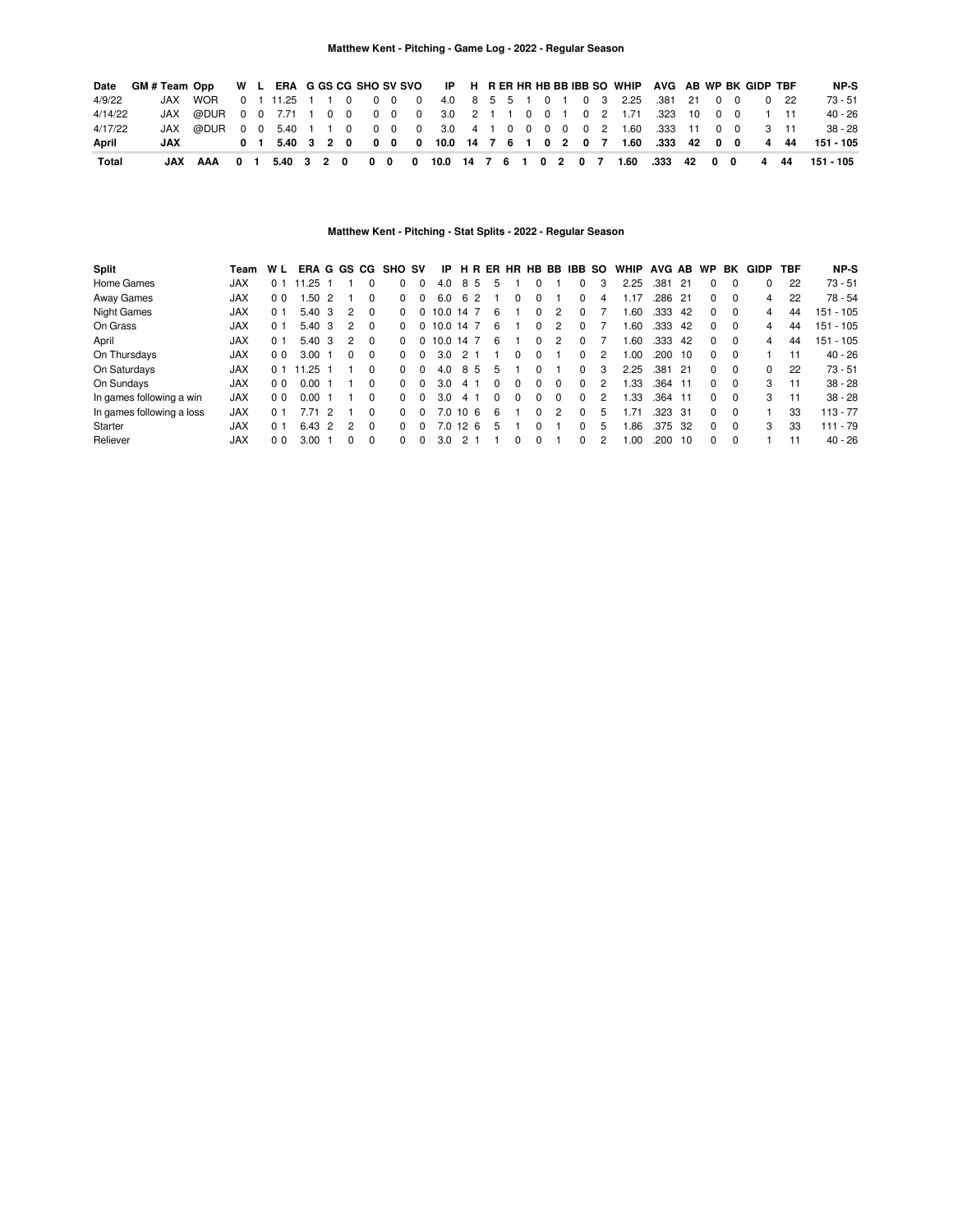| Date    | GM#Team Opp W L ERA G GS CG SHO SV SVO IP H R ER HR HB BB IBB SO WHIP AVG AB WP BK GIDP TBF |                                                                         |  |  |  |  |  |  |  |  |  |                                                                  |  |  |             | NP-S                                                                   |
|---------|---------------------------------------------------------------------------------------------|-------------------------------------------------------------------------|--|--|--|--|--|--|--|--|--|------------------------------------------------------------------|--|--|-------------|------------------------------------------------------------------------|
| 4/9/22  |                                                                                             | JAX WOR                                                                 |  |  |  |  |  |  |  |  |  | 0 1 11.25 1 1 0 0 0 0 4.0 8 5 5 1 0 1 0 3 2.25 .381 21 0 0       |  |  | $0\quad 22$ | 73 - 51                                                                |
| 4/14/22 |                                                                                             | JAX @DUR 0 0 7.71 1 0 0 0 0 0 3.0 2 1 1 0 0 1 0 2 1.71 .323 10 0 0 1 11 |  |  |  |  |  |  |  |  |  |                                                                  |  |  |             | 40 - 26                                                                |
| 4/17/22 |                                                                                             | JAX @DUR 0 0 5.40 1 1 0 0 0 0 3.0 4 1 0 0 0 0 0 2 1.60 .333 11 0 0 3 11 |  |  |  |  |  |  |  |  |  |                                                                  |  |  |             | $38 - 28$                                                              |
| April   | JAX                                                                                         |                                                                         |  |  |  |  |  |  |  |  |  | 0 1 5.40 3 2 0 0 0 0 10.0 14 7 6 1 0 2 0 7 1.60 .333 42 0 0 4 44 |  |  |             | 151 - 105                                                              |
| Total   |                                                                                             | JAX AAA 01                                                              |  |  |  |  |  |  |  |  |  |                                                                  |  |  |             | 5.40 3 2 0 0 0 0 10.0 14 7 6 1 0 2 0 7 1.60 .333 42 0 0 4 44 151 - 105 |

# **Matthew Kent - Pitching - Stat Splits - 2022 - Regular Season**

| Split                     | Team       | W L            | ERA G GS CG |               |          |              | <b>SHO SV</b> |          | IP.       |    |    | <b>HRER</b> |   |              |          | HR HB BB IBB SO |   | WHIP | AVG AB  |       | <b>WP</b>    | BK       | GIDP | TBF | NP-S        |
|---------------------------|------------|----------------|-------------|---------------|----------|--------------|---------------|----------|-----------|----|----|-------------|---|--------------|----------|-----------------|---|------|---------|-------|--------------|----------|------|-----|-------------|
| Home Games                | <b>JAX</b> | 0 1            | .25         |               |          |              | 0             | 0        | 4.0       | 8  | -5 | 5           |   |              |          | $\Omega$        |   | 2.25 | .381    | $-21$ | 0            |          |      | 22  | $73 - 51$   |
| Away Games                | <b>JAX</b> | 0 <sub>0</sub> | .50         | $\mathcal{P}$ |          | 0            | 0             | $\Omega$ | 6.0       |    | 62 |             |   | 0            |          | $\Omega$        | 4 | .17  | .286    | $-21$ | 0            | $\Omega$ | 4    | 22  | $78 - 54$   |
| <b>Night Games</b>        | <b>JAX</b> | 0 <sub>1</sub> | 5.40        | 3             | 2        | $\Omega$     | $\Omega$      | $\Omega$ | 10.0 14 7 |    |    | 6           |   | 0            | 2        | $\Omega$        |   | .60  | .333    | -42   | 0            | $\Omega$ | 4    | 44  | 151 - 105   |
| On Grass                  | <b>JAX</b> | 0 <sub>1</sub> | 5.40        | 3             | 2        | $\Omega$     | 0             | $\Omega$ | 10.0 14 7 |    |    | 6           |   | 0            | 2        | $\Omega$        |   | .60  | .333    | 42    | 0            | $\Omega$ | 4    | 44  | $151 - 105$ |
| April                     | <b>JAX</b> | 0 <sub>1</sub> | 5.40        | 3             | 2        | $\Omega$     | 0             | $\Omega$ | 10.0 14 7 |    |    | 6           |   | 0            | 2        | $\Omega$        |   | .60  | .333    | -42   | 0            | $\Omega$ | 4    | 44  | $151 - 105$ |
| On Thursdays              | <b>JAX</b> | 00             | 3.00        |               | $\Omega$ | $\Omega$     | $\Omega$      | $\Omega$ | 3.0       |    | 21 |             |   | 0            |          | $\Omega$        |   | 1.00 | .200    | - 10  | 0            | $\Omega$ |      | 11  | $40 - 26$   |
| On Saturdays              | <b>JAX</b> | 0 1            | .25         |               |          | $\Omega$     | <sup>0</sup>  | $\Omega$ | 4.0       | 8  | -5 | 5           |   | 0            |          | 0               |   | 2.25 | .381    | - 21  | 0            | $\Omega$ | 0    | 22  | $73 - 51$   |
| On Sundays                | <b>JAX</b> | 00             | 0.00        |               |          | <sup>0</sup> | <sup>0</sup>  | $\Omega$ | 3.0       |    | 41 | 0           |   | 0            | $\Omega$ | $\Omega$        |   | 1.33 | .364 11 |       | <sup>0</sup> | $\Omega$ | 3    | 11  | $38 - 28$   |
| In games following a win  | <b>JAX</b> | 0 <sub>0</sub> | 0.00        |               |          | 0            | <sup>0</sup>  | $\Omega$ | 3.0       |    | 41 | 0           | 0 | 0            | $\Omega$ | $\Omega$        |   | 1.33 | .364 11 |       | 0            | $\Omega$ | 3    | 11  | $38 - 28$   |
| In games following a loss | <b>JAX</b> | 0 <sub>1</sub> | 7 71        | 2             |          | $\Omega$     | $\Omega$      | $\Omega$ | 7.0       | 10 | -6 | 6           |   | <sup>0</sup> | 2        | $\Omega$        | 5 | .71  | .323    | - 31  | 0            | $\Omega$ |      | 33  | $113 - 77$  |
| Starter                   | <b>JAX</b> | 0 <sub>1</sub> | 6.43        | $\mathcal{P}$ | 2        | $\Omega$     | $\Omega$      | $\Omega$ | 7.0 12    |    | -6 | 5           |   | <sup>0</sup> |          | <sup>n</sup>    | 5 | .86  | .375    | -32   | 0            | $\Omega$ | 3    | 33  | $111 - 79$  |
| Reliever                  | <b>JAX</b> | 0 <sub>0</sub> | 3.00        |               | $\Omega$ | $\Omega$     | <sup>0</sup>  | $\Omega$ | 3.0       |    |    |             |   | <sup>0</sup> |          | <sup>0</sup>    |   | .00  | .200    | - 10  | <sup>0</sup> | $\Omega$ |      | 11  | $40 - 26$   |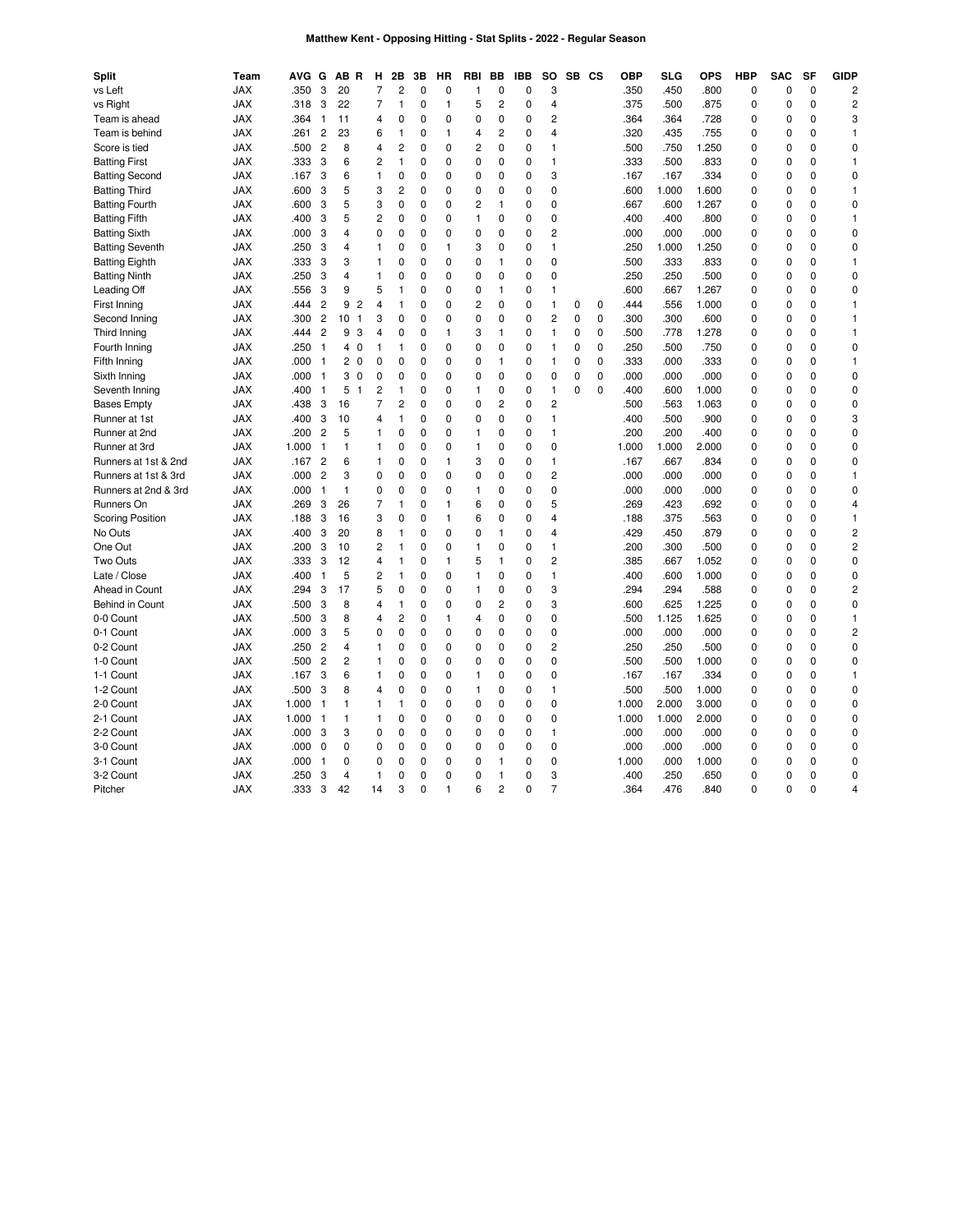# **Matthew Kent - Opposing Hitting - Stat Splits - 2022 - Regular Season**

| <b>Split</b>            | Team       | AVG   | G              | AВ<br>R             | н              | 2B             | 3B       | НR             | <b>RBI</b>     | BB             | <b>IBB</b>  | <b>SO</b>      |             | SB CS | <b>OBP</b>    | SLG   | <b>OPS</b> | <b>HBP</b>   | <b>SAC</b>     | <b>SF</b>   | <b>GIDP</b>             |
|-------------------------|------------|-------|----------------|---------------------|----------------|----------------|----------|----------------|----------------|----------------|-------------|----------------|-------------|-------|---------------|-------|------------|--------------|----------------|-------------|-------------------------|
| vs Left                 | <b>JAX</b> | .350  | 3              | 20                  | 7              | 2              | 0        | $\mathbf 0$    | 1              | $\mathbf 0$    | 0           | 3              |             |       | .350          | .450  | .800       | $\mathbf 0$  | 0              | 0           | 2                       |
| vs Right                | <b>JAX</b> | .318  | 3              | 22                  | $\overline{7}$ | $\mathbf{1}$   | 0        | $\mathbf{1}$   | 5              | 2              | 0           | 4              |             |       | .375          | .500  | .875       | $\mathbf{0}$ | 0              | 0           | $\overline{c}$          |
| Team is ahead           | <b>JAX</b> | .364  | $\overline{1}$ | 11                  | 4              | 0              | 0        | $\mathbf 0$    | 0              | $\mathbf 0$    | 0           | 2              |             |       | .364          | .364  | .728       | $\mathbf 0$  | 0              | $\mathbf 0$ | 3                       |
| Team is behind          | <b>JAX</b> | .261  | $\overline{c}$ | 23                  | 6              | $\mathbf{1}$   | 0        | $\mathbf{1}$   | 4              | 2              | 0           | 4              |             |       | .320          | .435  | .755       | $\mathbf{0}$ | 0              | 0           | 1                       |
| Score is tied           | JAX        | .500  | $\overline{c}$ | 8                   | 4              | $\overline{c}$ | 0        | $\mathbf 0$    | 2              | $\mathbf 0$    | 0           | 1              |             |       | .500          | .750  | 1.250      | $\mathbf 0$  | 0              | $\Omega$    | 0                       |
| <b>Batting First</b>    | JAX        | .333  | 3              | 6                   | 2              | $\mathbf{1}$   | 0        | $\mathbf 0$    | $\mathbf 0$    | 0              | 0           | 1              |             |       | .333          | .500  | .833       | $\mathbf 0$  | $\overline{0}$ | $\mathbf 0$ | 1                       |
| <b>Batting Second</b>   | JAX        | .167  | 3              | 6                   | $\mathbf{1}$   | $\mathbf 0$    | 0        | $\mathbf 0$    | $\mathbf 0$    | $\mathbf 0$    | 0           | 3              |             |       | .167          | .167  | .334       | $\mathbf 0$  | $\mathbf 0$    | $\mathbf 0$ | $\pmb{0}$               |
| <b>Batting Third</b>    | <b>JAX</b> | .600  | 3              | 5                   | 3              | $\overline{c}$ | 0        | $\mathbf 0$    | $\mathbf 0$    | 0              | 0           | 0              |             |       | .600          | 1.000 | 1.600      | $\mathbf 0$  | $\overline{0}$ | $\mathbf 0$ | $\mathbf{1}$            |
| <b>Batting Fourth</b>   | <b>JAX</b> | .600  | 3              | 5                   | 3              | $\mathbf 0$    | 0        | 0              | $\overline{c}$ | $\mathbf{1}$   | 0           | 0              |             |       | .667          | .600  | 1.267      | 0            | 0              | $\mathbf 0$ | $\pmb{0}$               |
| <b>Batting Fifth</b>    | <b>JAX</b> | .400  | 3              | 5                   | 2              | 0              | 0        | 0              | $\mathbf{1}$   | $\mathbf 0$    | 0           | 0              |             |       | .400          | .400  | .800       | 0            | 0              | $\mathbf 0$ | 1                       |
| <b>Batting Sixth</b>    | <b>JAX</b> | .000  | 3              | $\overline{4}$      | 0              | 0              | 0        | 0              | 0              | 0              | 0           | $\overline{c}$ |             |       | .000          | .000  | .000       | 0            | 0              | $\mathbf 0$ | $\pmb{0}$               |
| <b>Batting Seventh</b>  | JAX        | .250  | 3              | $\overline{4}$      | 1              | 0              | 0        | $\mathbf{1}$   | 3              | $\mathbf 0$    | 0           | 1              |             |       | .250          | 1.000 | 1.250      | $\mathbf 0$  | 0              | $\mathbf 0$ | 0                       |
| <b>Batting Eighth</b>   | JAX        | .333  | 3              | 3                   | 1              | 0              | 0        | 0              | 0              | $\mathbf{1}$   | $\mathbf 0$ | 0              |             |       | .500          | .333  | .833       | 0            | $\Omega$       | $\mathbf 0$ | 1                       |
| <b>Batting Ninth</b>    | JAX        | .250  | 3              | 4                   | 1              | 0              | 0        | 0              | 0              | $\mathbf 0$    | 0           | $\mathbf 0$    |             |       | .250          | .250  | .500       | $\mathbf 0$  | $\Omega$       | $\mathbf 0$ | $\pmb{0}$               |
| Leading Off             | <b>JAX</b> | .556  | 3              | 9                   | 5              | $\overline{1}$ | $\Omega$ | 0              | $\Omega$       | $\mathbf{1}$   | $\Omega$    | 1              |             |       | .600          | .667  | 1.267      | $\Omega$     | $\Omega$       | $\Omega$    | 0                       |
| First Inning            | <b>JAX</b> | .444  | $\overline{2}$ | 9<br>$\overline{c}$ | 4              | $\mathbf{1}$   | 0        | $\mathbf 0$    | $\overline{c}$ | $\mathbf 0$    | 0           | 1              | 0           | 0     | .444          | .556  | 1.000      | $\mathbf 0$  | $\overline{0}$ | $\Omega$    | $\mathbf{1}$            |
| Second Inning           | <b>JAX</b> | .300  | $\overline{c}$ | 10<br>$\mathbf{1}$  | 3              | 0              | $\Omega$ | $\mathbf 0$    | $\mathbf 0$    | 0              | 0           | $\overline{c}$ | $\mathbf 0$ | 0     | .300          | .300  | .600       | $\mathbf 0$  | $\overline{0}$ | $\Omega$    | $\mathbf{1}$            |
| Third Inning            | <b>JAX</b> | .444  | $\overline{c}$ | 9<br>3              | 4              | 0              | 0        | $\mathbf{1}$   | 3              | 1              | 0           | 1              | 0           | 0     | .500          | .778  | 1.278      | $\mathbf 0$  | 0              | $\mathbf 0$ | $\mathbf{1}$            |
| Fourth Inning           | <b>JAX</b> | .250  | $\overline{1}$ | $\mathbf 0$<br>4    | $\mathbf{1}$   | 1              | 0        | $\mathbf 0$    | 0              | 0              | 0           | 1              | 0           | 0     | .250          | .500  | .750       | $\mathbf{0}$ | $\Omega$       | 0           | $\mathbf 0$             |
| Fifth Inning            | <b>JAX</b> | .000  | $\overline{1}$ | $\mathbf 0$<br>2    | 0              | 0              | 0        | $\mathbf 0$    | 0              | 1              | 0           | 1              | 0           | 0     | .333          | .000  | .333       | 0            | 0              | $\mathbf 0$ | 1                       |
| Sixth Inning            | <b>JAX</b> | .000  | $\overline{1}$ | 3<br>$\mathbf 0$    | 0              | 0              | 0        | 0              | 0              | 0              | 0           | 0              | 0           | 0     | .000          | .000  | .000       | $\mathbf{0}$ | $\Omega$       | $\mathbf 0$ | 0                       |
| Seventh Inning          | JAX        | .400  | -1             | 5<br>$\mathbf{1}$   | $\overline{c}$ | 1              | 0        | $\mathbf 0$    | 1              | 0              | 0           | 1              | $\Omega$    | 0     | .400          | .600  | 1.000      | $\mathbf{0}$ | 0              | $\mathbf 0$ | 0                       |
| <b>Bases Empty</b>      | JAX        | .438  | 3              | 16                  | 7              | $\overline{c}$ | 0        | 0              | $\mathbf 0$    | $\overline{c}$ | $\mathbf 0$ | $\overline{c}$ |             |       | .500          | .563  | 1.063      | $\mathbf 0$  | $\overline{0}$ | $\mathbf 0$ | $\pmb{0}$               |
| Runner at 1st           | JAX        | .400  | 3              | 10                  | 4              | 1              | 0        | $\mathbf 0$    | $\mathbf 0$    | $\mathbf 0$    | 0           | 1              |             |       | .400          | .500  | .900       | $\mathbf 0$  | $\mathbf 0$    | $\mathbf 0$ | 3                       |
| Runner at 2nd           | <b>JAX</b> | .200  | $\overline{c}$ | 5                   | 1              | $\mathbf 0$    | 0        | 0              | 1              | 0              | 0           | 1              |             |       | .200          | .200  | .400       | $\mathbf 0$  | $\mathbf 0$    | $\mathbf 0$ | 0                       |
| Runner at 3rd           | <b>JAX</b> | 1.000 | $\overline{1}$ | 1                   | 1              | $\mathbf 0$    | 0        | 0              | 1              | 0              | 0           | 0              |             |       | 1.000         | 1.000 | 2.000      | $\mathbf 0$  | $\mathbf 0$    | $\mathbf 0$ | $\pmb{0}$               |
| Runners at 1st & 2nd    | JAX        | .167  | $\overline{c}$ | 6                   | 1              | 0              | 0        | $\mathbf{1}$   | 3              | 0              | 0           | 1              |             |       | .167          | .667  | .834       | 0            | 0              | $\mathbf 0$ | 0                       |
| Runners at 1st & 3rd    | <b>JAX</b> | .000  | $\overline{c}$ | 3                   | 0              | 0              | 0        | 0              | 0              | $\mathbf 0$    | 0           | $\overline{c}$ |             |       | .000          | .000  | .000       | 0            | 0              | $\mathbf 0$ | $\mathbf{1}$            |
| Runners at 2nd & 3rd    | <b>JAX</b> | .000  | $\overline{1}$ | $\mathbf{1}$        | 0              | 0              | 0        | 0              | 1              | $\mathbf 0$    | 0           | 0              |             |       | .000          | .000  | .000       | 0            | $\Omega$       | $\mathbf 0$ | 0                       |
| Runners On              | <b>JAX</b> | .269  | 3              | 26                  | 7              | $\mathbf{1}$   | 0        | $\mathbf{1}$   | 6              | 0              | 0           | 5              |             |       | .269          | .423  | .692       | $\mathbf 0$  | $\Omega$       | $\mathbf 0$ | 4                       |
| <b>Scoring Position</b> | JAX        | .188  | 3              | 16                  | 3              | 0              | 0        | $\mathbf{1}$   | 6              | 0              | 0           | 4              |             |       | .188          | .375  | .563       | $\mathbf 0$  | 0              | $\mathbf 0$ | 1                       |
| No Outs                 | <b>JAX</b> | .400  | 3              | 20                  | 8              | $\overline{1}$ | $\Omega$ | 0              | $\Omega$       | $\overline{1}$ | $\Omega$    | 4              |             |       | .429          | .450  | .879       | $\Omega$     | $\Omega$       | $\Omega$    | $\overline{\mathbf{c}}$ |
| One Out                 | <b>JAX</b> | .200  | 3              | 10                  | $\overline{c}$ | $\mathbf{1}$   | 0        | $\mathbf 0$    | 1              | $\mathbf 0$    | 0           | 1              |             |       | .200          | .300  | .500       | $\mathbf 0$  | $\mathbf 0$    | $\Omega$    | $\overline{c}$          |
| Two Outs                | <b>JAX</b> | .333  | 3              | 12                  | 4              | $\mathbf{1}$   | 0        | $\mathbf{1}$   | 5              | 1              | 0           | $\overline{c}$ |             |       | .385          | .667  | 1.052      | $\mathbf 0$  | $\overline{0}$ | $\Omega$    | $\mathbf 0$             |
| Late / Close            | <b>JAX</b> | .400  | 1              | 5                   | 2              | $\mathbf{1}$   | 0        | $\mathbf 0$    | 1              | $\mathbf 0$    | 0           | 1              |             |       | .400          | .600  | 1.000      | $\mathbf 0$  | 0              | $\mathbf 0$ | $\mathbf 0$             |
| Ahead in Count          | <b>JAX</b> | .294  | 3              | 17                  | 5              | 0              | 0        | $\mathbf 0$    | 1              | 0              | 0           | 3              |             |       | .294          | .294  | .588       | $\mathbf 0$  | $\Omega$       | 0           | 2                       |
| <b>Behind in Count</b>  | <b>JAX</b> | .500  | 3              | 8                   | 4              | 1              | 0        | $\mathbf 0$    | 0              | 2              | 0           | 3              |             |       | .600          | .625  | 1.225      | 0            | 0              | $\mathbf 0$ | 0                       |
| 0-0 Count               | <b>JAX</b> | .500  | 3              | 8                   | 4              | 2              | 0        | $\mathbf{1}$   | 4              | 0              | 0           | 0              |             |       | .500          | 1.125 | 1.625      | $\mathbf 0$  | 0              | 0           | 1                       |
| 0-1 Count               | JAX        | .000  | 3              | 5                   | 0              | 0              | 0        | 0              | 0              | $\mathbf 0$    | 0           | 0              |             |       | .000          | .000  | .000       | $\mathbf 0$  | 0              | $\Omega$    | $\overline{c}$          |
| 0-2 Count               | <b>JAX</b> | .250  | $\overline{c}$ | 4                   | $\mathbf{1}$   | $\mathbf 0$    | 0        | $\mathbf 0$    | $\mathbf 0$    | 0              | 0           | $\overline{c}$ |             |       | .250          | .250  | .500       | $\mathbf 0$  | $\mathbf 0$    | $\mathbf 0$ | $\pmb{0}$               |
| 1-0 Count               | <b>JAX</b> | .500  | $\overline{c}$ | $\overline{2}$      | 1              | $\mathbf 0$    | 0        | 0              | $\mathbf 0$    | $\mathbf 0$    | 0           | 0              |             |       | .500          | .500  | 1.000      | $\mathbf 0$  | $\mathbf 0$    | $\mathbf 0$ | $\pmb{0}$               |
| 1-1 Count               | <b>JAX</b> | .167  | 3              | 6                   | 1              | 0              | 0        | 0              | 1              | 0              | 0           | 0              |             |       | .167          | .167  | .334       | 0            | $\overline{0}$ | $\mathbf 0$ | 1                       |
|                         |            |       |                | 8                   |                | $\mathbf 0$    |          |                | 1              |                | 0           |                |             |       |               |       |            |              | $\mathbf 0$    | $\mathbf 0$ |                         |
| 1-2 Count               | <b>JAX</b> | .500  | 3              |                     | 4              | $\mathbf{1}$   | 0<br>0   | 0              |                | 0<br>0         |             | 1<br>0         |             |       | .500<br>1.000 | .500  | 1.000      | $\mathbf 0$  | 0              | $\mathbf 0$ | $\pmb{0}$               |
| 2-0 Count               | <b>JAX</b> | 1.000 | $\overline{1}$ | 1                   | 1              |                |          | 0              | 0              |                | 0           |                |             |       |               | 2.000 | 3.000      | 0            |                |             | 0                       |
| 2-1 Count               | <b>JAX</b> | 1.000 | $\overline{1}$ | 1                   | $\mathbf{1}$   | 0              | 0        | 0              | 0              | $\mathbf 0$    | 0           | 0              |             |       | 1.000         | 1.000 | 2.000      | 0            | 0              | $\mathbf 0$ | $\pmb{0}$               |
| 2-2 Count               | JAX        | .000  | 3              | 3                   | 0              | 0              | 0        | 0              | 0              | $\mathbf 0$    | 0           | 1              |             |       | .000          | .000  | .000       | $\mathbf 0$  | $\Omega$       | $\mathbf 0$ | 0                       |
| 3-0 Count               | JAX        | .000  | 0              | 0                   | 0              | 0              | 0        | $\mathbf 0$    | 0              | $\mathbf 0$    | $\mathbf 0$ | 0              |             |       | .000          | .000  | .000       | $\mathbf 0$  | $\Omega$       | $\mathbf 0$ | 0                       |
| 3-1 Count               | JAX        | .000  | $\overline{1}$ | 0                   | 0              | 0              | 0        | 0              | 0              | 1              | 0           | 0              |             |       | 1.000         | .000  | 1.000      | $\mathbf 0$  | $\Omega$       | $\mathbf 0$ | $\pmb{0}$               |
| 3-2 Count               | <b>JAX</b> | .250  | 3              | 4                   | $\mathbf{1}$   | $\Omega$       | $\Omega$ | $\Omega$       | $\Omega$       | $\mathbf{1}$   | $\Omega$    | 3              |             |       | .400          | .250  | .650       | $\Omega$     | $\Omega$       | $\Omega$    | 0                       |
| Pitcher                 | <b>JAX</b> | .333  | 3              | 42                  | 14             | 3              | $\Omega$ | $\overline{1}$ | 6              | $\overline{c}$ | 0           | 7              |             |       | 364           | .476  | 840        | $\Omega$     | $\Omega$       | $\Omega$    | 4                       |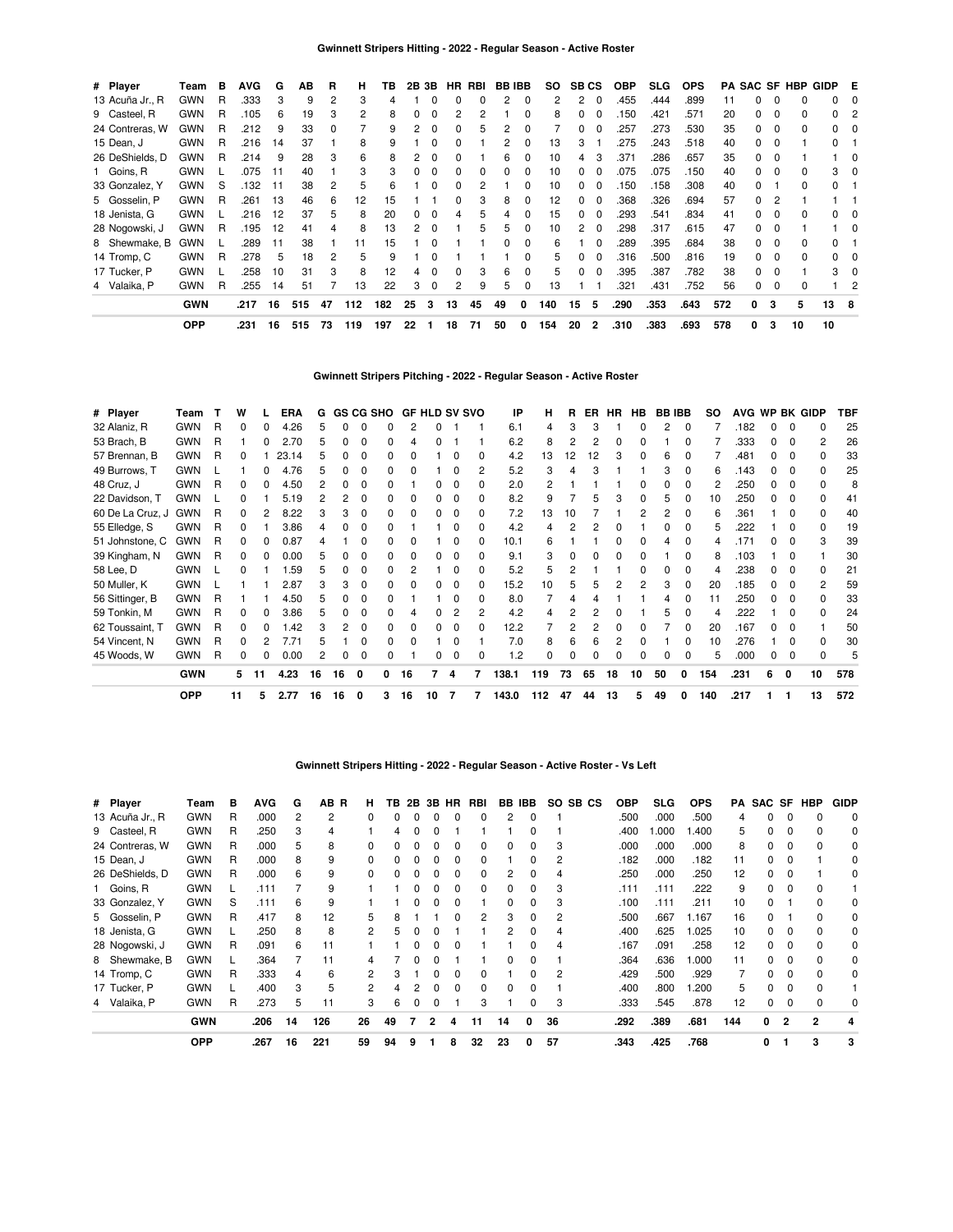| # Player        | Team       | в | <b>AVG</b> | G   | AB  | R  | н   | ΤВ  | 2B | 3Β       |              | HR RBI |              | <b>BB IBB</b> | SO. |              | <b>SB CS</b>   | <b>OBP</b> | SLG. | <b>OPS</b> |     |              |                | <b>PA SAC SF HBP</b> | GIDP E       |          |
|-----------------|------------|---|------------|-----|-----|----|-----|-----|----|----------|--------------|--------|--------------|---------------|-----|--------------|----------------|------------|------|------------|-----|--------------|----------------|----------------------|--------------|----------|
| 13 Acuña Jr., R | <b>GWN</b> | R | .333       | 3   | 9   | 2  | 3   |     |    |          | 0            | 0      | 2            | 0             | 2   | 2            | - 0            | 455        | .444 | .899       | 11  |              | $\Omega$       |                      | 0            |          |
| 9 Casteel, R    | GWN        | R | 105        | 6   | 19  | 3  | 2   | 8   |    |          |              | 2      |              |               | 8   |              |                | 150        | .421 | .571       | 20  |              | 0              | 0                    | 0            |          |
| 24 Contreras, W | GWN        | R | .212       | 9   | 33  | 0  |     | 9   |    |          |              | 5      |              |               |     |              |                | 257        | 273  | .530       | 35  |              | 0              | <sup>0</sup>         |              |          |
| 15 Dean, J      | <b>GWN</b> | R | .216       | 14  | 37  |    | 8   | 9   |    |          |              |        |              |               | 13  | 3            |                | 275        | .243 | .518       | 40  |              | $\Omega$       |                      | <sup>o</sup> |          |
| 26 DeShields, D | <b>GWN</b> | R | .214       | 9   | 28  | 3  | 6   | 8   |    |          |              |        |              |               | 10  |              |                | 371        | .286 | .657       | 35  |              | $\Omega$       |                      |              | 0        |
| 1 Goins, R      | <b>GWN</b> |   | .075       | -11 | 40  |    | 3   | 3   |    |          |              | U      |              |               | 10  | 0            |                | .075       | .075 | .150       | 40  |              | $\Omega$       |                      | 3            | 0        |
| 33 Gonzalez, Y  | GWN        | S | .132       | -11 | 38  | 2  | 5   | 6   |    |          |              |        |              |               | 10  | 0            |                | .150       | .158 | .308       | 40  |              |                |                      |              |          |
| 5 Gosselin, P   | <b>GWN</b> | R | .261       | 13  | 46  | 6  | 12  | 15  |    |          |              | 3      | 8            |               | 12  | 0            |                | .368       | .326 | .694       | 57  | 0            | $\overline{2}$ |                      |              |          |
| 18 Jenista, G   | <b>GWN</b> |   | 216        | 12  | 37  | 5  | 8   | 20  | 0  | $\Omega$ |              | 5      |              |               | 15  | 0            | 0              | .293       | .541 | .834       | 41  |              | $\Omega$       |                      |              |          |
| 28 Nogowski, J  | <b>GWN</b> | R | .195       | 12  | 41  | 4  | 8   | 13  | 2  |          |              | 5      | 5            |               | 10  | 2            | 0              | .298       | .317 | .615       | 47  | 0            | 0              |                      |              | $\Omega$ |
| 8 Shewmake, B   | <b>GWN</b> |   | 289        | 11  | 38  |    | 11  | 15  |    | 0        |              |        | <sup>0</sup> | 0             | 6   |              | $\Omega$       | .289       | .395 | .684       | 38  | 0            | 0              | 0                    | 0            |          |
| 14 Tromp, C     | <b>GWN</b> | R | .278       | 5   | 18  | 2  | 5   | 9   |    | $\Omega$ |              |        |              | $\Omega$      | 5   | 0            | $\Omega$       | 316        | .500 | .816       | 19  | 0            | 0              | 0                    | 0            |          |
| 17 Tucker, P    | <b>GWN</b> |   | .258       | 10  | 31  | 3  | 8   | 12  | 4  | $\Omega$ | <sup>0</sup> | 3      | 6            | $\Omega$      | 5   | <sup>0</sup> | $\Omega$       | .395       | .387 | .782       | 38  | <sup>0</sup> | $\Omega$       |                      | З.           |          |
| 4 Valaika, P    | <b>GWN</b> | R | .255       | 14  | 51  |    | 13  | 22  | 3  | $\Omega$ | 2            | 9      | 5            | $\Omega$      | 13  |              |                | .321       | .431 | .752       | 56  |              | $\Omega$       |                      |              | 2        |
|                 | <b>GWN</b> |   | .217       | 16  | 515 | 47 | 112 | 182 | 25 | 3        | 13           | 45     | 49           | 0             | 140 | 15           | 5              | .290       | .353 | .643       | 572 | 0            | 3              | 5                    | 13           | - 8      |
|                 | <b>OPP</b> |   | .231       | 16  | 515 | 73 | 119 | 197 | 22 |          | 18           | 71     | 50           | 0             | 154 | 20           | $\overline{2}$ | .310       | .383 | .693       | 578 | 0            | 3              | 10                   | 10           |          |

# **Gwinnett Stripers Pitching - 2022 - Regular Season - Active Roster**

| # Player         | Team       |   | w            |     | <b>ERA</b> | G  |    |   | <b>GS CG SHO</b> |              | <b>GF HLD SV SVO</b> |   |   | IP    | н   | R  | ER | <b>HR</b> | HB.          | <b>BB IBB</b> |    | SO  |      |   |              | AVG WP BK GIDP | TBF |
|------------------|------------|---|--------------|-----|------------|----|----|---|------------------|--------------|----------------------|---|---|-------|-----|----|----|-----------|--------------|---------------|----|-----|------|---|--------------|----------------|-----|
| 32 Alaniz, R     | <b>GWN</b> | R | <sup>0</sup> |     | 4.26       |    |    |   |                  |              |                      |   |   | 6.1   | 4   |    |    |           |              |               |    |     | .182 |   | O            | n              | 25  |
| 53 Brach, B      | <b>GWN</b> | R |              |     | 2.70       | 5  |    | 0 | O.               | 4            |                      |   |   | 6.2   | 8   |    | 2  |           |              |               | 0  |     | .333 |   | $\Omega$     | 2              | 26  |
| 57 Brennan, B    | <b>GWN</b> | R | O            |     | 23.14      |    |    |   |                  |              |                      |   |   | 4.2   | 13  | 12 | 12 |           |              | հ             |    |     | .481 |   | $\Omega$     | <sup>0</sup>   | 33  |
| 49 Burrows, T    | <b>GWN</b> |   |              | O.  | 4.76       | 5  |    | 0 | 0                | <sup>0</sup> |                      |   |   | 5.2   | 3   |    | 3  |           |              | 3             | 0  | 6   | .143 |   | 0            | $\Omega$       | 25  |
| 48 Cruz, J       | <b>GWN</b> | R |              |     | 4.50       |    |    | 0 |                  |              |                      |   |   | 2.0   |     |    |    |           |              |               | 0  | 2   | .250 |   | 0            |                | 8   |
| 22 Davidson, T   | <b>GWN</b> |   |              |     | 5.19       |    |    |   | O.               | <sup>0</sup> |                      |   | 0 | 8.2   | 9   |    | 5  |           |              | 5             | 0  | 10  | .250 |   | 0            | n              | 41  |
| 60 De La Cruz, J | <b>GWN</b> | R |              |     | 8.22       |    |    |   | O.               | ŋ            | n                    |   |   | 7.2   | 13  | 10 |    |           |              | 2             | O  | 6   | .361 |   | $\Omega$     | <sup>0</sup>   | 40  |
| 55 Elledge, S    | <b>GWN</b> | R |              |     | 3.86       |    |    | O |                  |              |                      |   |   | 4.2   | 4   |    |    |           |              |               | O  | 5   | .222 |   | $\Omega$     | <sup>0</sup>   | 19  |
| 51 Johnstone, C  | <b>GWN</b> | R | <sup>n</sup> | O.  | 0.87       |    |    | ŋ | O.               | o            |                      | O | 0 | 10.1  | 6   |    |    | 0         | <sup>0</sup> | 4             | 0  | 4   | .171 |   | $\Omega$     | 3              | 39  |
| 39 Kingham, N    | <b>GWN</b> | R | <sup>0</sup> |     | 0.00       |    |    |   | O.               |              |                      |   |   | 9.1   | 3   |    | ი  |           |              |               | O  |     | .103 |   | O            |                | 30  |
| 58 Lee, D        | <b>GWN</b> |   | n            |     | .59        |    |    | ŋ | O.               |              |                      |   | 0 | 5.2   | 5   |    |    |           |              |               | 0  |     | .238 |   | $\Omega$     | <sup>n</sup>   | 21  |
| 50 Muller, K     | <b>GWN</b> |   |              |     | 2.87       |    |    |   |                  |              |                      |   |   | 15.2  | 10  |    |    |           |              | 3             | 0  | 20  | .185 |   | O            | 2              | 59  |
| 56 Sittinger, B  | <b>GWN</b> | R |              |     | 4.50       |    |    | ŋ | n                |              |                      |   |   | 8.0   |     |    |    |           |              |               | 0  | 11  | .250 |   | $\Omega$     | <sup>0</sup>   | 33  |
| 59 Tonkin, M     | <b>GWN</b> | R |              | o   | 3.86       |    |    |   | O.               |              |                      | 2 | 2 | 4.2   | 4   |    |    |           |              | 5             | 0  | 4   | .222 |   | 0            | 0              | 24  |
| 62 Toussaint, T  | <b>GWN</b> | R |              |     | .42        |    |    |   | O.               |              |                      |   |   | 12.2  |     |    |    |           |              |               | 0  | 20  | .167 |   | O            |                | 50  |
| 54 Vincent, N    | <b>GWN</b> | R | n.           |     | 7.71       |    |    | n | O.               | <sup>0</sup> |                      |   |   | 7.0   | 8   | 6  | 6  |           |              |               | O. | 10  | .276 |   | <sup>0</sup> | <sup>0</sup>   | 30  |
| 45 Woods, W      | <b>GWN</b> | R |              |     | 0.00       |    |    |   |                  |              |                      |   |   | 1.2   | ŋ   |    |    |           |              |               |    |     | .000 |   | 0            |                | 5   |
|                  | <b>GWN</b> |   | 5            | -11 | 4.23       | 16 | 16 | 0 | 0                | 16           |                      | 4 | 7 | 138.1 | 119 | 73 | 65 | 18        | 10           | 50            | 0  | 154 | .231 | 6 | 0            | 10             | 578 |
|                  | <b>OPP</b> |   | 11           | 5   | 2.77       | 16 | 16 | 0 | 3                | 16           | 10                   | 7 | 7 | 143.0 | 112 | 47 | 44 | 13        | 5            | 49            | 0  | 140 | .217 |   |              | 13             | 572 |

### **Gwinnett Stripers Hitting - 2022 - Regular Season - Active Roster - Vs Left**

| # Player        | Team       | в  | <b>AVG</b> | G  | AB R | н  | ΤВ |   |   | 2B 3B HR | RBI |    | BB IBB | SO.            | SB CS | <b>OBP</b> | SLG. | <b>OPS</b> | PA  | SAC SF |   | HBP          | <b>GIDP</b> |
|-----------------|------------|----|------------|----|------|----|----|---|---|----------|-----|----|--------|----------------|-------|------------|------|------------|-----|--------|---|--------------|-------------|
| 13 Acuña Jr., R | <b>GWN</b> | R  | .000       | 2  | 2    | 0  | 0  |   | 0 | 0        | 0   | 2  | 0      |                |       | .500       | .000 | .500       | 4   | 0      |   |              | $\Omega$    |
| 9 Casteel, R    | <b>GWN</b> | R  | .250       | 3  | 4    |    |    |   |   |          |     |    |        |                |       | .400       | .000 | .400       | 5   | 0      |   |              | 0           |
| 24 Contreras, W | <b>GWN</b> | R  | .000       | 5  | 8    |    |    |   |   |          | 0   |    | 0      | 3              |       | .000       | .000 | .000       | 8   | 0      |   |              | 0           |
| 15 Dean, J      | <b>GWN</b> | R. | .000       | 8  | 9    |    |    |   |   |          |     |    |        | 2              |       | .182       | .000 | .182       | 11  | O.     |   |              | 0           |
| 26 DeShields, D | <b>GWN</b> | R  | .000       | 6  | 9    |    |    |   |   |          | 0   | 2  |        | 4              |       | .250       | .000 | .250       | 12  | 0      |   |              | 0           |
| 1 Goins, R      | <b>GWN</b> |    | .111       |    | 9    |    |    |   |   |          | 0   | 0  | 0      | 3              |       | .111       | .111 | .222       | 9   | 0      |   |              |             |
| 33 Gonzalez, Y  | <b>GWN</b> | S  | .111       | 6  | 9    |    |    |   |   |          |     | 0  | 0      | 3              |       | .100       | .111 | .211       | 10  | 0      |   |              | 0           |
| 5 Gosselin, P   | <b>GWN</b> | R. | .417       | 8  | 12   | 5  | 8  |   |   | O        | 2   | 3  | 0      | 2              |       | .500       | .667 | 1.167      | 16  | 0      |   |              | 0           |
| 18 Jenista, G   | <b>GWN</b> |    | 250        | 8  | 8    | 2  | 5  | n | O |          |     | 2  | 0      | 4              |       | .400       | .625 | 1.025      | 10  | 0      |   |              | 0           |
| 28 Nogowski, J  | <b>GWN</b> | R  | .091       | 6  | 11   |    |    |   | O | O        |     |    | n      | 4              |       | .167       | .091 | .258       | 12  | 0      |   |              | 0           |
| 8 Shewmake, B   | <b>GWN</b> |    | .364       |    | 11   |    |    |   |   |          |     |    |        |                |       | .364       | .636 | 000.       | 11  | O.     |   |              | 0           |
| 14 Tromp, C     | <b>GWN</b> | R  | .333       | 4  | 6    |    |    |   |   |          |     |    | 0      | $\overline{c}$ |       | .429       | .500 | .929       |     | O.     |   |              | 0           |
| 17 Tucker, P    | <b>GWN</b> |    | .400       | 3  | 5    |    |    |   |   |          | 0   | 0  |        |                |       | .400       | .800 | .200       | 5   | 0      |   |              |             |
| 4 Valaika, P    | <b>GWN</b> | R  | .273       | 5  | 11   | 3  | 6  |   | 0 |          | 3   |    | 0      | 3              |       | .333       | .545 | .878       | 12  | 0      |   |              | 0           |
|                 | <b>GWN</b> |    | .206       | 14 | 126  | 26 | 49 |   | 2 | 4        | 11  | 14 | 0      | 36             |       | .292       | .389 | .681       | 144 | 0      | 2 | $\mathbf{2}$ |             |
|                 | <b>OPP</b> |    | .267       | 16 | 221  | 59 | 94 | 9 |   | 8        | 32  | 23 | 0      | 57             |       | .343       | .425 | .768       |     | 0      |   | 3            | 3           |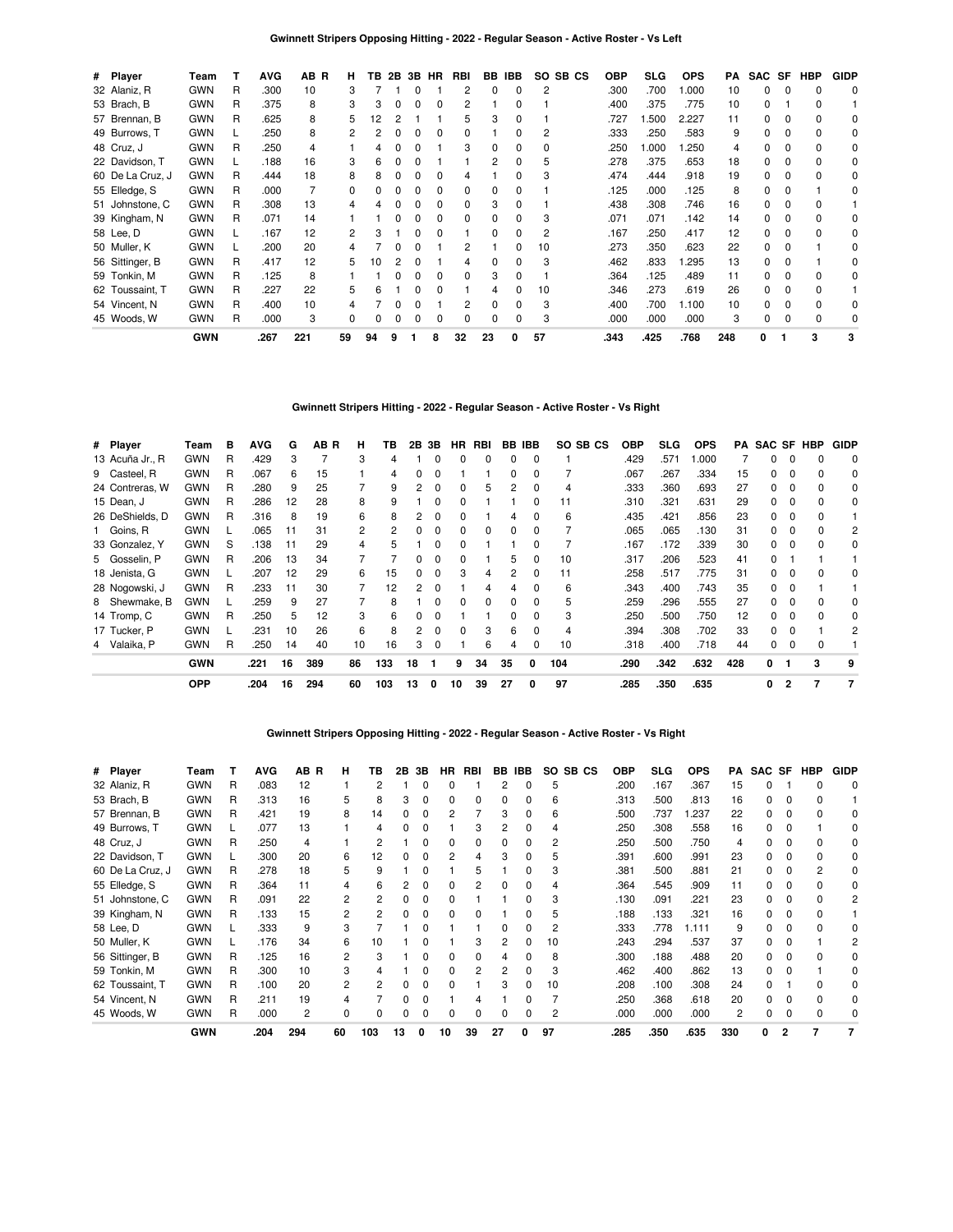| # Player         | Team       |    | <b>AVG</b> | AB R | н. | TВ |              |              | 2B 3B HR | <b>RBI</b> |    | BB IBB | SO SB CS | <b>OBP</b> | SLG   | <b>OPS</b> | PA  |          |          | SAC SF HBP | <b>GIDP</b> |
|------------------|------------|----|------------|------|----|----|--------------|--------------|----------|------------|----|--------|----------|------------|-------|------------|-----|----------|----------|------------|-------------|
| 32 Alaniz, R     | <b>GWN</b> | R  | .300       | 10   | З  |    |              |              |          | 2          | 0  | 0      | 2        | .300       | .700  | 000.       | 10  | 0        | 0        | $\Omega$   | 0           |
| 53 Brach, B      | <b>GWN</b> | R. | .375       | 8    | 3  | 3  | 0            | 0            | 0        | 2          |    | 0      |          | .400       | .375  | .775       | 10  | 0        |          | $\Omega$   |             |
| 57 Brennan, B    | <b>GWN</b> | R  | .625       | 8    | 5  | 2  |              |              |          | 5          | 3  | 0      |          | .727       | 1.500 | 2.227      | 11  | 0        |          | 0          | 0           |
| 49 Burrows, T    | <b>GWN</b> |    | .250       | 8    |    |    |              |              |          | 0          |    | 0      | 2        | .333       | .250  | .583       | 9   | 0        |          | 0          | 0           |
| 48 Cruz, J       | <b>GWN</b> | R  | .250       | 4    |    |    |              |              |          | 3          | 0  | 0      | 0        | .250       | 1.000 | .250       | 4   | 0        |          | $\Omega$   | 0           |
| 22 Davidson, T   | <b>GWN</b> |    | .188       | 16   | 3  |    |              |              |          |            | 2  | 0      | 5        | .278       | .375  | .653       | 18  | 0        |          | $\Omega$   | 0           |
| 60 De La Cruz, J | <b>GWN</b> | R  | .444       | 18   | 8  |    |              |              |          | 4          |    | U      | З        | .474       | .444  | .918       | 19  | 0        | 0        | $\Omega$   | $\Omega$    |
| 55 Elledge, S    | <b>GWN</b> | R  | .000       |      | 0  |    |              |              |          | 0          | 0  | U      |          | .125       | .000  | .125       | 8   | 0        |          |            | 0           |
| 51 Johnstone, C  | <b>GWN</b> | R  | .308       | 13   |    |    |              |              |          | 0          | 3  | U      |          | .438       | .308  | .746       | 16  | 0        | $\Omega$ | $\Omega$   |             |
| 39 Kingham, N    | <b>GWN</b> | R  | .071       | 14   |    |    |              |              |          | 0          | 0  | 0      | 3        | .071       | .071  | .142       | 14  | 0        | 0        | $\Omega$   | 0           |
| 58 Lee, D        | <b>GWN</b> |    | .167       | 12   | 2  |    |              |              |          |            | 0  | 0      | 2        | .167       | .250  | .417       | 12  | 0        | 0        | $\Omega$   | 0           |
| 50 Muller, K     | <b>GWN</b> |    | .200       | 20   |    |    |              |              |          | 2          |    | 0      | 10       | .273       | .350  | .623       | 22  | 0        | 0        |            | 0           |
| 56 Sittinger, B  | <b>GWN</b> | R  | .417       | 12   | 5  | 10 |              | O            |          | 4          | 0  | O      | 3        | .462       | .833  | .295       | 13  | $\Omega$ | $\Omega$ |            | 0           |
| 59 Tonkin, M     | <b>GWN</b> | R  | .125       | 8    |    |    |              | <sup>0</sup> |          | 0          | 3  | 0      |          | .364       | .125  | .489       | 11  | 0        | 0        | $\Omega$   | $\Omega$    |
| 62 Toussaint, T  | <b>GWN</b> | R  | .227       | 22   | 5  | 6  |              | O            |          |            | 4  | 0      | 10       | .346       | .273  | .619       | 26  | 0        | $\Omega$ | $\Omega$   |             |
| 54 Vincent, N    | <b>GWN</b> | R  | .400       | 10   |    |    |              |              |          |            | 0  | 0      | 3        | .400       | .700  | 1.100      | 10  | 0        | $\Omega$ | $\Omega$   | 0           |
| 45 Woods, W      | <b>GWN</b> | R  | .000       | 3    | 0  |    | <sup>0</sup> | <sup>0</sup> | $\Omega$ | 0          | 0  | 0      | 3        | .000       | .000  | .000       | 3   | 0        | $\Omega$ | $\Omega$   | 0           |
|                  | <b>GWN</b> |    | .267       | 221  | 59 | 94 | 9            |              | 8        | 32         | 23 | 0      | 57       | .343       | .425  | .768       | 248 | 0        |          | 3          | 3           |

# **Gwinnett Stripers Hitting - 2022 - Regular Season - Active Roster - Vs Right**

| # Player   |                 | Team       | в | <b>AVG</b> | G  | AB <sub>R</sub> | н              | ΤВ  | 2В | 3В           | HR.          | RBI      |    | <b>BB IBB</b> | SO SB CS | OBP  | <b>SLG</b> | <b>OPS</b> | PA  | SAC SF HBP   |          |   | <b>GIDP</b> |
|------------|-----------------|------------|---|------------|----|-----------------|----------------|-----|----|--------------|--------------|----------|----|---------------|----------|------|------------|------------|-----|--------------|----------|---|-------------|
|            | 13 Acuña Jr., R | <b>GWN</b> | R | .429       | 3  |                 | 3              | 4   |    |              | 0            | $\Omega$ | 0  | 0             |          | .429 | .571       | .000       |     | 0            | 0        |   | $\Omega$    |
|            | 9 Casteel, R    | <b>GWN</b> | R | .067       | 6  | 15              |                | 4   | 0  | 0            |              |          | 0  | 0             |          | .067 | .267       | .334       | 15  | 0            | $\Omega$ |   | 0           |
|            | 24 Contreras, W | <b>GWN</b> | R | .280       | 9  | 25              |                | 9   |    | $\Omega$     | 0            | 5        | 2  | 0             | 4        | .333 | .360       | .693       | 27  | O.           |          |   | 0           |
| 15 Dean, J |                 | <b>GWN</b> | R | .286       | 12 | 28              | 8              |     |    |              | 0            |          |    | 0             | 11       | .310 | .321       | .631       | 29  | O.           |          |   | 0           |
|            | 26 DeShields, D | <b>GWN</b> | R | .316       | 8  | 19              | 6              |     |    |              |              |          | 4  | O             | 6        | .435 | .421       | .856       | 23  | O.           |          |   |             |
| 1 Goins, R |                 | <b>GWN</b> |   | .065       | 11 | 31              | $\overline{2}$ |     |    |              | 0            | 0        | 0  | 0             |          | .065 | .065       | .130       | 31  | O.           |          |   | 2           |
|            | 33 Gonzalez, Y  | <b>GWN</b> | S | .138       | 11 | 29              | 4              |     |    |              | 0            |          |    |               |          | .167 | .172       | .339       | 30  | 0            |          |   | 0           |
|            | 5 Gosselin, P   | <b>GWN</b> | R | .206       | 13 | 34              |                |     | 0  | 0            | 0            |          | 5  | 0             | 10       | .317 | .206       | .523       | 41  | <sup>0</sup> |          |   |             |
|            | 18 Jenista, G   | <b>GWN</b> |   | .207       | 12 | 29              | 6              | 15  | 0  | <sup>0</sup> | 3            | 4        | 2  | $\Omega$      | 11       | .258 | .517       | .775       | 31  | 0            | $\Omega$ |   | 0           |
|            | 28 Nogowski, J  | <b>GWN</b> | R | .233       | 11 | 30              |                | 12  | 2  | n            |              | 4        | 4  | <sup>0</sup>  | 6        | .343 | .400       | .743       | 35  | <sup>0</sup> | $\Omega$ |   |             |
|            | 8 Shewmake, B   | <b>GWN</b> |   | .259       | 9  | 27              |                | 8   |    | n            | <sup>0</sup> | $\Omega$ | 0  | <sup>0</sup>  | 5        | .259 | .296       | .555       | 27  | O.           | $\Omega$ |   | 0           |
|            | 14 Tromp, C     | <b>GWN</b> | R | .250       | 5  | 12              | 3              | 6   |    |              |              |          | 0  | <sup>0</sup>  | 3        | .250 | .500       | .750       | 12  |              |          |   | 0           |
|            | 17 Tucker, P    | <b>GWN</b> |   | .231       | 10 | 26              | 6              | 8   |    |              | 0            | 3        | 6  | 0             | 4        | .394 | .308       | .702       | 33  | O.           |          |   | 2           |
|            | 4 Valaika, P    | <b>GWN</b> | R | .250       | 14 | 40              | 10             | 16  | 3  | 0            |              | 6        | 4  | 0             | 10       | .318 | .400       | .718       | 44  | 0            | 0        |   |             |
|            |                 | <b>GWN</b> |   | .221       | 16 | 389             | 86             | 133 | 18 |              | 9            | 34       | 35 | $\Omega$      | 104      | .290 | .342       | .632       | 428 | 0            |          | 3 | 9           |
|            |                 | <b>OPP</b> |   | .204       | 16 | 294             | 60             | 103 | 13 | 0            | 10           | 39       | 27 | 0             | 97       | .285 | .350       | .635       |     | 0            | 2        | 7 |             |

### **Gwinnett Stripers Opposing Hitting - 2022 - Regular Season - Active Roster - Vs Right**

| # Player      |                  | Team       |   | <b>AVG</b> | AB R | н              | ΤВ  | 2Β | 3В | HR. | RBI | BB.            | IBB | SO SB CS | <b>OBP</b> | <b>SLG</b> | <b>OPS</b> | PA  | SAC SF |   | HBP | <b>GIDP</b> |
|---------------|------------------|------------|---|------------|------|----------------|-----|----|----|-----|-----|----------------|-----|----------|------------|------------|------------|-----|--------|---|-----|-------------|
| 32 Alaniz, R  |                  | <b>GWN</b> | R | .083       | 12   |                |     |    |    |     |     |                | 0   | 5        | .200       | .167       | .367       | 15  |        |   |     | 0           |
| 53 Brach, B   |                  | <b>GWN</b> | R | .313       | 16   | 5              | 8   | 3  |    | 0   | o   |                |     | 6        | .313       | .500       | .813       | 16  |        |   |     |             |
|               | 57 Brennan, B    | <b>GWN</b> | R | .421       | 19   | 8              | 14  |    |    |     |     | 3              |     | 6        | .500       | .737       | 1.237      | 22  |        |   |     |             |
| 49 Burrows, T |                  | <b>GWN</b> |   | .077       | 13   |                |     |    |    |     |     |                |     |          | .250       | .308       | .558       | 16  |        |   |     |             |
| 48 Cruz, J    |                  | <b>GWN</b> | R | .250       | 4    |                |     |    |    |     |     |                |     |          | .250       | .500       | .750       |     |        |   |     |             |
|               | 22 Davidson, T   | <b>GWN</b> |   | .300       | 20   | 6              | 12  |    |    |     |     |                |     |          | .391       | .600       | .991       | 23  |        |   |     |             |
|               | 60 De La Cruz, J | <b>GWN</b> | R | .278       | 18   | 5              | 9   |    |    |     |     |                | U   | 3        | .381       | .500       | .881       | 21  |        |   |     |             |
| 55 Elledge, S |                  | <b>GWN</b> | R | .364       | 11   | 4              | 6   |    |    |     |     |                |     |          | .364       | .545       | .909       | 11  |        |   |     | 0           |
|               | 51 Johnstone, C  | <b>GWN</b> | R | .091       | 22   | 2              |     |    |    | n   |     |                | U   | 3        | .130       | .091       | .221       | 23  |        |   |     |             |
|               | 39 Kingham, N    | <b>GWN</b> | R | .133       | 15   | $\overline{2}$ | 2   |    |    | n   |     |                | U   | 5        | .188       | .133       | .321       | 16  |        |   |     |             |
| 58 Lee, D     |                  | <b>GWN</b> |   | .333       | 9    | 3              |     |    |    |     |     |                |     | 2        | .333       | 778        | 1.111      | 9   |        |   |     |             |
| 50 Muller, K  |                  | <b>GWN</b> |   | .176       | 34   | 6              | 10  |    |    |     | 3   | 2              | ŋ   | 10       | .243       | .294       | .537       | 37  |        |   |     |             |
|               | 56 Sittinger, B  | <b>GWN</b> | R | .125       | 16   | $\overline{2}$ | 3   |    |    |     | ŋ   |                | n   | 8        | .300       | .188       | .488       | 20  |        |   |     |             |
| 59 Tonkin, M  |                  | <b>GWN</b> | R | .300       | 10   | 3              |     |    |    |     | 2   | $\overline{c}$ | U   | 3        | .462       | .400       | .862       | 13  | 0      |   |     |             |
|               | 62 Toussaint, T  | <b>GWN</b> | R | .100       | 20   | 2              | 2   |    |    |     |     | 3              | U   | 10       | .208       | .100       | .308       | 24  | n      |   |     |             |
| 54 Vincent. N |                  | <b>GWN</b> | R | .211       | 19   | 4              |     | ŋ  |    |     |     |                | U   |          | .250       | .368       | .618       | 20  |        |   |     |             |
| 45 Woods, W   |                  | <b>GWN</b> | R | .000       | 2    | $\Omega$       |     | n  |    | n   | Ω   |                | U   | 2        | .000       | .000       | .000       | 2   |        |   |     |             |
|               |                  | <b>GWN</b> |   | .204       | 294  | 60             | 103 | 13 | 0  | 10  | 39  | 27             | 0   | 97       | .285       | .350       | .635       | 330 | 0      | 2 |     |             |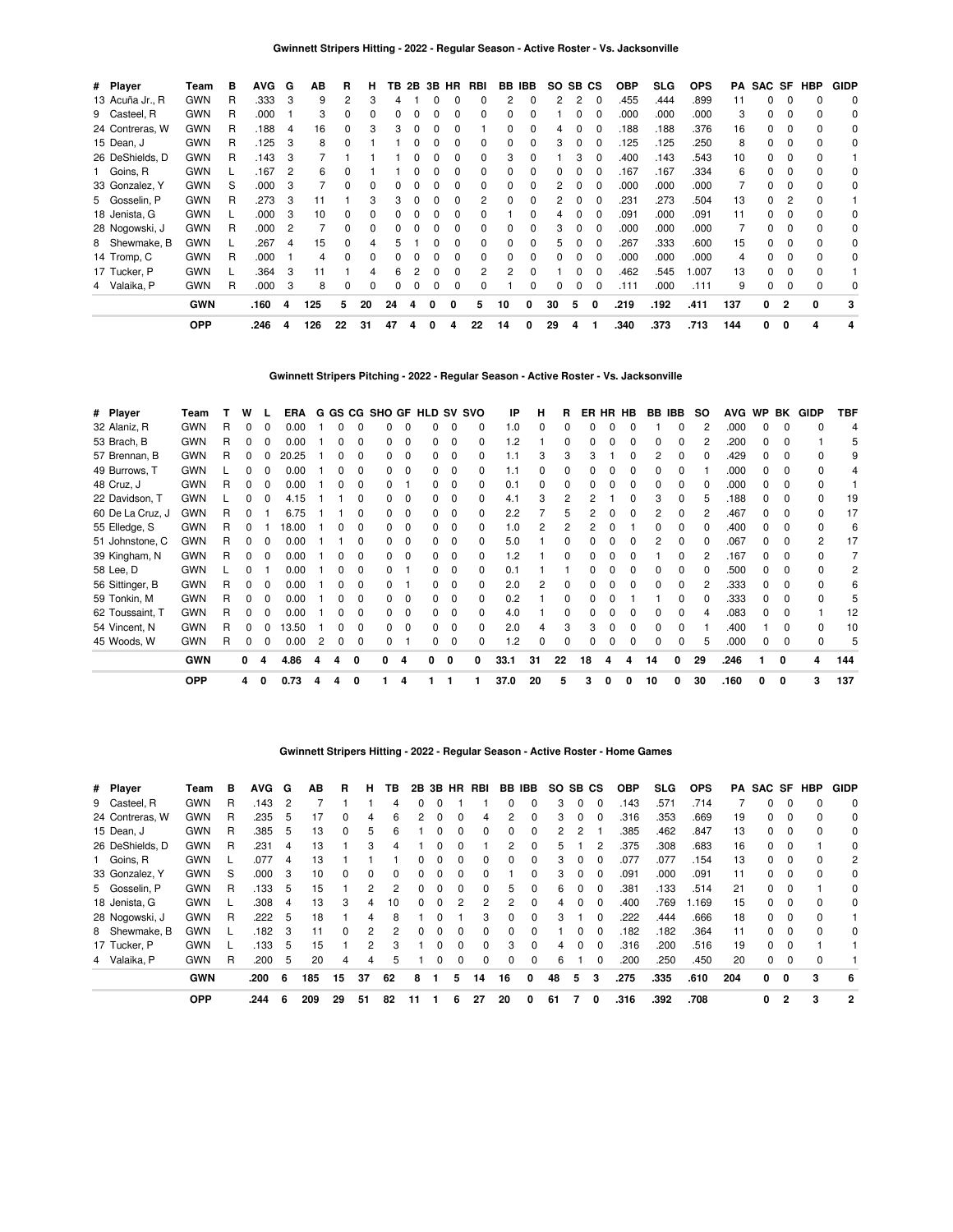| # Player        | Team       | в | AVG. | G | ΑВ  | R  | н            | TВ | 2B | 3B | HR | RBI |    | BB IBB       | SO. | SB. | СS           | <b>OBP</b> | SLG  | <b>OPS</b> | PA  | SAC SF |              | HBP      | <b>GIDP</b> |
|-----------------|------------|---|------|---|-----|----|--------------|----|----|----|----|-----|----|--------------|-----|-----|--------------|------------|------|------------|-----|--------|--------------|----------|-------------|
| 13 Acuña Jr., R | <b>GWN</b> | R | .333 | 3 | 9   |    |              |    |    | O  |    | O   | 2  |              | 2   | 2   |              | .455       | .444 | .899       | 11  | 0      |              |          | $\mathbf 0$ |
| 9 Casteel, R    | <b>GWN</b> | R | .000 |   | 3   |    |              |    |    |    |    | 0   | 0  |              |     |     |              | .000       | .000 | .000       | 3   | 0      |              |          | 0           |
| 24 Contreras, W | <b>GWN</b> | R | .188 | 4 | 16  |    |              |    |    |    |    |     |    |              |     |     |              | .188       | .188 | .376       | 16  | 0      | 0            |          | 0           |
| 15 Dean, J      | <b>GWN</b> | R | .125 | 3 | 8   |    |              |    |    |    |    |     | O  |              | 3   |     |              | 125        | .125 | .250       | 8   | 0      |              |          | $\Omega$    |
| 26 DeShields, D | <b>GWN</b> | R | .143 | 3 |     |    |              |    |    |    |    |     | 3  |              |     |     |              | .400       | .143 | .543       | 10  | 0      |              |          |             |
| 1 Goins, R      | <b>GWN</b> |   | .167 | 2 | 6   |    |              |    |    |    |    | 0   | 0  |              |     |     | 0            | .167       | .167 | .334       | 6   | 0      |              |          | 0           |
| 33 Gonzalez, Y  | <b>GWN</b> | S | .000 | 3 |     |    |              |    |    |    |    | 0   | 0  |              |     |     | 0            | .000       | .000 | .000       |     | 0      |              |          | 0           |
| 5 Gosselin, P   | <b>GWN</b> | R | .273 | 3 |     |    |              |    |    |    |    |     |    |              |     |     |              | .231       | .273 | .504       | 13  | 0      |              |          |             |
| 18 Jenista, G   | <b>GWN</b> | L | .000 | 3 | 10  |    |              |    |    |    |    |     |    |              | 4   |     | 0            | .091       | .000 | .091       | 11  | 0      |              |          | 0           |
| 28 Nogowski, J  | <b>GWN</b> | R | .000 | 2 |     |    |              |    |    |    |    |     |    | 0            | 3   |     | 0            | .000       | .000 | .000       |     | 0      |              |          | 0           |
| 8 Shewmake, B   | <b>GWN</b> |   | 267  | 4 | 15  |    |              |    |    | n  | ŋ  | 0   | 0  | 0            | 5.  | 0   | $\Omega$     | 267        | .333 | .600       | 15  | 0      | 0            | $\Omega$ | 0           |
| 14 Tromp, C     | <b>GWN</b> | R | .000 |   | 4   |    | <sup>0</sup> | 0. |    | O  | ŋ  | 0   | 0  | <sup>0</sup> | 0   | 0   | $\Omega$     | .000       | .000 | .000       | 4   | 0      | <sup>0</sup> | $\Omega$ | 0           |
| 17 Tucker, P    | <b>GWN</b> |   | .364 | 3 | 11  |    |              | ĥ  |    | O  | ŋ  | 2   | 2  |              |     |     |              | .462       | .545 | 1.007      | 13  | 0      |              | $\Omega$ |             |
| 4 Valaika, P    | <b>GWN</b> | R | .000 | 3 | 8   |    |              |    |    | O  | 0  |     |    |              | 0   | 0   | <sup>0</sup> | .111       | .000 | .111       | 9   | 0      |              |          | 0           |
|                 | <b>GWN</b> |   | .160 | 4 | 125 | 5  | 20           | 24 | 4  | 0  | 0  | 5   | 10 | 0            | 30  | 5   | 0            | .219       | .192 | .411       | 137 | 0      | 2            | 0        | 3           |
|                 | <b>OPP</b> |   | .246 | 4 | 126 | 22 | 31           | 47 | 4  | 0  | 4  | 22  | 14 | 0            | 29  | 4   |              | .340       | .373 | .713       | 144 | 0      | 0            | 4        | 4           |

**Gwinnett Stripers Pitching - 2022 - Regular Season - Active Roster - Vs. Jacksonville**

| # Player         | Team       |   | w        | L        | ERA   |   |              | G GS CG SHO GF HLD SV SVO |          |        |              |    | IP   | н  | R  |    |   | ER HR HB     | BB IBB |              | <b>SO</b> | <b>AVG</b> | <b>WP</b>    | BK       | GIDP | TBF |
|------------------|------------|---|----------|----------|-------|---|--------------|---------------------------|----------|--------|--------------|----|------|----|----|----|---|--------------|--------|--------------|-----------|------------|--------------|----------|------|-----|
| 32 Alaniz, R     | <b>GWN</b> | R | 0        | O        | 0.00  |   |              |                           |          |        |              | 0  | 1.0  |    |    |    |   |              |        |              |           | .000       |              |          |      | 4   |
| 53 Brach, B      | <b>GWN</b> | R |          |          | 0.00  |   |              | 0                         | $\Omega$ |        |              |    | 1.2  |    |    |    |   |              |        |              |           | .200       |              |          |      | 5   |
| 57 Brennan, B    | <b>GWN</b> | R | 0        |          | 20.25 |   |              |                           |          |        |              |    | 1.1  |    |    |    |   |              |        |              |           | .429       |              |          |      | 9   |
| 49 Burrows, T    | <b>GWN</b> |   |          |          | 0.00  |   | O            |                           | $\Omega$ |        | <sup>0</sup> |    | 1.1  |    | 0  |    |   |              |        |              |           | .000       |              | n        |      | 4   |
| 48 Cruz, J       | <b>GWN</b> | R | 0        | 0        | 0.00  |   | 0            |                           |          |        |              | O. | 0.1  |    | 0  |    |   |              | U      |              |           | .000       |              | $\Omega$ |      |     |
| 22 Davidson, T   | <b>GWN</b> |   |          |          | 4.15  |   |              |                           | 0        |        |              | 0  | 4.1  |    | 2  |    |   |              | З      |              |           | .188       |              | n        |      | 19  |
| 60 De La Cruz, J | <b>GWN</b> | R |          |          | 6.75  |   |              | n.                        | $\Omega$ |        |              | 0  | 2.2  |    |    |    |   | <sup>0</sup> | 2      |              |           | .467       |              |          | 0    | 17  |
| 55 Elledge, S    | <b>GWN</b> | R | 0        |          | 18.00 |   | <sup>0</sup> | n.                        | $\Omega$ | n.     | 0            | 0  | 1.0  |    | 2  |    |   |              |        |              |           | .400       | U            |          | U    | 6   |
| 51 Johnstone, C  | GWN        | R | 0        | $\Omega$ | 0.00  |   | O            | n.                        | $\Omega$ | n.     | 0            | 0  | 5.0  |    | 0  |    |   |              | 2      | <sup>0</sup> |           | .067       | <sup>0</sup> | $\Omega$ | 2    | 17  |
| 39 Kingham, N    | <b>GWN</b> | R | 0        | 0        | 0.00  |   | 0            | n.                        | $\Omega$ |        |              | O. | 1.2  |    | 0  |    |   |              |        |              |           | .167       |              |          |      |     |
| 58 Lee, D        | <b>GWN</b> |   | o        |          | 0.00  |   |              |                           |          |        |              | 0  | 0.1  |    |    |    |   |              |        |              |           | .500       |              |          |      |     |
| 56 Sittinger, B  | <b>GWN</b> | R | 0        | 0        | 0.00  |   |              |                           |          |        |              |    | 2.0  |    |    |    |   |              |        |              |           | .333       |              |          |      | 6   |
| 59 Tonkin, M     | <b>GWN</b> | R | $\Omega$ | O        | 0.00  |   | <sup>0</sup> |                           | $\Omega$ |        | <sup>0</sup> | 0  | 0.2  |    |    |    |   |              |        |              |           | .333       |              |          |      | 5   |
| 62 Toussaint, T  | <b>GWN</b> | R |          | 0        | 0.00  |   | O            |                           | $\Omega$ |        | <sup>0</sup> | 0  | 4.0  |    | O  |    |   |              |        |              |           | .083       |              |          |      | 12  |
| 54 Vincent, N    | <b>GWN</b> | R |          |          | 3.50  |   |              |                           | $\Omega$ |        |              |    | 2.0  |    | З  |    |   |              |        |              |           | .400       |              |          |      | 10  |
| 45 Woods, W      | GWN        | R |          | 0        | 0.00  |   |              |                           |          |        |              |    | .2   |    |    |    |   |              |        |              |           | .000       |              |          |      | 5   |
|                  | <b>GWN</b> |   | 0        | 4        | 4.86  | 4 | 0            |                           |          | 0<br>0 |              | 0  | 33.1 | 31 | 22 | 18 |   |              | 14     | 0            | 29        | .246       |              | 0        | 4    | 144 |
|                  | <b>OPP</b> |   | 4        | 0        | 0.73  |   | 0            |                           |          |        |              |    | 37.0 | 20 |    | 3  | 0 | O            | 10     | 0            | 30        | .160       | 0            | O        | 3    | 137 |

|  | Gwinnett Stripers Hitting - 2022 - Regular Season - Active Roster - Home Games |
|--|--------------------------------------------------------------------------------|
|  |                                                                                |

| # Player        | Team       | в | <b>AVG</b> | G | ΑВ  | R            | н  | ΤВ       |              | 2B 3B        | <b>HR</b> | RBI | BB            | IBB          | SO. | SB CS    |              | <b>OBP</b> | SLG. | <b>OPS</b> | PA  | SAC SF |                | HBP | <b>GIDP</b> |
|-----------------|------------|---|------------|---|-----|--------------|----|----------|--------------|--------------|-----------|-----|---------------|--------------|-----|----------|--------------|------------|------|------------|-----|--------|----------------|-----|-------------|
| 9 Casteel, R    | <b>GWN</b> | R | .143       | 2 |     |              |    |          |              |              |           |     |               |              | 3   |          | 0            | .143       | .571 | .714       |     | 0      |                |     | 0           |
| 24 Contreras, W | <b>GWN</b> | R | .235       | 5 | 17  | <sup>0</sup> | 4  | 6        | 2            |              | 0         | 4   | 2             | $\Omega$     | 3   | 0        | 0            | .316       | .353 | .669       | 19  | 0      | 0              |     | $\Omega$    |
| 15 Dean, J      | <b>GWN</b> | R | .385       | 5 | 13  | <sup>0</sup> | 5  | 6        |              | 0            | 0         | 0   | <sup>0</sup>  | $\Omega$     | 2   | 2        |              | .385       | .462 | .847       | 13  | 0      | 0              |     | 0           |
| 26 DeShields, D | <b>GWN</b> | R | .231       | 4 | 13  |              | 3  | 4        |              |              | 0         |     | 2             | $\Omega$     | 5   |          |              | .375       | .308 | .683       | 16  | 0      | 0              |     | 0           |
| 1 Goins, R      | <b>GWN</b> |   | .077       | 4 | 13  |              |    |          | <sup>0</sup> | 0            | 0         | 0   | <sup>0</sup>  | $\Omega$     | 3   | $\Omega$ | 0            | 077        | .077 | .154       | 13  | 0      | $\Omega$       | n   | 2           |
| 33 Gonzalez, Y  | <b>GWN</b> | S | .000       | 3 | 10  |              | 0  | $\Omega$ |              |              | 0         |     |               | $\Omega$     | 3   |          | <sup>0</sup> | .091       | .000 | .091       | 11  | 0      | 0              |     | 0           |
| 5 Gosselin, P   | <b>GWN</b> | R | .133       | 5 | 15  |              | 2  | 2        |              | <sup>0</sup> | $\Omega$  | 0   | 5.            | $\Omega$     | 6   | $\Omega$ | $\Omega$     | .381       | .133 | .514       | 21  | 0      | $\Omega$       |     | $\Omega$    |
| 18 Jenista, G   | <b>GWN</b> |   | .308       | 4 | 13  | з            | 4  | 10       | 0            | 0            | 2         | 2   | $\mathcal{P}$ | <sup>0</sup> | 4   | O        | <sup>0</sup> | .400       | .769 | .169       | 15  | 0      | 0              |     | 0           |
| 28 Nogowski, J  | <b>GWN</b> | R | .222       | 5 | 18  |              | 4  | 8        |              |              |           | 3   | 0             | $\Omega$     | 3   |          | 0            | 222        | .444 | .666       | 18  | 0      | 0              |     |             |
| 8 Shewmake, B   | <b>GWN</b> |   | .182       | 3 | 11  | $\Omega$     | 2  | 2        | <sup>0</sup> | 0            | $\Omega$  | 0   | $\Omega$      | $\Omega$     |     | O        | $\Omega$     | .182       | .182 | .364       | 11  | 0      | $\Omega$       | n   | $\Omega$    |
| 17 Tucker, P    | <b>GWN</b> |   | 133        | 5 | 15  |              | 2  | 3        |              | <sup>0</sup> | 0         | 0   | 3             | $\Omega$     | 4   |          | $\Omega$     | .316       | .200 | .516       | 19  | 0      | 0              |     |             |
| 4 Valaika, P    | <b>GWN</b> | R | .200       | 5 | 20  | 4            | 4  | 5        |              | 0            | 0         | 0   | 0             | $\Omega$     | 6   |          | 0            | .200       | .250 | .450       | 20  | 0      | $\Omega$       |     |             |
|                 | <b>GWN</b> |   | .200       | 6 | 185 | 15           | 37 | 62       | 8            |              | 5         | 14  | 16            | $\mathbf{0}$ | 48  | 5        | 3            | .275       | .335 | .610       | 204 | 0      | 0              | 3   | -6          |
|                 | <b>OPP</b> |   | .244       | 6 | 209 | 29           | 51 | 82       | 11           |              | 6         | 27  | 20            | 0            | 61  |          | 0            | .316       | .392 | .708       |     | 0      | $\overline{2}$ | 3   | 2           |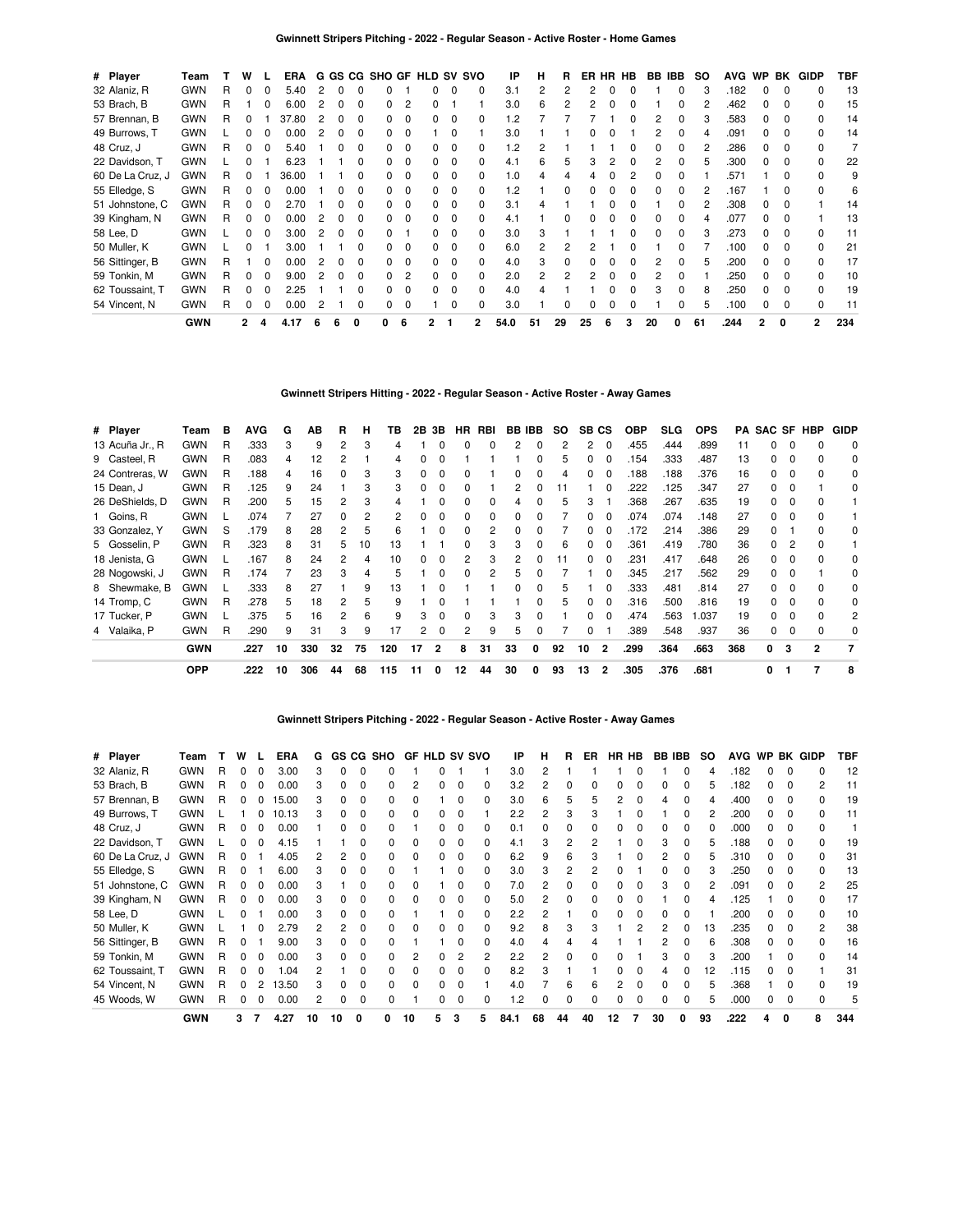| # Player         | Team       |   | w            |          | <b>ERA</b> |    |              |              |   |          |   |              | G GS CG SHO GF HLD SV SVO | IP       | н  | R  |    |   | ER HR HB | BB IBB |   | SO. | <b>AVG</b> | WP           | BK           | <b>GIDP</b>    | TBF |
|------------------|------------|---|--------------|----------|------------|----|--------------|--------------|---|----------|---|--------------|---------------------------|----------|----|----|----|---|----------|--------|---|-----|------------|--------------|--------------|----------------|-----|
| 32 Alaniz, R     | <b>GWN</b> | R | 0            | 0        | 5.40       | 2  | 0            |              |   |          |   | 0            |                           | 3.1      |    | 2  |    |   |          |        |   |     | .182       | 0            | $\Omega$     |                | 13  |
| 53 Brach, B      | <b>GWN</b> | R |              | 0        | 6.00       |    | 0            | O            |   | 2        |   |              |                           | 3.0      | 6  |    |    |   |          |        |   |     | .462       |              | <sup>0</sup> |                | 15  |
| 57 Brennan, B    | <b>GWN</b> | R | 0            |          | 37.80      |    | 0            |              |   | $\Omega$ |   | 0            |                           | .2       |    |    |    |   |          |        |   |     | .583       |              | <sup>0</sup> |                | 14  |
| 49 Burrows, T    | <b>GWN</b> |   | 0            | 0        | 0.00       |    | 0            | <sup>0</sup> |   | $\Omega$ |   | 0            |                           | 3.0      |    |    |    |   |          |        |   |     | .091       |              | <sup>0</sup> |                | 14  |
| 48 Cruz, J       | <b>GWN</b> | R | 0            | $\Omega$ | 5.40       |    | 0            | <sup>0</sup> |   | $\Omega$ |   | 0            |                           | 1.2      |    |    |    |   |          |        |   |     | .286       | 0            | <sup>0</sup> |                |     |
| 22 Davidson, T   | <b>GWN</b> |   | <sup>0</sup> |          | 6.23       |    |              | <sup>0</sup> |   | $\Omega$ |   | 0            |                           | 4.1      | 6  | 5  | З  |   | O        |        |   |     | .300       | <sup>n</sup> | <sup>0</sup> | 0              | 22  |
| 60 De La Cruz, J | <b>GWN</b> | R | 0            |          | 36.00      |    |              |              |   | $\Omega$ |   | 0            |                           | $\Omega$ |    |    |    |   |          |        |   |     | .571       |              |              |                | 9   |
| 55 Elledge, S    | <b>GWN</b> | R | 0            | $\Omega$ | 0.00       |    | O            | <sup>0</sup> |   | $\Omega$ | 0 | 0            |                           | $\cdot$  |    | ŋ  |    |   |          |        |   |     | .167       |              | <sup>0</sup> |                | 6   |
| 51 Johnstone, C  | <b>GWN</b> | R | 0            | $\Omega$ | 2.70       |    |              |              |   | $\Omega$ |   | <sup>0</sup> |                           | 3.1      |    |    |    |   |          |        |   |     | .308       | <sup>n</sup> | <sup>0</sup> |                | 14  |
| 39 Kingham, N    | <b>GWN</b> | R | 0            | $\Omega$ | 0.00       |    | <sup>0</sup> | O            |   | $\Omega$ |   | <sup>0</sup> |                           | 4.1      |    |    |    |   |          |        |   |     | .077       | <sup>n</sup> | <sup>0</sup> |                | 13  |
| 58 Lee, D        | <b>GWN</b> |   | 0            | $\Omega$ | 3.00       | 2  | $\Omega$     | <sup>0</sup> |   |          |   | <sup>0</sup> |                           | 3.0      | 3  |    |    |   |          |        |   |     | .273       | <sup>n</sup> | n            |                | 11  |
| 50 Muller, K     | <b>GWN</b> |   | 0            |          | 3.00       |    |              |              |   | $\Omega$ |   | 0            |                           | 6.0      |    |    |    |   |          |        |   |     | .100       | <sup>n</sup> | <sup>0</sup> | <sup>n</sup>   | 21  |
| 56 Sittinger, B  | <b>GWN</b> | R |              | $\Omega$ | 0.00       | 2  | <sup>0</sup> | <sup>0</sup> |   | $\Omega$ |   | <sup>0</sup> |                           | 4.0      |    | ŋ  |    |   |          |        |   |     | .200       | n            | <sup>0</sup> |                | 17  |
| 59 Tonkin, M     | <b>GWN</b> | R | 0            | $\Omega$ | 9.00       |    | <sup>0</sup> |              |   | 2        |   | <sup>0</sup> |                           | 2.0      | 2  | 2  |    |   |          |        |   |     | .250       |              | <sup>0</sup> |                | 10  |
| 62 Toussaint, T  | <b>GWN</b> | R | $\Omega$     | $\Omega$ | 2.25       |    |              |              |   | $\Omega$ |   | <sup>0</sup> |                           | 4.0      |    |    |    |   |          |        |   |     | .250       |              | <sup>0</sup> |                | 19  |
| 54 Vincent, N    | <b>GWN</b> | R | 0            | 0        | 0.00       |    |              |              |   | $\Omega$ |   |              |                           | 3.0      |    |    |    |   |          |        |   |     | .100       |              | $\Omega$     |                | 11  |
|                  | <b>GWN</b> |   | 2            | 4        | 4.17       | -6 | 6            | 0            | 0 | 6        |   |              | 2                         | 54.0     | 51 | 29 | 25 | 6 | 3        | 20     | 0 | 61  | .244       | 2            | 0            | $\overline{2}$ | 234 |

### **Gwinnett Stripers Hitting - 2022 - Regular Season - Active Roster - Away Games**

| # Player        | Team       | в | <b>AVG</b> | G  | ΑВ  | R  | н  | ΤВ  | 2В | 3В | HR.      | RBI | <b>BB IBB</b> |   | SO. | SB CS |          | <b>OBP</b> | <b>SLG</b> | <b>OPS</b> | PA  | <b>SAC SF HBP</b> |   |   | <b>GIDP</b> |
|-----------------|------------|---|------------|----|-----|----|----|-----|----|----|----------|-----|---------------|---|-----|-------|----------|------------|------------|------------|-----|-------------------|---|---|-------------|
| 13 Acuña Jr., R | <b>GWN</b> | R | 333.       | 3  | 9   | 2  | 3  | 4   |    | 0  | 0        | n   | 2             | 0 | 2   | 2     | $\Omega$ | .455       | .444       | .899       | 11  | 0                 |   |   | 0           |
| 9 Casteel, R    | <b>GWN</b> | R | .083       | 4  | 12  |    |    | 4   |    | 0  |          |     |               | 0 | 5   |       | 0        | 154        | .333       | .487       | 13  | 0                 |   |   | 0           |
| 24 Contreras, W | <b>GWN</b> | R | .188       | 4  | 16  |    | 3  | 3   |    | 0  |          |     |               |   | 4   |       |          | 188        | .188       | .376       | 16  | 0                 |   |   | 0           |
| 15 Dean, J      | <b>GWN</b> | R | 125        | 9  | 24  |    | 3  |     |    |    |          |     |               |   |     |       |          | .222       | .125       | .347       | 27  | 0                 |   |   | 0           |
| 26 DeShields, D | <b>GWN</b> | R | .200       | 5  | 15  |    |    |     |    |    |          |     |               |   | 5   | 3     |          | .368       | .267       | .635       | 19  |                   |   |   |             |
| 1 Goins, R      | <b>GWN</b> |   | .074       |    | 27  |    |    |     |    |    | 0        |     |               |   |     |       |          | .074       | .074       | .148       | 27  | 0                 |   |   |             |
| 33 Gonzalez, Y  | <b>GWN</b> | S | .179       | 8  | 28  | 2  | 5  | 6   |    | 0  | 0        |     |               | ი |     | 0     | 0        | .172       | .214       | .386       | 29  | 0                 |   |   | 0           |
| 5 Gosselin, P   | <b>GWN</b> | R | .323       | 8  | 31  | 5  | 10 | 13  |    |    | 0        | 3   | з             | ŋ | 6   | 0     | 0        | .361       | .419       | .780       | 36  | 0                 |   |   |             |
| 18 Jenista, G   | <b>GWN</b> |   | 167        | 8  | 24  | 2  | 4  | 10  | 0  | o  | 2        | 3   | 2             | ŋ | 11  | O.    | $\Omega$ | .231       | .417       | .648       | 26  | 0                 |   |   | 0           |
| 28 Nogowski, J  | <b>GWN</b> | R | 174        |    | 23  | з  | Δ  | 5   |    | 0  | $\Omega$ | 2   | ҕ             | ŋ |     |       |          | 345        | .217       | .562       | 29  | 0                 |   |   | 0           |
| 8 Shewmake, B   | <b>GWN</b> |   | 333.       | 8  | 27  |    | 9  | 13  |    |    |          |     |               |   | 5   |       | $\Omega$ | .333       | .481       | .814       | 27  | O.                |   |   | 0           |
| 14 Tromp, C     | <b>GWN</b> | R | 278        | 5  | 18  |    | 5  | 9   |    |    |          |     |               |   | 5   |       |          | .316       | .500       | .816       | 19  | O.                |   |   | 0           |
| 17 Tucker, P    | <b>GWN</b> |   | .375       | 5  | 16  |    | 6  | 9   | 3  |    |          | 3   | з             | ŋ |     |       |          | .474       | .563       | 1.037      | 19  | 0                 |   |   | 2           |
| 4 Valaika, P    | <b>GWN</b> | R | .290       | 9  | 31  | З  | 9  | 17  | 2  | 0  | 2        | 9   | 5             | 0 |     | 0     |          | .389       | .548       | .937       | 36  | 0                 |   |   | 0           |
|                 | <b>GWN</b> |   | .227       | 10 | 330 | 32 | 75 | 120 | 17 | 2  | 8        | 31  | 33            | 0 | 92  | 10    | 2        | .299       | .364       | .663       | 368 | 0                 | 3 | 2 |             |
|                 | <b>OPP</b> |   | .222       | 10 | 306 | 44 | 68 | 115 | 11 |    | 12       | 44  | 30            | 0 | 93  | 13    | 2        | .305       | .376       | .681       |     |                   |   |   | 8           |

# **Gwinnett Stripers Pitching - 2022 - Regular Season - Active Roster - Away Games**

| # Player         | Team       |   | W | <b>ERA</b> | G  | <b>GS</b> | CG SHO |    | <b>GF HLD SV SVO</b> |   |              | IP      | н  | R  | ER | HR HB |    | <b>BB IBB</b> | so | <b>AVG</b> |   |              | WP BK GIDP | TBF |
|------------------|------------|---|---|------------|----|-----------|--------|----|----------------------|---|--------------|---------|----|----|----|-------|----|---------------|----|------------|---|--------------|------------|-----|
| 32 Alaniz, R     | <b>GWN</b> | R |   | 3.00       | 3  |           |        |    |                      |   |              | 3.0     |    |    |    |       |    |               |    | .182       |   |              |            | 12  |
| 53 Brach, B      | <b>GWN</b> | R |   | 0.00       | 3  |           |        |    | o                    |   | 0            | 3.2     |    |    |    |       |    |               | 5  | .182       | 0 |              | 2          | 11  |
| 57 Brennan, B    | <b>GWN</b> | R |   | 15.00      |    |           |        |    |                      |   |              | 3.0     | 6  | 5  |    |       |    |               |    | .400       |   |              |            | 19  |
| 49 Burrows, T    | <b>GWN</b> |   |   | 10.13      |    |           |        |    |                      |   |              | 2.2     | 2  | 3  |    |       |    |               |    | .200       | 0 |              |            | 11  |
| 48 Cruz, J       | <b>GWN</b> | R |   | 0.00       |    |           |        |    |                      |   |              | 0.1     |    |    |    |       |    |               |    | .000       |   |              |            |     |
| 22 Davidson, T   | <b>GWN</b> |   |   | 4.15       |    |           |        |    |                      |   |              | 4.1     |    |    |    |       |    |               |    | 188        |   |              |            | 19  |
| 60 De La Cruz, J | <b>GWN</b> | R |   | 4.05       |    |           |        |    |                      |   |              | 6.2     | 9  | հ  |    |       |    |               |    | .310       |   |              |            | 31  |
| 55 Elledge, S    | <b>GWN</b> | R |   | 6.00       | з  |           |        |    |                      |   | <sup>0</sup> | 3.0     | 3  |    |    |       |    |               |    | .250       | 0 |              |            | 13  |
| 51 Johnstone, C  | <b>GWN</b> | R |   | 0.00       | 3  |           |        |    |                      |   | <sup>0</sup> | 7.0     |    |    |    |       |    |               |    | .091       | 0 |              |            | 25  |
| 39 Kingham, N    | <b>GWN</b> | R |   | 0.00       | 3  |           |        |    |                      |   | <sup>0</sup> | 5.0     |    |    |    |       |    |               |    | .125       |   |              |            | 17  |
| 58 Lee, D        | <b>GWN</b> |   |   | 0.00       | 3  |           |        |    |                      |   | O            | 2.2     |    |    |    |       |    |               |    | .200       | n |              |            | 10  |
| 50 Muller, K     | <b>GWN</b> |   |   | 2.79       | 2  |           |        |    |                      |   |              | 9.2     | 8  |    |    |       |    |               | 13 | .235       |   |              | 2          | 38  |
| 56 Sittinger, B  | <b>GWN</b> | R |   | 9.00       |    |           |        |    |                      |   | 0            | 4.0     |    |    |    |       |    |               | 6  | .308       |   |              |            | 16  |
| 59 Tonkin, M     | <b>GWN</b> |   |   | 0.00       | 3  |           |        |    |                      |   | 2            | 2.2     | 2  |    |    |       |    |               |    | .200       |   |              |            | 14  |
| 62 Toussaint, T  | <b>GWN</b> | R |   | .04        | 2  |           |        | O  | O.                   |   | <sup>0</sup> | 8.2     | з  |    |    |       |    |               | 12 | .115       |   |              |            | 31  |
| 54 Vincent, N    | <b>GWN</b> | R |   | 13.50      | з  |           |        | U  |                      |   |              | 4.0     |    | 6  |    |       |    |               | 5  | 368        |   |              |            | 19  |
| 45 Woods, W      | <b>GWN</b> | R |   | 0.00       |    |           |        |    |                      |   |              | $\cdot$ |    |    |    |       |    |               | 5  | .000       |   | <sup>0</sup> |            | 5   |
|                  | <b>GWN</b> |   | 3 | 4.27       | 10 | 10        | 0      | 10 |                      | 3 | 5            | 84.1    | 68 | 44 | 40 | 12    | 30 | 0             | 93 | .222       |   |              |            | 344 |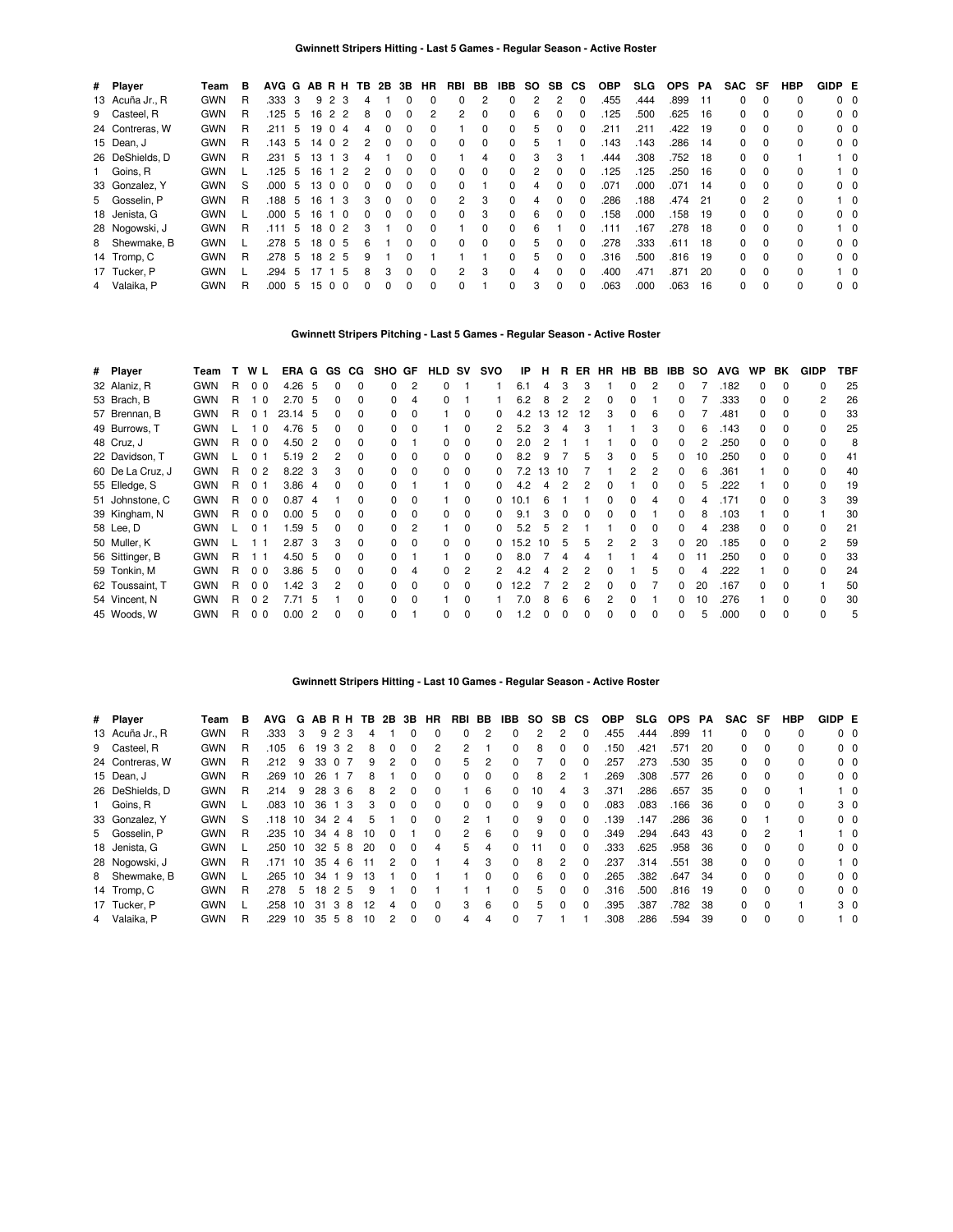| # Player        | Team       | в | AVG G AB R H TB |    |      |                 |   | 2B 3B |              | HR       | RBI            | BB           | IBB | SO. | SB. | <b>CS</b>    | <b>OBP</b> | <b>SLG</b> | <b>OPS</b> | PA  | <b>SAC</b> | SF       | <b>HBP</b> | GIDP E         |            |
|-----------------|------------|---|-----------------|----|------|-----------------|---|-------|--------------|----------|----------------|--------------|-----|-----|-----|--------------|------------|------------|------------|-----|------------|----------|------------|----------------|------------|
| 13 Acuña Jr., R | <b>GWN</b> | R | .333            | 3  |      | 9 2 3           | 4 |       |              | $\Omega$ | 0              | 2            | 0   |     | 2   | $\Omega$     | .455       | .444       | .899       | -11 | 0          | $\Omega$ |            | $0\quad 0$     |            |
| 9 Casteel, R    | <b>GWN</b> | R | .125            | -5 | 16   | 2 2             | 8 |       | 0            | 2        | 2              | $\Omega$     | 0   | 6   | 0   |              | .125       | .500       | .625       | 16  | 0          | $\Omega$ |            | 0 <sub>0</sub> |            |
| 24 Contreras, W | <b>GWN</b> | R | .211            | 5  | 19   | $\Omega$<br>-4  |   |       |              |          |                | 0            | 0   | 5   | 0   |              | .211       | .211       | .422       | -19 | 0          |          |            | $0\quad 0$     |            |
| 15 Dean, J      | <b>GWN</b> | R | .143            | 5  | 14 0 | $\overline{2}$  |   |       | 0            | $\Omega$ | 0              | $\Omega$     | 0   | 5   |     | <sup>0</sup> | .143       | .143       | .286       | -14 | 0          | $\Omega$ | O.         | $0\quad 0$     |            |
| 26 DeShields, D | <b>GWN</b> | R | .231            | 5  | 13   | -3              |   |       |              | $\Omega$ |                | 4            | 0   | 3   | 3   |              | .444       | .308       | 752        | -18 | 0          |          |            |                | $1\quad 0$ |
| 1 Goins, R      | <b>GWN</b> |   | .125            | 5  | 16   | 2               |   |       |              | $\Omega$ | 0              | <sup>0</sup> | 0   | 2   | 0   | $\Omega$     | .125       | .125       | 250        | -16 | 0          | $\Omega$ | O.         |                | $1\quad$ 0 |
| 33 Gonzalez, Y  | <b>GWN</b> | S | .000            | 5  | 13   | 0 <sub>0</sub>  |   |       |              | $\Omega$ | 0              |              | O.  | 4   |     |              | .071       | .000       | .071       | 14  | 0          |          |            | $0\quad 0$     |            |
| 5 Gosselin, P   | <b>GWN</b> | R | .188            | 5  | 16   | -3              | 3 |       | 0            | $\Omega$ | $\mathbf{2}$   | 3            | 0   | 4   | 0   | $\Omega$     | .286       | .188       | .474       | 21  | 0          | 2        |            |                | $1\quad 0$ |
| 18 Jenista, G   | <b>GWN</b> |   | .000            | 5  | 16   | 1 0             |   |       | 0            | $\Omega$ | <sup>0</sup>   | 3            | 0   | 6   | 0   |              | .158       | .000       | 158        | 19  | 0          | $\Omega$ |            | $0\quad 0$     |            |
| 28 Nogowski, J  | <b>GWN</b> | R | .111            | 5  | 18   | 0 <sub>2</sub>  | 3 |       | U            | $\Omega$ |                | <sup>0</sup> | 0   | 6   |     |              | .111       | .167       | .278       | -18 | 0          | $\Omega$ | $\Omega$   |                | $1\quad$ 0 |
| 8 Shewmake, B   | <b>GWN</b> |   | .278            | 5  | 18   | 05              | ĥ |       |              | $\Omega$ | 0              | $\Omega$     | 0   | 5   | O   |              | 278        | .333       | .611       | 18  | $\Omega$   | $\Omega$ |            | $0\quad 0$     |            |
| 14 Tromp, C     | <b>GWN</b> | R | .278            | -5 |      | 18 2 5          | 9 |       |              |          |                |              | 0   | 5   | 0   | $\Omega$     | .316       | .500       | .816       | 19  | 0          | $\Omega$ | 0          | 0 <sub>0</sub> |            |
| 17 Tucker, P    | <b>GWN</b> |   | .294            | 5  | 17   | - 5             |   | з     | <sup>0</sup> | $\Omega$ | $\overline{2}$ | 3            | 0   | 4   | O   |              | .400       | .471       | .871       | 20  | 0          | $\Omega$ |            |                | $1\quad$ 0 |
| 4 Valaika, P    | <b>GWN</b> | R | .000            | 5  | 15   | $\Omega$<br>- 0 |   |       |              | $\Omega$ | 0              |              | O.  | 3   | 0   | <sup>0</sup> | .063       | .000       | .063       | 16  | 0          | 0        |            | 0 <sub>0</sub> |            |

# **Gwinnett Stripers Pitching - Last 5 Games - Regular Season - Active Roster**

| # Player         | Team       | т  | W L            | ERA G GS CG       |     |    |              | SHO GF |          | <b>HLD SV</b> |              | svo | IP   | н   | B. | ER           |   |               | HR HB BB | IBB          | SO. | <b>AVG</b> | <b>WP</b> | BK           | <b>GIDP</b>    | TBF |
|------------------|------------|----|----------------|-------------------|-----|----|--------------|--------|----------|---------------|--------------|-----|------|-----|----|--------------|---|---------------|----------|--------------|-----|------------|-----------|--------------|----------------|-----|
| 32 Alaniz, R     | <b>GWN</b> | R  | 0 <sub>0</sub> | $4.26\quad 5$     |     | 0  | <sup>0</sup> |        | 2        | $\Omega$      |              |     | 6.1  | 4   | 3  | 3            |   | 0             |          | 0            |     | .182       | 0         | $\Omega$     | <sup>0</sup>   | 25  |
| 53 Brach, B      | <b>GWN</b> | R  | 10             | 2.70 <sub>5</sub> |     | 0  | 0            |        | 4        | 0             |              |     | 6.2  | 8   | 2  | 2            | 0 | 0             |          |              |     | .333       | 0         | $\Omega$     | $\overline{2}$ | 26  |
| 57 Brennan, B    | <b>GWN</b> | R. | 01             | 23.14 5           |     | O. | 0            |        | $\Omega$ |               | $\Omega$     | 0   | 4.2  | 13  | 12 | 12           | 3 | $\Omega$      | 6        |              |     | .481       | n         | $\Omega$     | ŋ              | 33  |
| 49 Burrows, T    | <b>GWN</b> |    | 10             | 4.76              | -5  | 0  | <sup>0</sup> |        | $\Omega$ |               | $\Omega$     |     | 5.2  | 3   | 4  | З            |   |               |          |              |     | .143       | 0         | $\Omega$     | <sup>0</sup>   | 25  |
| 48 Cruz, J       | <b>GWN</b> | R  | 0 <sub>0</sub> | 4.50              | -2  | n. | 0            |        |          | 0             | 0            |     | 2.0  |     |    |              |   |               |          |              |     | .250       | 0         | <sup>0</sup> | <sup>0</sup>   | 8   |
| 22 Davidson, T   | <b>GWN</b> |    | 0 <sub>1</sub> | 5.19              | 2   | 2  | <sup>0</sup> |        |          | <sup>0</sup>  | $\Omega$     |     | 8.2  | 9   |    | h            |   |               |          |              | 10  | .250       | U         | $\Omega$     | $\Omega$       | 41  |
| 60 De La Cruz, J | <b>GWN</b> | R. | 0 <sub>2</sub> | $8.22 \quad 3$    |     | 3  | <sup>0</sup> |        | $\Omega$ | <sup>0</sup>  | <sup>0</sup> |     | 72   | 13  | 10 |              |   |               |          |              |     | .361       |           | <sup>0</sup> |                | 40  |
| 55 Elledge, S    | <b>GWN</b> | R. | 0 <sub>1</sub> | 3.864             |     |    | $\Omega$     |        |          |               | $\Omega$     |     | 4.2  |     |    |              |   |               |          |              |     | 222        |           | <sup>n</sup> |                | 19  |
| 51 Johnstone, C  | <b>GWN</b> | R. | 0 <sub>0</sub> | 0.87              | -4  |    | <sup>0</sup> |        |          |               | O            |     | 10.1 |     |    |              |   |               |          |              |     | .171       |           |              | 3              | 39  |
| 39 Kingham, N    | <b>GWN</b> | R  | 0 <sub>0</sub> | 0.00, 5           |     |    | <sup>0</sup> |        |          | <sup>0</sup>  | $\Omega$     |     | 9.1  |     |    | <sup>n</sup> |   |               |          |              |     | .103       |           |              |                | 30  |
| 58 Lee, D        | <b>GWN</b> |    | 0 <sub>1</sub> | 1.59              | - 5 |    | <sup>0</sup> |        |          |               | 0            |     | 5.2  | 'n. |    |              |   |               |          |              |     | .238       |           |              |                | 21  |
| 50 Muller, K     | <b>GWN</b> |    |                | 2.87              | - 3 | 3  | $\Omega$     |        | $\Omega$ | 0             | $\Omega$     | 0   | 15.2 | 10  | 5  | 5            | 2 | $\mathcal{P}$ | 3        | 0            | 20  | .185       |           |              |                | 59  |
| 56 Sittinger, B  | <b>GWN</b> | R  | 1 1            | 4.50 5            |     | 0  | $\Omega$     |        |          |               | $\Omega$     | 0   | 8.0  |     | 4  |              |   |               |          | <sup>0</sup> |     | .250       |           | 0            |                | 33  |
| 59 Tonkin, M     | <b>GWN</b> | R  | 0 <sub>0</sub> | 3.86 5            |     | 0  | $\Omega$     |        | 4        | 0             | 2            |     | 4.2  |     |    | 2            |   |               |          | 0            |     | 222        |           | $\Omega$     | $\Omega$       | 24  |
| 62 Toussaint, T  | <b>GWN</b> | R. | 0 <sub>0</sub> | 1.42              | 3   | 2  | $\Omega$     |        | $\Omega$ | 0             | 0            | 0   | 12.2 |     | 2  | 2            | ŋ |               |          | 0            | 20  | 167        | 0         | $\Omega$     |                | 50  |
| 54 Vincent, N    | <b>GWN</b> | R. | 0 <sub>2</sub> | 7.71              | -5  |    | $\Omega$     |        | $\Omega$ |               | $\Omega$     |     | 7.0  | 8   | 6  | 6            | 2 |               |          | <sup>0</sup> | 10  | 276        |           | $\Omega$     | <sup>0</sup>   | 30  |
| 45 Woods, W      | <b>GWN</b> | R  | 0 <sub>0</sub> | 0.00              | -2  | 0  | $\Omega$     |        |          | 0             | $\Omega$     | 0   | 1.2  |     | 0  | 0            | n | 0             |          | <sup>0</sup> | 5   | .000       | 0         | $\Omega$     | <sup>0</sup>   | 5   |

### **Gwinnett Stripers Hitting - Last 10 Games - Regular Season - Active Roster**

| # Player        | Team       | в | <b>AVG</b> | G  |                 | ABRH                | ΤВ | 2B | 3В | HR.      | RBI | BB       | IBB.         | SO. | SB.            | СS           | <b>OBP</b> | <b>SLG</b> | <b>OPS</b> | PA  | SAC | SF       | HBP          | GIDP E |                |
|-----------------|------------|---|------------|----|-----------------|---------------------|----|----|----|----------|-----|----------|--------------|-----|----------------|--------------|------------|------------|------------|-----|-----|----------|--------------|--------|----------------|
| 13 Acuña Jr., R | <b>GWN</b> | R | .333       | 3  | 9               | 2<br>3              |    |    |    | 0        | 0   | 2        |              | 2   | 2              | 0            | .455       | .444       | .899       | -11 | 0   | $\Omega$ | 0            |        | 0 <sub>0</sub> |
| 9 Casteel, R    | <b>GWN</b> | R | .105       | 6  | 19              | 3<br>2              | 8  |    | 0  | 2        | 2   |          | 0            | 8   | 0              | 0            | 150        | .421       | .571       | 20  | 0   | $\Omega$ | <sup>0</sup> |        | $0\quad 0$     |
| 24 Contreras, W | <b>GWN</b> | R | .212       | 9  | 33              | $\Omega$            | 9  | 2  |    | 0        | 5   | 2        | <sup>0</sup> |     |                | 0            | .257       | .273       | .530       | 35  | 0   | $\Omega$ | 0            |        | $0\quad 0$     |
| 15 Dean, J      | <b>GWN</b> | R | .269       | 10 | 26              |                     | 8  |    |    | $\Omega$ | 0   | $\Omega$ | 0            | 8   | $\mathfrak{p}$ |              | .269       | .308       | .577       | 26  | 0   | $\Omega$ | <sup>0</sup> |        | $0\quad 0$     |
| 26 DeShields, D | <b>GWN</b> | R | .214       | 9  | 28              | -3<br>-6            | 8  |    |    | 0        |     | 6        | 0            | 10  | 4              | 3            | .371       | .286       | .657       | 35  | 0   | $\Omega$ |              |        | $1\quad 0$     |
| 1 Goins, R      | <b>GWN</b> |   | .083       | 10 | 36              | 3                   | з  |    |    | $\Omega$ | 0   | $\Omega$ | 0            | 9   | O.             | 0            | .083       | .083       | .166       | 36  | 0   | $\Omega$ | 0            |        | 3 0            |
| 33 Gonzalez, Y  | <b>GWN</b> | S | .118       | 10 | 34              | 2<br>4              | ь  |    |    | 0        | 2   |          |              | 9   |                | 0            | .139       | .147       | .286       | 36  | 0   |          | <sup>0</sup> |        | 0 <sub>0</sub> |
| 5 Gosselin, P   | <b>GWN</b> | R | .235       | 10 | 34              | 8<br>4              | 10 |    |    | $\Omega$ | 2   | 6        | 0            | 9   | O.             | 0            | .349       | .294       | .643       | 43  | 0   | 2        |              |        | $1\quad$ 0     |
| 18 Jenista, G   | <b>GWN</b> |   | .250       | 10 | 32 <sub>5</sub> | -8                  | 20 |    |    | 4        | 5.  | 4        |              |     |                | <sup>0</sup> | .333       | .625       | .958       | 36  | 0   | $\Omega$ | <sup>0</sup> |        | $0\quad 0$     |
| 28 Nogowski, J  | <b>GWN</b> | R | 171        | 10 | 35              | 6<br>4              | 11 | 2  |    |          | 4   | 3        | <sup>0</sup> | 8   | 2              | $\Omega$     | .237       | .314       | 551        | 38  | 0   | $\Omega$ | <sup>0</sup> |        | $1\quad$ 0     |
| 8 Shewmake, B   | <b>GWN</b> |   | 265        | 10 | 34              | 9                   | 13 |    |    |          |     | $\Omega$ |              | 6   |                |              | .265       | .382       | .647       | 34  | 0   | $\Omega$ | 0            |        | $0\quad 0$     |
| 14 Tromp, C     | <b>GWN</b> | R | .278       | 5  | 18              | $\mathcal{P}$<br>-5 | q  |    |    |          |     |          | 0            | 5   | U              | <sup>0</sup> | .316       | .500       | .816       | 19  | 0   | $\Omega$ | <sup>0</sup> |        | 0 <sub>0</sub> |
| 17 Tucker, P    | <b>GWN</b> |   | .258       | 10 | 31              | -3<br>8             | 12 | Δ  |    | $\Omega$ | 3   | 6        | <sup>n</sup> | 5   |                |              | .395       | .387       | 782        | 38  | 0   | $\Omega$ |              |        | 3 <sub>0</sub> |
| 4 Valaika, P    | <b>GWN</b> | R | .229       | 10 | 35              | 5<br>8              | 10 |    |    | $\Omega$ | 4   | 4        |              |     |                |              | .308       | .286       | .594       | 39  | 0   | $\Omega$ | <sup>0</sup> |        | $1\quad 0$     |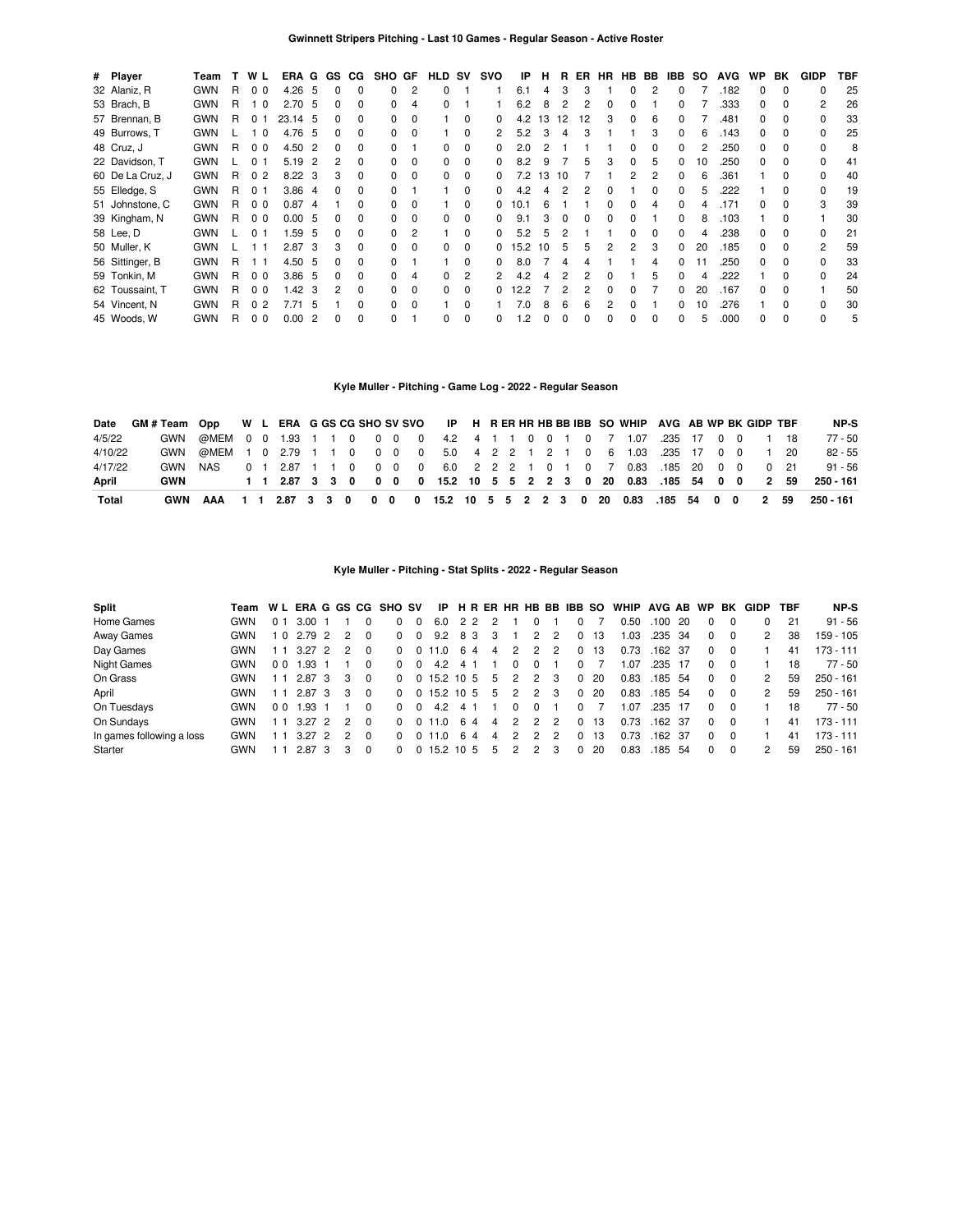| # Player         | Team       |    | W L            | ERA G             |                | GS.      | CG.          | SHO GF       |          | HLD SV       |              | svo          | IP   | н  | R  | ER | <b>HR</b> |   | HB BB | IBB.         | SO. | <b>AVG</b> | <b>WP</b>    | BK           | <b>GIDP</b>  | TBF |
|------------------|------------|----|----------------|-------------------|----------------|----------|--------------|--------------|----------|--------------|--------------|--------------|------|----|----|----|-----------|---|-------|--------------|-----|------------|--------------|--------------|--------------|-----|
| 32 Alaniz, R     | <b>GWN</b> | R  | 0 <sub>0</sub> | $4.26\quad 5$     |                | $\Omega$ | 0            |              | 2        | $\Omega$     |              |              | 6.1  | 4  | 3  | 3  |           | 0 | 2     | <sup>0</sup> |     | .182       | 0            | $\Omega$     | <sup>0</sup> | 25  |
| 53 Brach, B      | <b>GWN</b> | R. | 1 <sub>0</sub> | 2.70 <sub>5</sub> |                | 0        | 0            |              | 4        | $\Omega$     |              |              | 6.2  | 8  | 2  | 2  | 0         | ŋ |       |              |     | .333       | 0            | $\Omega$     | 2            | 26  |
| 57 Brennan, B    | <b>GWN</b> | R  | 0 <sub>1</sub> | 23.14 5           |                | 0        | 0            |              | $\Omega$ |              | $\Omega$     |              | 4.2  | 13 | 12 | 12 | 3         | o | 6     |              |     | .481       | O.           | <sup>0</sup> |              | 33  |
| 49 Burrows, T    | <b>GWN</b> |    | 1 በ            | 4.76              | -5             | O.       | <sup>0</sup> |              |          |              | O            |              | 5.2  |    | 4  | З  |           |   |       |              |     | .143       | n            | <sup>0</sup> | <sup>0</sup> | 25  |
| 48 Cruz, J       | <b>GWN</b> | R  | 0 <sub>0</sub> | 4.50              | -2             |          | 0            |              |          | O.           | 0            |              | 2.0  |    |    |    |           |   |       |              |     | .250       | n.           | $\Omega$     |              | 8   |
| 22 Davidson, T   | <b>GWN</b> |    | 0 1            | 5.19              | 2              |          | <sup>0</sup> |              | $\Omega$ | <sup>0</sup> | <sup>0</sup> |              | 8.2  | 9  |    | 5  |           |   |       |              | 10  | .250       | <sup>n</sup> | $\Omega$     |              | 41  |
| 60 De La Cruz, J | <b>GWN</b> | R. | 0 <sub>2</sub> | $8.22 \quad 3$    |                | 3        | <sup>0</sup> |              | $\Omega$ | <sup>0</sup> | <sup>0</sup> |              | 7.2  | 13 | 10 |    |           |   |       |              |     | .361       |              |              |              | 40  |
| 55 Elledge, S    | <b>GWN</b> | R. | 0 <sub>1</sub> | 3.86 4            |                |          | 0            |              |          |              | $\Omega$     |              | 4.2  |    |    |    |           |   |       |              |     | 222        |              |              |              | 19  |
| 51 Johnstone, C  | <b>GWN</b> | R. | 0 <sub>0</sub> | 0.874             |                |          | <sup>0</sup> |              |          |              | $\Omega$     |              | 10.1 |    |    |    |           |   |       |              |     | .171       |              |              |              | 39  |
| 39 Kingham, N    | <b>GWN</b> | R  | 0 <sub>0</sub> | 0.005             |                | 0        | 0            |              | 0        | 0            | $\Omega$     | 0            | 9.1  |    | O  | 0  | 0         |   |       |              |     | .103       |              |              |              | 30  |
| 58 Lee, D        | <b>GWN</b> |    | 0 <sub>1</sub> | 1.59              | -5             | O.       | 0            |              | 2        |              | $\Omega$     |              | 5.2  | 5  |    |    |           |   |       | 0            |     | .238       |              | <sup>0</sup> |              | 21  |
| 50 Muller, K     | <b>GWN</b> |    |                | 2.87              | -3             | 3        | $\Omega$     | <sup>0</sup> | $\Omega$ | $\Omega$     | $\Omega$     |              | 15.2 | 10 | 5  | 5  | 2         | 2 | 3     | 0            | 20  | .185       |              | <sup>0</sup> | 2            | 59  |
| 56 Sittinger, B  | <b>GWN</b> | R. | 11             | 4.50 5            |                | 0        | $\Omega$     |              |          |              | $\Omega$     | 0            | 8.0  |    | 4  |    |           |   | 4     | <sup>0</sup> |     | .250       | 0            | $\Omega$     | <sup>0</sup> | 33  |
| 59 Tonkin, M     | <b>GWN</b> | R  | 0 <sub>0</sub> | 3.86 <sub>5</sub> |                | 0        | $\Omega$     |              | 4        | <sup>0</sup> | 2            | 2            | 4.2  |    |    | 2  | ŋ         |   | 'n.   | 0            | Δ   | 222        |              | $\Omega$     | $\Omega$     | 24  |
| 62 Toussaint, T  | <b>GWN</b> | R. | 0 <sub>0</sub> | 1.42              | 3              | 2        | $\Omega$     |              | $\Omega$ | <sup>0</sup> | $\Omega$     | 0            | 12.2 |    | 2  | 2  | 0         | n |       | <sup>0</sup> | 20  | .167       | 0            | $\Omega$     |              | 50  |
| 54 Vincent, N    | <b>GWN</b> | R  | 0 <sub>2</sub> | 7.71              | 5              |          | $\Omega$     | <sup>n</sup> | $\Omega$ |              | $\Omega$     |              | 7.0  | 8  | 6  | 6  | 2         |   |       | <sup>n</sup> | 10  | 276        |              | <sup>0</sup> | <sup>0</sup> | 30  |
| 45 Woods, W      | <b>GWN</b> | R  | 0 <sub>0</sub> | 0.00              | $\overline{2}$ |          | $\Omega$     |              |          | 0            | $\Omega$     | <sup>n</sup> | .2   | ŋ  | ŋ  | O  |           |   |       |              |     | .000       |              | $\Omega$     | U            | 5   |

# **Kyle Muller - Pitching - Game Log - 2022 - Regular Season**

| Date    | GM#Team Opp W L ERA G GS CG SHO SV SVO IP H R ER HR HB BB IBB SO WHIP AVG AB WP BK GIDP TBF |                                                                         |  |  |  |  |  |  |  |  |  |                                                                   |  |  |  | NP-S      |
|---------|---------------------------------------------------------------------------------------------|-------------------------------------------------------------------------|--|--|--|--|--|--|--|--|--|-------------------------------------------------------------------|--|--|--|-----------|
| 4/5/22  |                                                                                             | GWN @MEM 0 0 1.93 1 1 0 0 0 0 4.2 4 1 1 0 0 1 0 7 1.07 .235 17 0 0 1 18 |  |  |  |  |  |  |  |  |  |                                                                   |  |  |  | $77 - 50$ |
| 4/10/22 |                                                                                             | GWN @MEM 1 0 2.79 1 1 0 0 0 0 5.0 4 2 2 1 2 1 0 6 1.03 .235 17 0 0 1 20 |  |  |  |  |  |  |  |  |  |                                                                   |  |  |  | $82 - 55$ |
| 4/17/22 | GWN                                                                                         | NAS                                                                     |  |  |  |  |  |  |  |  |  | 0 1 2.87 1 1 0 0 0 0 6.0 2 2 2 1 0 1 0 7 0.83 185 20 0 0 0 21     |  |  |  | $91 - 56$ |
| April   | GWN                                                                                         |                                                                         |  |  |  |  |  |  |  |  |  | 1 1 2.87 3 3 0 0 0 0 15.2 10 5 5 2 2 3 0 20 0.83 .185 54 0 0 2 59 |  |  |  | 250 - 161 |
| Total   | GWN                                                                                         | AAA                                                                     |  |  |  |  |  |  |  |  |  | 1 1 2.87 3 3 0 0 0 0 15.2 10 5 5 2 2 3 0 20 0.83 .185 54 0 0 2 59 |  |  |  | 250 - 161 |

### **Kyle Muller - Pitching - Stat Splits - 2022 - Regular Season**

| <b>Split</b>              | Team       |                |            |               |          | W L ERA G GS CG SHO SV |                | IP                |    |    |   |               |               |   | H R ER HR HB BB IBB SO |    | WHIP AVG AB WP |         |     |              | BK       | GIDP | TBF | NP-S        |
|---------------------------|------------|----------------|------------|---------------|----------|------------------------|----------------|-------------------|----|----|---|---------------|---------------|---|------------------------|----|----------------|---------|-----|--------------|----------|------|-----|-------------|
| Home Games                | GWN        | 0 1            | 3.00       |               |          |                        | $\Omega$       | 6.0               |    | 22 |   |               |               |   | 0                      |    | 0.50           | .100    | -20 | $\Omega$     |          |      | 21  | $91 - 56$   |
| Away Games                | GWN        |                | 10 2.79 2  | $\mathcal{P}$ |          | $\Omega$               | $\overline{0}$ | 9.2               |    | 83 | 3 |               | 2             | 2 | 0                      | 13 | 1.03           | .235    | -34 | $\Omega$     | $\Omega$ | 2    | 38  | 159 - 105   |
| Day Games                 | GWN        |                | $3.27$ 2 2 |               |          | $^{\circ}$             |                | 0 11.0 6 4        |    |    | 4 | 2             | 2             | 2 | 0                      | 13 | 0.73           | .162 37 |     | $\Omega$     | $\Omega$ |      | 41  | $173 - 111$ |
| Night Games               | GWN        | 0 <sub>0</sub> | L.93       |               |          | $\Omega$               |                | 4.2               | 4  |    |   |               |               |   | <sup>0</sup>           |    | 1.07           | .235    | -17 | 0            |          |      | 18  | 77 - 50     |
| On Grass                  | <b>GWN</b> |                | 2.87 3     | 3             | $\Omega$ | $^{\circ}$             |                | $0$ 15.2 10 5     |    |    | 5 | $\mathcal{P}$ | $\mathcal{P}$ | 3 | 0                      | 20 | 0.83           | .185 54 |     | $\Omega$     | $\Omega$ | 2    | 59  | $250 - 161$ |
| April                     | GWN        |                | 2.87 3     | 3             | $\Omega$ |                        |                | $0 \t0 15.2 10 5$ |    |    | 5 | 2             | 2             | 3 | 0                      | 20 | 0.83           | .185    | -54 | $\Omega$     | $\Omega$ | 2    | 59  | $250 - 161$ |
| On Tuesdays               | <b>GWN</b> | 0 <sub>0</sub> | 1.93       |               |          | $\Omega$               | $\Omega$       | 4.2               | 4  |    |   |               | 0             |   | 0                      |    | 1.07           | .235    | -17 | $\Omega$     | $\Omega$ |      | 18  | 77 - 50     |
| On Sundays                | GWN        |                | $3.27$ 2   | 2             | $\Omega$ | $\Omega$               |                | 0.11.0            |    | 64 | 4 | 2             | 2             | 2 | 0                      | 13 | 0.73           | .162 37 |     | 0            | $\Omega$ |      | 41  | $173 - 111$ |
| In games following a loss | <b>GWN</b> |                | $3.27$ 2   |               | $\Omega$ | 0                      |                | 0.11.0            | -6 | 4  | 4 | $\mathcal{P}$ | 2             |   | 0                      | 13 | 0.73           | .162 37 |     | <sup>0</sup> | $\Omega$ |      | 41  | $173 - 111$ |
| Starter                   | GWN        |                | 2.87 3     |               | $\Omega$ |                        |                | $0$ 15.2 10 5     |    |    | 5 | 2             | 2             | 3 | 0                      | 20 | 0.83           | .185    | -54 | $\Omega$     | $\Omega$ |      | 59  | $250 - 161$ |